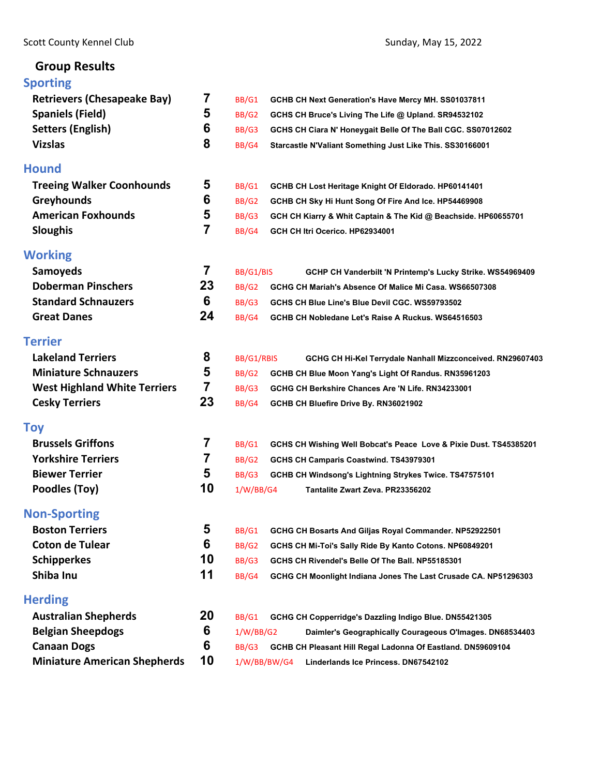# **Group Results**

| <b>Sporting</b>                     |    |              |                                                                   |
|-------------------------------------|----|--------------|-------------------------------------------------------------------|
| <b>Retrievers (Chesapeake Bay)</b>  | 7  | BB/G1        | GCHB CH Next Generation's Have Mercy MH. SS01037811               |
| <b>Spaniels (Field)</b>             | 5  | BB/G2        | GCHS CH Bruce's Living The Life @ Upland. SR94532102              |
| <b>Setters (English)</b>            | 6  | BB/G3        | GCHS CH Ciara N' Honeygait Belle Of The Ball CGC. SS07012602      |
| <b>Vizslas</b>                      | 8  | BB/G4        | Starcastle N'Valiant Something Just Like This. SS30166001         |
| Hound                               |    |              |                                                                   |
| <b>Treeing Walker Coonhounds</b>    | 5  | BB/G1        | GCHB CH Lost Heritage Knight Of Eldorado. HP60141401              |
| <b>Greyhounds</b>                   | 6  | BB/G2        | GCHB CH Sky Hi Hunt Song Of Fire And Ice. HP54469908              |
| <b>American Foxhounds</b>           | 5  | BB/G3        | GCH CH Kiarry & Whit Captain & The Kid @ Beachside. HP60655701    |
| <b>Sloughis</b>                     | 7  | BB/G4        | GCH CH Itri Ocerico. HP62934001                                   |
| Working                             |    |              |                                                                   |
| <b>Samoyeds</b>                     | 7  | BB/G1/BIS    | GCHP CH Vanderbilt 'N Printemp's Lucky Strike. WS54969409         |
| <b>Doberman Pinschers</b>           | 23 | BB/G2        | GCHG CH Mariah's Absence Of Malice Mi Casa, WS66507308            |
| <b>Standard Schnauzers</b>          | 6  | BB/G3        | GCHS CH Blue Line's Blue Devil CGC. WS59793502                    |
| <b>Great Danes</b>                  | 24 | BB/G4        | GCHB CH Nobledane Let's Raise A Ruckus. WS64516503                |
| Terrier                             |    |              |                                                                   |
| <b>Lakeland Terriers</b>            | 8  | BB/G1/RBIS   | GCHG CH Hi-Kel Terrydale Nanhall Mizzconceived. RN29607403        |
| <b>Miniature Schnauzers</b>         | 5  | BB/G2        | GCHB CH Blue Moon Yang's Light Of Randus. RN35961203              |
| <b>West Highland White Terriers</b> | 7  | BB/G3        | GCHG CH Berkshire Chances Are 'N Life. RN34233001                 |
| <b>Cesky Terriers</b>               | 23 | BB/G4        | GCHB CH Bluefire Drive By. RN36021902                             |
| Toy                                 |    |              |                                                                   |
| <b>Brussels Griffons</b>            | 7  | BB/G1        | GCHS CH Wishing Well Bobcat's Peace Love & Pixie Dust. TS45385201 |
| <b>Yorkshire Terriers</b>           | 7  | BB/G2        | GCHS CH Camparis Coastwind. TS43979301                            |
| <b>Biewer Terrier</b>               | 5  | BB/G3        | GCHB CH Windsong's Lightning Strykes Twice. TS47575101            |
| Poodles (Toy)                       | 10 | 1/W/BB/G4    | Tantalite Zwart Zeva. PR23356202                                  |
| <b>Non-Sporting</b>                 |    |              |                                                                   |
| <b>Boston Terriers</b>              | 5  | <b>BB/G1</b> | GCHG CH Bosarts And Giljas Royal Commander. NP52922501            |
| <b>Coton de Tulear</b>              | 6  | BB/G2        | GCHS CH Mi-Toi's Sally Ride By Kanto Cotons. NP60849201           |
| <b>Schipperkes</b>                  | 10 | BB/G3        | GCHS CH Rivendel's Belle Of The Ball, NP55185301                  |
| Shiba Inu                           | 11 | BB/G4        | GCHG CH Moonlight Indiana Jones The Last Crusade CA. NP51296303   |
| <b>Herding</b>                      |    |              |                                                                   |
| <b>Australian Shepherds</b>         | 20 | BB/G1        | GCHG CH Copperridge's Dazzling Indigo Blue. DN55421305            |
| <b>Belgian Sheepdogs</b>            | 6  | 1/W/BB/G2    | Daimler's Geographically Courageous O'Images. DN68534403          |
| <b>Canaan Dogs</b>                  | 6  | BB/G3        | GCHB CH Pleasant Hill Regal Ladonna Of Eastland. DN59609104       |
| <b>Miniature American Shepherds</b> | 10 | 1/W/BB/BW/G4 | Linderlands Ice Princess. DN67542102                              |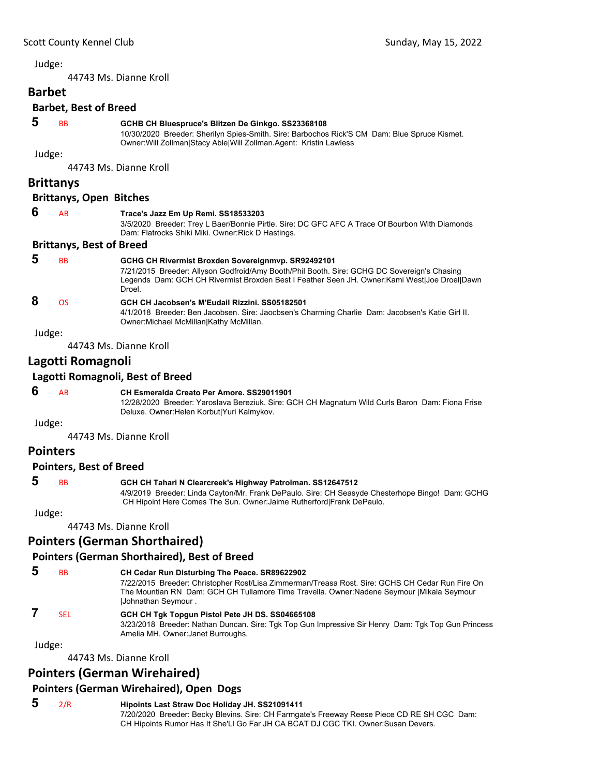<span id="page-1-0"></span>44743 Ms. Dianne Kroll

## **Barbet**

### **Barbet, Best of Breed**

#### **5** BB **GCHB CH Bluespruce's Blitzen De Ginkgo. SS23368108**

10/30/2020 Breeder: Sherilyn Spies-Smith. Sire: Barbochos Rick'S CM Dam: Blue Spruce Kismet. Owner:Will Zollman|Stacy Able|Will Zollman.Agent: Kristin Lawless

Judge:

44743 Ms. Dianne Kroll

### **Brittanys**

#### **Brittanys, Open Bitches**

| -6 | AB | Trace's Jazz Em Up Remi. SS18533203                                                            |
|----|----|------------------------------------------------------------------------------------------------|
|    |    | 3/5/2020 Breeder: Trey L Baer/Bonnie Pirtle. Sire: DC GFC AFC A Trace Of Bourbon With Diamonds |
|    |    | Dam: Flatrocks Shiki Miki. Owner: Rick D Hastings.                                             |
|    |    | <b>Brittanys, Best of Breed</b>                                                                |
|    |    |                                                                                                |

#### **5** BB **GCHG CH Rivermist Broxden Sovereignmvp. SR92492101**

7/21/2015 Breeder: Allyson Godfroid/Amy Booth/Phil Booth. Sire: GCHG DC Sovereign's Chasing Legends Dam: GCH CH Rivermist Broxden Best I Feather Seen JH. Owner:Kami West|Joe Droel|Dawn Droel.

## **8** OS **GCH CH Jacobsen's M'Eudail Rizzini. SS05182501**

4/1/2018 Breeder: Ben Jacobsen. Sire: Jaocbsen's Charming Charlie Dam: Jacobsen's Katie Girl II. Owner:Michael McMillan|Kathy McMillan.

Judge:

44743 Ms. Dianne Kroll

### **Lagotti Romagnoli**

### **Lagotti Romagnoli, Best of Breed**

#### **6** AB **CH Esmeralda Creato Per Amore. SS29011901**

12/28/2020 Breeder: Yaroslava Bereziuk. Sire: GCH CH Magnatum Wild Curls Baron Dam: Fiona Frise Deluxe. Owner:Helen Korbut|Yuri Kalmykov.

Judge:

44743 Ms. Dianne Kroll

### **Pointers**

#### **Pointers, Best of Breed**

### **5** BB **GCH CH Tahari N Clearcreek's Highway Patrolman. SS12647512**

4/9/2019 Breeder: Linda Cayton/Mr. Frank DePaulo. Sire: CH Seasyde Chesterhope Bingo! Dam: GCHG CH Hipoint Here Comes The Sun. Owner:Jaime Rutherford|Frank DePaulo.

#### Judge:

44743 Ms. Dianne Kroll

### **Pointers (German Shorthaired)**

### **Pointers (German Shorthaired), Best of Breed**

| đ | <b>B<sub>B</sub></b> | CH Cedar Run Disturbing The Peace. SR89622902<br>7/22/2015 Breeder: Christopher Rost/Lisa Zimmerman/Treasa Rost. Sire: GCHS CH Cedar Run Fire On<br>The Mountian RN Dam: GCH CH Tullamore Time Travella. Owner:Nadene Seymour   Mikala Seymour<br><b>Johnathan Seymour.</b> |
|---|----------------------|-----------------------------------------------------------------------------------------------------------------------------------------------------------------------------------------------------------------------------------------------------------------------------|
|   | SFI.                 | GCH CH Tgk Topgun Pistol Pete JH DS. SS04665108<br>3/23/2018 Breeder: Nathan Duncan. Sire: Tgk Top Gun Impressive Sir Henry Dam: Tgk Top Gun Princess<br>Amelia MH. Owner: Janet Burroughs.                                                                                 |

Judge:

44743 Ms. Dianne Kroll

### **Pointers (German Wirehaired)**

### **Pointers (German Wirehaired), Open Dogs**

 **5** 2/R **Hipoints Last Straw Doc Holiday JH. SS21091411** 7/20/2020 Breeder: Becky Blevins. Sire: CH Farmgate's Freeway Reese Piece CD RE SH CGC Dam: CH Hipoints Rumor Has It She'Ll Go Far JH CA BCAT DJ CGC TKI. Owner:Susan Devers.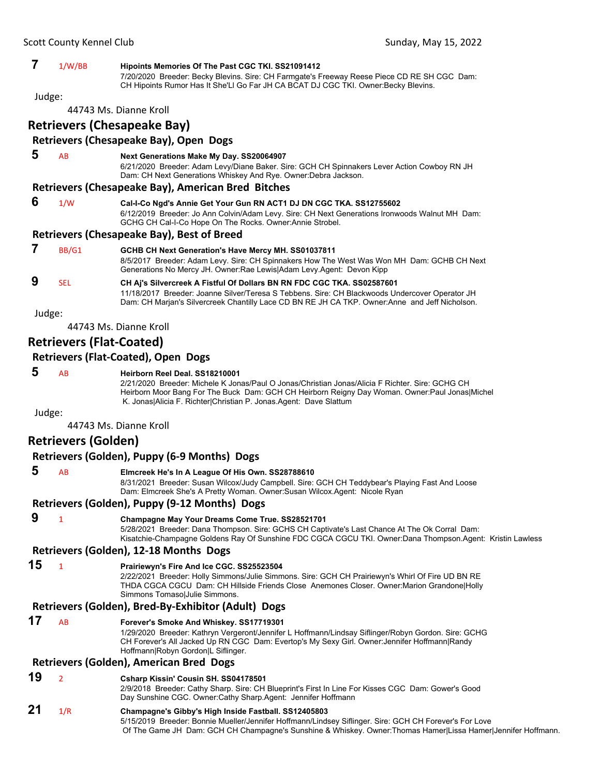|                                        | 1/W/BB | Hipoints Memories Of The Past CGC TKI. SS21091412<br>7/20/2020 Breeder: Becky Blevins. Sire: CH Farmgate's Freeway Reese Piece CD RE SH CGC Dam:<br>CH Hipoints Rumor Has It She'LI Go Far JH CA BCAT DJ CGC TKI. Owner: Becky Blevins. |  |  |
|----------------------------------------|--------|-----------------------------------------------------------------------------------------------------------------------------------------------------------------------------------------------------------------------------------------|--|--|
| Judge:                                 |        |                                                                                                                                                                                                                                         |  |  |
| 44743 Ms. Dianne Kroll                 |        |                                                                                                                                                                                                                                         |  |  |
| <b>Retrievers (Chesapeake Bay)</b>     |        |                                                                                                                                                                                                                                         |  |  |
| Retrievers (Chesapeake Bay), Open Dogs |        |                                                                                                                                                                                                                                         |  |  |
|                                        | AB     | Next Generations Make My Day. SS20064907                                                                                                                                                                                                |  |  |

6/21/2020 Breeder: Adam Levy/Diane Baker. Sire: GCH CH Spinnakers Lever Action Cowboy RN JH Dam: CH Next Generations Whiskey And Rye. Owner:Debra Jackson.

### **Retrievers (Chesapeake Bay), American Bred Bitches**

 **6** 1/W **Cal-I-Co Ngd's Annie Get Your Gun RN ACT1 DJ DN CGC TKA. SS12755602** 6/12/2019 Breeder: Jo Ann Colvin/Adam Levy. Sire: CH Next Generations Ironwoods Walnut MH Dam: GCHG CH Cal-I-Co Hope On The Rocks. Owner:Annie Strobel.

### **Retrievers (Chesapeake Bay), Best of Breed**

|   | BB/G1 | GCHB CH Next Generation's Have Mercy MH. SS01037811<br>8/5/2017 Breeder: Adam Levy. Sire: CH Spinnakers How The West Was Won MH Dam: GCHB CH Next<br>Generations No Mercy JH. Owner: Rae Lewis Adam Levy Agent: Devon Kipp |
|---|-------|----------------------------------------------------------------------------------------------------------------------------------------------------------------------------------------------------------------------------|
| 9 | SFI.  | CH Aj's Silvercreek A Fistful Of Dollars BN RN FDC CGC TKA. SS02587601<br>11/18/2017 Breeder: Joanne Silver/Teresa S Tebbens. Sire: CH Blackwoods Undercover Operator JH                                                   |

Judge:

44743 Ms. Dianne Kroll

### **Retrievers (Flat‐Coated)**

#### **Retrievers (Flat‐Coated), Open Dogs**

#### **5** AB **Heirborn Reel Deal. SS18210001**

2/21/2020 Breeder: Michele K Jonas/Paul O Jonas/Christian Jonas/Alicia F Richter. Sire: GCHG CH Heirborn Moor Bang For The Buck Dam: GCH CH Heirborn Reigny Day Woman. Owner:Paul Jonas|Michel K. Jonas|Alicia F. Richter|Christian P. Jonas.Agent: Dave Slattum

Dam: CH Marjan's Silvercreek Chantilly Lace CD BN RE JH CA TKP. Owner:Anne and Jeff Nicholson.

Judge:

44743 Ms. Dianne Kroll

### **Retrievers (Golden)**

### **Retrievers (Golden), Puppy (6‐9 Months) Dogs**

### **5** AB **Elmcreek He's In A League Of His Own. SS28788610**

8/31/2021 Breeder: Susan Wilcox/Judy Campbell. Sire: GCH CH Teddybear's Playing Fast And Loose Dam: Elmcreek She's A Pretty Woman. Owner:Susan Wilcox.Agent: Nicole Ryan

#### **Retrievers (Golden), Puppy (9‐12 Months) Dogs**

### **9** <sup>1</sup> **Champagne May Your Dreams Come True. SS28521701**

5/28/2021 Breeder: Dana Thompson. Sire: GCHS CH Captivate's Last Chance At The Ok Corral Dam: Kisatchie-Champagne Goldens Ray Of Sunshine FDC CGCA CGCU TKI. Owner:Dana Thompson.Agent: Kristin Lawless

#### **Retrievers (Golden), 12‐18 Months Dogs**

**15** <sup>1</sup> **Prairiewyn's Fire And Ice CGC. SS25523504**

2/22/2021 Breeder: Holly Simmons/Julie Simmons. Sire: GCH CH Prairiewyn's Whirl Of Fire UD BN RE THDA CGCA CGCU Dam: CH Hillside Friends Close Anemones Closer. Owner:Marion Grandone|Holly Simmons Tomaso|Julie Simmons.

#### **Retrievers (Golden), Bred‐By‐Exhibitor (Adult) Dogs**

### **17** AB **Forever's Smoke And Whiskey. SS17719301**

1/29/2020 Breeder: Kathryn Vergeront/Jennifer L Hoffmann/Lindsay Siflinger/Robyn Gordon. Sire: GCHG CH Forever's All Jacked Up RN CGC Dam: Evertop's My Sexy Girl. Owner:Jennifer Hoffmann|Randy Hoffmann|Robyn Gordon|L Siflinger.

#### **Retrievers (Golden), American Bred Dogs**

#### **19** <sup>2</sup> **Csharp Kissin' Cousin SH. SS04178501**

2/9/2018 Breeder: Cathy Sharp. Sire: CH Blueprint's First In Line For Kisses CGC Dam: Gower's Good Day Sunshine CGC. Owner:Cathy Sharp.Agent: Jennifer Hoffmann

### **21** 1/R **Champagne's Gibby's High Inside Fastball. SS12405803**

5/15/2019 Breeder: Bonnie Mueller/Jennifer Hoffmann/Lindsey Siflinger. Sire: GCH CH Forever's For Love Of The Game JH Dam: GCH CH Champagne's Sunshine & Whiskey. Owner:Thomas Hamer|Lissa Hamer|Jennifer Hoffmann.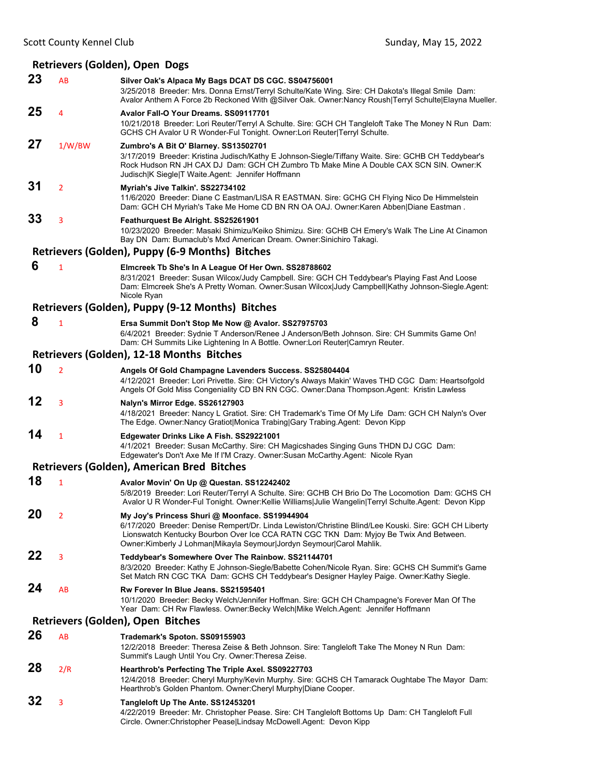### **Retrievers (Golden), Open Dogs**

| 23 | AB             | Silver Oak's Alpaca My Bags DCAT DS CGC. SS04756001<br>3/25/2018 Breeder: Mrs. Donna Ernst/Terryl Schulte/Kate Wing. Sire: CH Dakota's Illegal Smile Dam:<br>Avalor Anthem A Force 2b Reckoned With @Silver Oak. Owner:Nancy Roush Terryl Schulte Elayna Mueller.                                                        |  |
|----|----------------|--------------------------------------------------------------------------------------------------------------------------------------------------------------------------------------------------------------------------------------------------------------------------------------------------------------------------|--|
| 25 | 4              | Avalor Fall-O Your Dreams. SS09117701<br>10/21/2018 Breeder: Lori Reuter/Terryl A Schulte. Sire: GCH CH Tangleloft Take The Money N Run Dam:<br>GCHS CH Avalor U R Wonder-Ful Tonight. Owner:Lori Reuter Terryl Schulte.                                                                                                 |  |
| 27 | 1/W/BW         | Zumbro's A Bit O' Blarney. SS13502701<br>3/17/2019 Breeder: Kristina Judisch/Kathy E Johnson-Siegle/Tiffany Waite. Sire: GCHB CH Teddybear's<br>Rock Hudson RN JH CAX DJ Dam: GCH CH Zumbro Tb Make Mine A Double CAX SCN SIN. Owner:K<br>Judisch K Siegle T Waite Agent: Jennifer Hoffmann                              |  |
| 31 | $\overline{2}$ | Myriah's Jive Talkin'. SS22734102<br>11/6/2020 Breeder: Diane C Eastman/LISA R EASTMAN, Sire: GCHG CH Flying Nico De Himmelstein<br>Dam: GCH CH Myriah's Take Me Home CD BN RN OA OAJ. Owner: Karen Abben Diane Eastman.                                                                                                 |  |
| 33 | 3              | Feathurquest Be Alright. SS25261901<br>10/23/2020 Breeder: Masaki Shimizu/Keiko Shimizu. Sire: GCHB CH Emery's Walk The Line At Cinamon<br>Bay DN Dam: Bumaclub's Mxd American Dream. Owner: Sinichiro Takagi.                                                                                                           |  |
|    |                | Retrievers (Golden), Puppy (6-9 Months) Bitches                                                                                                                                                                                                                                                                          |  |
| 6  | 1              | Elmcreek Tb She's In A League Of Her Own. SS28788602<br>8/31/2021 Breeder: Susan Wilcox/Judy Campbell. Sire: GCH CH Teddybear's Playing Fast And Loose<br>Dam: Elmcreek She's A Pretty Woman. Owner:Susan Wilcox Judy Campbell Kathy Johnson-Siegle.Agent:<br>Nicole Ryan                                                |  |
|    |                | Retrievers (Golden), Puppy (9-12 Months) Bitches                                                                                                                                                                                                                                                                         |  |
| 8  | $\overline{1}$ | Ersa Summit Don't Stop Me Now @ Avalor. SS27975703<br>6/4/2021 Breeder: Sydnie T Anderson/Renee J Anderson/Beth Johnson. Sire: CH Summits Game On!<br>Dam: CH Summits Like Lightening In A Bottle. Owner: Lori Reuter Camryn Reuter.                                                                                     |  |
|    |                | Retrievers (Golden), 12-18 Months Bitches                                                                                                                                                                                                                                                                                |  |
| 10 | $\overline{2}$ | Angels Of Gold Champagne Lavenders Success. SS25804404<br>4/12/2021 Breeder: Lori Privette. Sire: CH Victory's Always Makin' Waves THD CGC Dam: Heartsofgold<br>Angels Of Gold Miss Congeniality CD BN RN CGC. Owner:Dana Thompson.Agent: Kristin Lawless                                                                |  |
| 12 | 3              | Nalyn's Mirror Edge. SS26127903<br>4/18/2021 Breeder: Nancy L Gratiot. Sire: CH Trademark's Time Of My Life Dam: GCH CH Nalyn's Over<br>The Edge. Owner: Nancy Gratiot Monica Trabing Gary Trabing. Agent: Devon Kipp                                                                                                    |  |
| 14 | 1              | Edgewater Drinks Like A Fish. SS29221001<br>4/1/2021 Breeder: Susan McCarthy. Sire: CH Magicshades Singing Guns THDN DJ CGC Dam:<br>Edgewater's Don't Axe Me If I'M Crazy. Owner:Susan McCarthy.Agent: Nicole Ryan                                                                                                       |  |
|    |                | Retrievers (Golden), American Bred Bitches                                                                                                                                                                                                                                                                               |  |
| 18 | 1              | Avalor Movin' On Up @ Questan. SS12242402<br>5/8/2019 Breeder: Lori Reuter/Terryl A Schulte. Sire: GCHB CH Brio Do The Locomotion Dam: GCHS CH<br>Avalor U R Wonder-Ful Tonight. Owner:Kellie Williams Julie Wangelin Terryl Schulte.Agent: Devon Kipp                                                                   |  |
| 20 | $\overline{2}$ | My Joy's Princess Shuri @ Moonface. SS19944904<br>6/17/2020 Breeder: Denise Rempert/Dr. Linda Lewiston/Christine Blind/Lee Kouski. Sire: GCH CH Liberty<br>Lionswatch Kentucky Bourbon Over Ice CCA RATN CGC TKN Dam: Myjoy Be Twix And Between.<br>Owner:Kimberly J Lohman Mikayla Seymour Jordyn Seymour Carol Mahlik. |  |
| 22 | 3              | Teddybear's Somewhere Over The Rainbow. SS21144701<br>8/3/2020 Breeder: Kathy E Johnson-Siegle/Babette Cohen/Nicole Ryan. Sire: GCHS CH Summit's Game<br>Set Match RN CGC TKA Dam: GCHS CH Teddybear's Designer Hayley Paige. Owner: Kathy Siegle.                                                                       |  |
| 24 | AB             | Rw Forever In Blue Jeans. SS21595401<br>10/1/2020 Breeder: Becky Welch/Jennifer Hoffman. Sire: GCH CH Champagne's Forever Man Of The<br>Year Dam: CH Rw Flawless. Owner:Becky Welch Mike Welch.Agent: Jennifer Hoffmann                                                                                                  |  |
|    |                | Retrievers (Golden), Open Bitches                                                                                                                                                                                                                                                                                        |  |
| 26 | AB             | Trademark's Spoton. SS09155903<br>12/2/2018 Breeder: Theresa Zeise & Beth Johnson. Sire: Tangleloft Take The Money N Run Dam:<br>Summit's Laugh Until You Cry. Owner: Theresa Zeise.                                                                                                                                     |  |
| 28 | 2/R            | Hearthrob's Perfecting The Triple Axel. SS09227703<br>12/4/2018 Breeder: Cheryl Murphy/Kevin Murphy. Sire: GCHS CH Tamarack Oughtabe The Mayor Dam:<br>Hearthrob's Golden Phantom. Owner: Cheryl Murphy Diane Cooper.                                                                                                    |  |
| 32 | 3              | Tangleloft Up The Ante. SS12453201<br>4/22/2019 Breeder: Mr. Christopher Pease. Sire: CH Tangleloft Bottoms Up Dam: CH Tangleloft Full<br>Circle. Owner: Christopher Pease Lindsay McDowell. Agent: Devon Kipp                                                                                                           |  |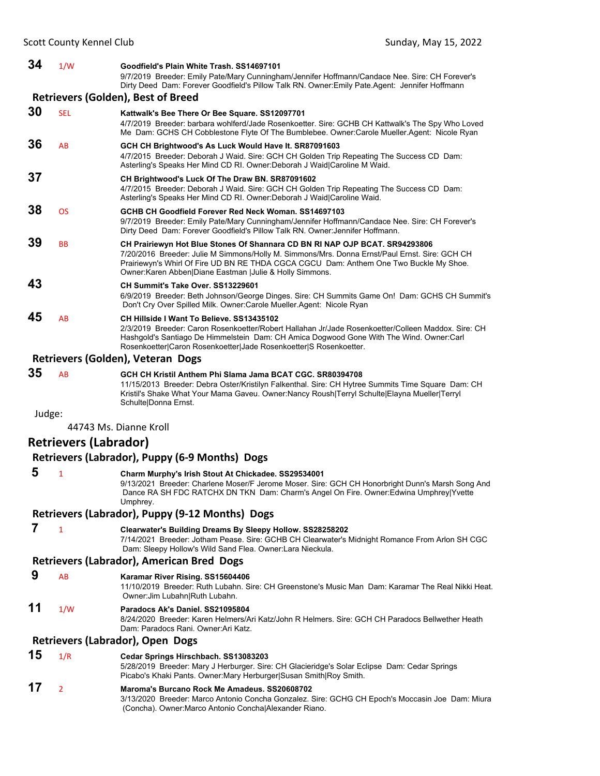| 34  | 1/W        | Goodfield's Plain White Trash, SS14697101<br>9/7/2019 Breeder: Emily Pate/Mary Cunningham/Jennifer Hoffmann/Candace Nee. Sire: CH Forever's<br>Dirty Deed Dam: Forever Goodfield's Pillow Talk RN. Owner: Emily Pate Agent: Jennifer Hoffmann                                                                                       |
|-----|------------|-------------------------------------------------------------------------------------------------------------------------------------------------------------------------------------------------------------------------------------------------------------------------------------------------------------------------------------|
|     |            | <b>Retrievers (Golden), Best of Breed</b>                                                                                                                                                                                                                                                                                           |
| 30  | <b>SEL</b> | Kattwalk's Bee There Or Bee Square. SS12097701<br>4/7/2019 Breeder: barbara wohlferd/Jade Rosenkoetter. Sire: GCHB CH Kattwalk's The Spy Who Loved<br>Me Dam: GCHS CH Cobblestone Flyte Of The Bumblebee. Owner:Carole Mueller Agent: Nicole Ryan                                                                                   |
| 36  | AB         | GCH CH Brightwood's As Luck Would Have It. SR87091603<br>4/7/2015 Breeder: Deborah J Waid. Sire: GCH CH Golden Trip Repeating The Success CD Dam:<br>Asterling's Speaks Her Mind CD RI. Owner: Deborah J Waid Caroline M Waid.                                                                                                      |
| 37  |            | CH Brightwood's Luck Of The Draw BN. SR87091602<br>4/7/2015 Breeder: Deborah J Waid. Sire: GCH CH Golden Trip Repeating The Success CD Dam:<br>Asterling's Speaks Her Mind CD RI. Owner: Deborah J Waid Caroline Waid.                                                                                                              |
| 38  | <b>OS</b>  | GCHB CH Goodfield Forever Red Neck Woman, SS14697103<br>9/7/2019 Breeder: Emily Pate/Mary Cunningham/Jennifer Hoffmann/Candace Nee. Sire: CH Forever's<br>Dirty Deed Dam: Forever Goodfield's Pillow Talk RN. Owner: Jennifer Hoffmann.                                                                                             |
| 39  | <b>BB</b>  | CH Prairiewyn Hot Blue Stones Of Shannara CD BN RI NAP OJP BCAT. SR94293806<br>7/20/2016 Breeder: Julie M Simmons/Holly M. Simmons/Mrs. Donna Ernst/Paul Ernst. Sire: GCH CH<br>Prairiewyn's Whirl Of Fire UD BN RE THDA CGCA CGCU Dam: Anthem One Two Buckle My Shoe.<br>Owner: Karen Abben Diane Eastman   Julie & Holly Simmons. |
| 43  |            | CH Summit's Take Over, SS13229601<br>6/9/2019 Breeder: Beth Johnson/George Dinges. Sire: CH Summits Game On! Dam: GCHS CH Summit's<br>Don't Cry Over Spilled Milk. Owner: Carole Mueller. Agent: Nicole Ryan                                                                                                                        |
| 45  | AB         | CH Hillside I Want To Believe, SS13435102<br>2/3/2019 Breeder: Caron Rosenkoetter/Robert Hallahan Jr/Jade Rosenkoetter/Colleen Maddox, Sire: CH<br>Hashgold's Santiago De Himmelstein Dam: CH Amica Dogwood Gone With The Wind. Owner:Carl<br>Rosenkoetter Caron Rosenkoetter Jade Rosenkoetter S Rosenkoetter.                     |
|     |            | Retrievers (Golden), Veteran Dogs                                                                                                                                                                                                                                                                                                   |
| 9 E |            |                                                                                                                                                                                                                                                                                                                                     |

**35** AB **GCH CH Kristil Anthem Phi Slama Jama BCAT CGC. SR80394708** 11/15/2013 Breeder: Debra Oster/Kristilyn Falkenthal. Sire: CH Hytree Summits Time Square Dam: CH Kristil's Shake What Your Mama Gaveu. Owner:Nancy Roush|Terryl Schulte|Elayna Mueller|Terryl Schulte|Donna Ernst.

Judge:

44743 Ms. Dianne Kroll

### **Retrievers (Labrador)**

### **Retrievers (Labrador), Puppy (6‐9 Months) Dogs**

 **5** <sup>1</sup> **Charm Murphy's Irish Stout At Chickadee. SS29534001** 9/13/2021 Breeder: Charlene Moser/F Jerome Moser. Sire: GCH CH Honorbright Dunn's Marsh Song And Dance RA SH FDC RATCHX DN TKN Dam: Charm's Angel On Fire. Owner:Edwina Umphrey|Yvette

Umphrey.

#### **Retrievers (Labrador), Puppy (9‐12 Months) Dogs**

 **7** <sup>1</sup> **Clearwater's Building Dreams By Sleepy Hollow. SS28258202** 7/14/2021 Breeder: Jotham Pease. Sire: GCHB CH Clearwater's Midnight Romance From Arlon SH CGC Dam: Sleepy Hollow's Wild Sand Flea. Owner:Lara Nieckula.

### **Retrievers (Labrador), American Bred Dogs**

 **9** AB **Karamar River Rising. SS15604406**

11/10/2019 Breeder: Ruth Lubahn. Sire: CH Greenstone's Music Man Dam: Karamar The Real Nikki Heat. Owner:Jim Lubahn|Ruth Lubahn.

### **11** 1/W **Paradocs Ak's Daniel. SS21095804**

8/24/2020 Breeder: Karen Helmers/Ari Katz/John R Helmers. Sire: GCH CH Paradocs Bellwether Heath Dam: Paradocs Rani. Owner:Ari Katz.

### **Retrievers (Labrador), Open Dogs**

- **15** 1/R **Cedar Springs Hirschbach. SS13083203** 5/28/2019 Breeder: Mary J Herburger. Sire: CH Glacieridge's Solar Eclipse Dam: Cedar Springs Picabo's Khaki Pants. Owner:Mary Herburger|Susan Smith|Roy Smith. **17** <sup>2</sup> **Maroma's Burcano Rock Me Amadeus. SS20608702**
	- 3/13/2020 Breeder: Marco Antonio Concha Gonzalez. Sire: GCHG CH Epoch's Moccasin Joe Dam: Miura (Concha). Owner:Marco Antonio Concha|Alexander Riano.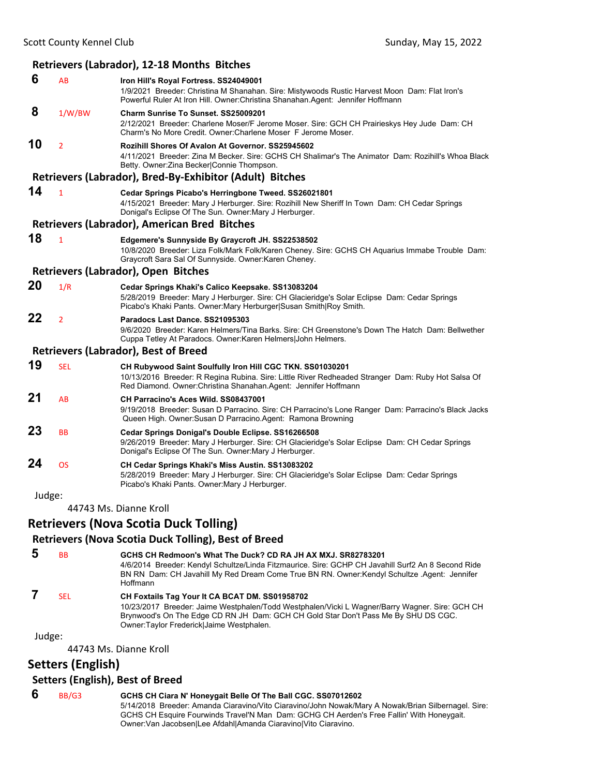# **Retrievers (Labrador), 12‐18 Months Bitches**

| 6      | AB             | Iron Hill's Royal Fortress. SS24049001<br>1/9/2021 Breeder: Christina M Shanahan. Sire: Mistywoods Rustic Harvest Moon Dam: Flat Iron's<br>Powerful Ruler At Iron Hill. Owner: Christina Shanahan. Agent: Jennifer Hoffmann        |
|--------|----------------|------------------------------------------------------------------------------------------------------------------------------------------------------------------------------------------------------------------------------------|
| 8      | 1/W/BW         | Charm Sunrise To Sunset, SS25009201<br>2/12/2021 Breeder: Charlene Moser/F Jerome Moser. Sire: GCH CH Prairieskys Hey Jude Dam: CH<br>Charm's No More Credit, Owner: Charlene Moser F Jerome Moser,                                |
| 10     | $\overline{2}$ | Rozihill Shores Of Avalon At Governor, SS25945602<br>4/11/2021 Breeder: Zina M Becker, Sire: GCHS CH Shalimar's The Animator Dam: Rozihill's Whoa Black<br>Betty. Owner: Zina Becker Connie Thompson.                              |
|        |                | Retrievers (Labrador), Bred-By-Exhibitor (Adult) Bitches                                                                                                                                                                           |
| 14     | $\mathbf{1}$   | Cedar Springs Picabo's Herringbone Tweed. SS26021801<br>4/15/2021 Breeder: Mary J Herburger. Sire: Rozihill New Sheriff In Town Dam: CH Cedar Springs<br>Donigal's Eclipse Of The Sun. Owner: Mary J Herburger.                    |
|        |                | <b>Retrievers (Labrador), American Bred Bitches</b>                                                                                                                                                                                |
| 18     | $\mathbf{1}$   | Edgemere's Sunnyside By Graycroft JH. SS22538502<br>10/8/2020 Breeder: Liza Folk/Mark Folk/Karen Cheney. Sire: GCHS CH Aquarius Immabe Trouble Dam:<br>Graycroft Sara Sal Of Sunnyside. Owner: Karen Cheney.                       |
|        |                | Retrievers (Labrador), Open Bitches                                                                                                                                                                                                |
| 20     | 1/R            | Cedar Springs Khaki's Calico Keepsake. SS13083204<br>5/28/2019 Breeder: Mary J Herburger. Sire: CH Glacieridge's Solar Eclipse Dam: Cedar Springs<br>Picabo's Khaki Pants. Owner: Mary Herburger Susan Smith Roy Smith.            |
| 22     | $\overline{2}$ | Paradocs Last Dance, SS21095303<br>9/6/2020 Breeder: Karen Helmers/Tina Barks, Sire: CH Greenstone's Down The Hatch Dam: Bellwether<br>Cuppa Tetley At Paradocs. Owner: Karen Helmers John Helmers.                                |
|        |                | <b>Retrievers (Labrador), Best of Breed</b>                                                                                                                                                                                        |
| 19     | <b>SEL</b>     | CH Rubywood Saint Soulfully Iron Hill CGC TKN. SS01030201<br>10/13/2016 Breeder: R Regina Rubina. Sire: Little River Redheaded Stranger Dam: Ruby Hot Salsa Of<br>Red Diamond. Owner: Christina Shanahan. Agent: Jennifer Hoffmann |
| 21     | AB             | CH Parracino's Aces Wild. SS08437001<br>9/19/2018 Breeder: Susan D Parracino. Sire: CH Parracino's Lone Ranger Dam: Parracino's Black Jacks<br>Queen High. Owner: Susan D Parracino. Agent: Ramona Browning                        |
| 23     | <b>BB</b>      | Cedar Springs Donigal's Double Eclipse. SS16266508<br>9/26/2019 Breeder: Mary J Herburger. Sire: CH Glacieridge's Solar Eclipse Dam: CH Cedar Springs<br>Donigal's Eclipse Of The Sun. Owner: Mary J Herburger.                    |
| 24     | <b>OS</b>      | CH Cedar Springs Khaki's Miss Austin. SS13083202<br>5/28/2019 Breeder: Mary J Herburger. Sire: CH Glacieridge's Solar Eclipse Dam: Cedar Springs<br>Picabo's Khaki Pants. Owner: Mary J Herburger.                                 |
| Judge: |                |                                                                                                                                                                                                                                    |
|        |                | 44743 Ms. Dianne Kroll                                                                                                                                                                                                             |

### **Retrievers (Nova Scotia Duck Tolling)**

### **Retrievers (Nova Scotia Duck Tolling), Best of Breed**

| b | <b>BB</b> | GCHS CH Redmoon's What The Duck? CD RA JH AX MXJ. SR82783201<br>4/6/2014 Breeder: Kendyl Schultze/Linda Fitzmaurice. Sire: GCHP CH Javahill Surf2 An 8 Second Ride<br>BN RN Dam: CH Javahill My Red Dream Come True BN RN. Owner: Kendyl Schultze Agent: Jennifer<br>Hoffmann      |
|---|-----------|------------------------------------------------------------------------------------------------------------------------------------------------------------------------------------------------------------------------------------------------------------------------------------|
|   | SFI.      | CH Foxtails Tag Your It CA BCAT DM. SS01958702<br>10/23/2017 Breeder: Jaime Westphalen/Todd Westphalen/Vicki L Wagner/Barry Wagner. Sire: GCH CH<br>Brynwood's On The Edge CD RN JH Dam: GCH CH Gold Star Don't Pass Me By SHU DS CGC.<br>Owner:Taylor Frederick Jaime Westphalen. |

Judge:

44743 Ms. Dianne Kroll

**Setters (English)**

### **Setters (English), Best of Breed**

### **6** BB/G3 **GCHS CH Ciara N' Honeygait Belle Of The Ball CGC. SS07012602**

5/14/2018 Breeder: Amanda Ciaravino/Vito Ciaravino/John Nowak/Mary A Nowak/Brian Silbernagel. Sire: GCHS CH Esquire Fourwinds Travel'N Man Dam: GCHG CH Aerden's Free Fallin' With Honeygait. Owner:Van Jacobsen|Lee Afdahl|Amanda Ciaravino|Vito Ciaravino.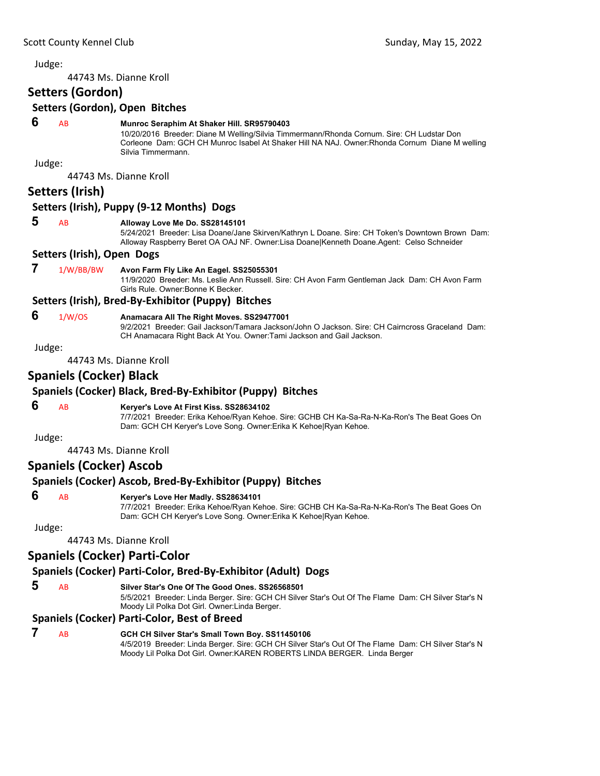44743 Ms. Dianne Kroll

### **Setters (Gordon)**

#### **Setters (Gordon), Open Bitches**

#### **6** AB **Munroc Seraphim At Shaker Hill. SR95790403**

10/20/2016 Breeder: Diane M Welling/Silvia Timmermann/Rhonda Cornum. Sire: CH Ludstar Don Corleone Dam: GCH CH Munroc Isabel At Shaker Hill NA NAJ. Owner:Rhonda Cornum Diane M welling Silvia Timmermann.

Judge:

44743 Ms. Dianne Kroll

### **Setters (Irish)**

#### **Setters (Irish), Puppy (9‐12 Months) Dogs**

#### **5** AB **Alloway Love Me Do. SS28145101**

5/24/2021 Breeder: Lisa Doane/Jane Skirven/Kathryn L Doane. Sire: CH Token's Downtown Brown Dam: Alloway Raspberry Beret OA OAJ NF. Owner:Lisa Doane|Kenneth Doane.Agent: Celso Schneider

#### **Setters (Irish), Open Dogs**

#### **7** 1/W/BB/BW **Avon Farm Fly Like An Eagel. SS25055301**

11/9/2020 Breeder: Ms. Leslie Ann Russell. Sire: CH Avon Farm Gentleman Jack Dam: CH Avon Farm Girls Rule. Owner:Bonne K Becker.

#### **Setters (Irish), Bred‐By‐Exhibitor (Puppy) Bitches**

- 
- **6** 1/W/OS **Anamacara All The Right Moves. SS29477001**

9/2/2021 Breeder: Gail Jackson/Tamara Jackson/John O Jackson. Sire: CH Cairncross Graceland Dam: CH Anamacara Right Back At You. Owner:Tami Jackson and Gail Jackson.

Judge:

44743 Ms. Dianne Kroll

### **Spaniels (Cocker) Black**

### **Spaniels (Cocker) Black, Bred‐By‐Exhibitor (Puppy) Bitches**

#### **6** AB **Keryer's Love At First Kiss. SS28634102**

7/7/2021 Breeder: Erika Kehoe/Ryan Kehoe. Sire: GCHB CH Ka-Sa-Ra-N-Ka-Ron's The Beat Goes On Dam: GCH CH Keryer's Love Song. Owner:Erika K Kehoe|Ryan Kehoe.

Judge:

44743 Ms. Dianne Kroll

#### **Spaniels (Cocker) Ascob**

#### **Spaniels (Cocker) Ascob, Bred‐By‐Exhibitor (Puppy) Bitches**

### **6** AB **Keryer's Love Her Madly. SS28634101**

7/7/2021 Breeder: Erika Kehoe/Ryan Kehoe. Sire: GCHB CH Ka-Sa-Ra-N-Ka-Ron's The Beat Goes On Dam: GCH CH Keryer's Love Song. Owner:Erika K Kehoe|Ryan Kehoe.

Judge:

44743 Ms. Dianne Kroll

### **Spaniels (Cocker) Parti‐Color**

### **Spaniels (Cocker) Parti‐Color, Bred‐By‐Exhibitor (Adult) Dogs**

 **5** AB **Silver Star's One Of The Good Ones. SS26568501**

5/5/2021 Breeder: Linda Berger. Sire: GCH CH Silver Star's Out Of The Flame Dam: CH Silver Star's N Moody Lil Polka Dot Girl. Owner:Linda Berger.

### **Spaniels (Cocker) Parti‐Color, Best of Breed**

 **7** AB **GCH CH Silver Star's Small Town Boy. SS11450106** 4/5/2019 Breeder: Linda Berger. Sire: GCH CH Silver Star's Out Of The Flame Dam: CH Silver Star's N Moody Lil Polka Dot Girl. Owner:KAREN ROBERTS LINDA BERGER. Linda Berger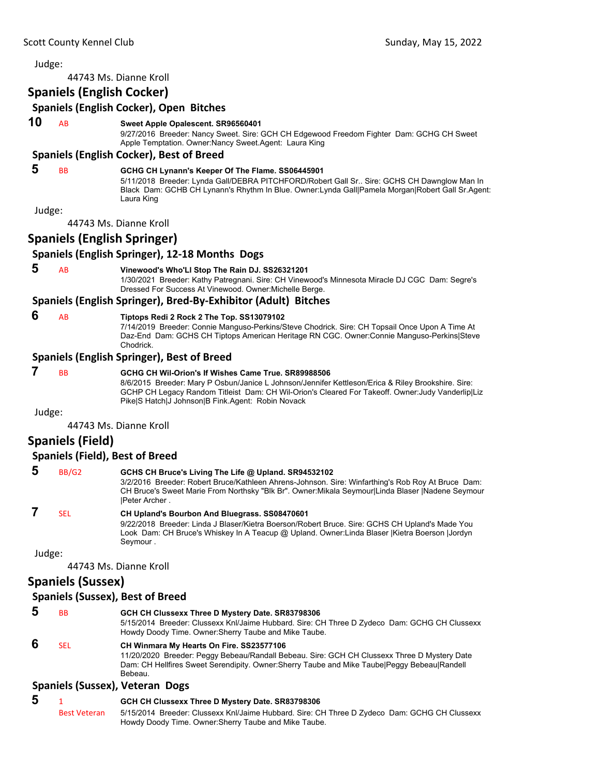44743 Ms. Dianne Kroll

### **Spaniels (English Cocker)**

### **Spaniels (English Cocker), Open Bitches 10** AB **Sweet Apple Opalescent. SR96560401** 9/27/2016 Breeder: Nancy Sweet. Sire: GCH CH Edgewood Freedom Fighter Dam: GCHG CH Sweet Apple Temptation. Owner:Nancy Sweet.Agent: Laura King **Spaniels (English Cocker), Best of Breed 5** BB **GCHG CH Lynann's Keeper Of The Flame. SS06445901** 5/11/2018 Breeder: Lynda Gall/DEBRA PITCHFORD/Robert Gall Sr.. Sire: GCHS CH Dawnglow Man In Black Dam: GCHB CH Lynann's Rhythm In Blue. Owner:Lynda Gall|Pamela Morgan|Robert Gall Sr.Agent: Laura King Judge: 44743 Ms. Dianne Kroll **Spaniels (English Springer) Spaniels (English Springer), 12‐18 Months Dogs 5** AB **Vinewood's Who'Ll Stop The Rain DJ. SS26321201** 1/30/2021 Breeder: Kathy Patregnani. Sire: CH Vinewood's Minnesota Miracle DJ CGC Dam: Segre's Dressed For Success At Vinewood. Owner:Michelle Berge. **Spaniels (English Springer), Bred‐By‐Exhibitor (Adult) Bitches 6** AB **Tiptops Redi 2 Rock 2 The Top. SS13079102** 7/14/2019 Breeder: Connie Manguso-Perkins/Steve Chodrick. Sire: CH Topsail Once Upon A Time At Daz-End Dam: GCHS CH Tiptops American Heritage RN CGC. Owner:Connie Manguso-Perkins|Steve Chodrick. **Spaniels (English Springer), Best of Breed 7** BB **GCHG CH Wil-Orion's If Wishes Came True. SR89988506** 8/6/2015 Breeder: Mary P Osbun/Janice L Johnson/Jennifer Kettleson/Erica & Riley Brookshire. Sire: GCHP CH Legacy Random Titleist Dam: CH Wil-Orion's Cleared For Takeoff. Owner:Judy Vanderlip|Liz Pike|S Hatch|J Johnson|B Fink.Agent: Robin Novack Judge: 44743 Ms. Dianne Kroll **Spaniels (Field) Spaniels (Field), Best of Breed 5** BB/G2 **GCHS CH Bruce's Living The Life @ Upland. SR94532102**

3/2/2016 Breeder: Robert Bruce/Kathleen Ahrens-Johnson. Sire: Winfarthing's Rob Roy At Bruce Dam: CH Bruce's Sweet Marie From Northsky "Blk Br". Owner:Mikala Seymour|Linda Blaser |Nadene Seymour |Peter Archer .

## **7** SEL **CH Upland's Bourbon And Bluegrass. SS08470601**

9/22/2018 Breeder: Linda J Blaser/Kietra Boerson/Robert Bruce. Sire: GCHS CH Upland's Made You Look Dam: CH Bruce's Whiskey In A Teacup @ Upland. Owner:Linda Blaser |Kietra Boerson |Jordyn Seymour .

Judge:

44743 Ms. Dianne Kroll

## **Spaniels (Sussex)**

### **Spaniels (Sussex), Best of Breed**

 **5** BB **GCH CH Clussexx Three D Mystery Date. SR83798306** 5/15/2014 Breeder: Clussexx Knl/Jaime Hubbard. Sire: CH Three D Zydeco Dam: GCHG CH Clussexx Howdy Doody Time. Owner:Sherry Taube and Mike Taube.  **6** SEL **CH Winmara My Hearts On Fire. SS23577106**

11/20/2020 Breeder: Peggy Bebeau/Randall Bebeau. Sire: GCH CH Clussexx Three D Mystery Date Dam: CH Hellfires Sweet Serendipity. Owner:Sherry Taube and Mike Taube|Peggy Bebeau|Randell Bebeau.

### **Spaniels (Sussex), Veteran Dogs**

 **5** <sup>1</sup> **GCH CH Clussexx Three D Mystery Date. SR83798306** Best Veteran 5/15/2014 Breeder: Clussexx Knl/Jaime Hubbard. Sire: CH Three D Zydeco Dam: GCHG CH Clussexx Howdy Doody Time. Owner:Sherry Taube and Mike Taube.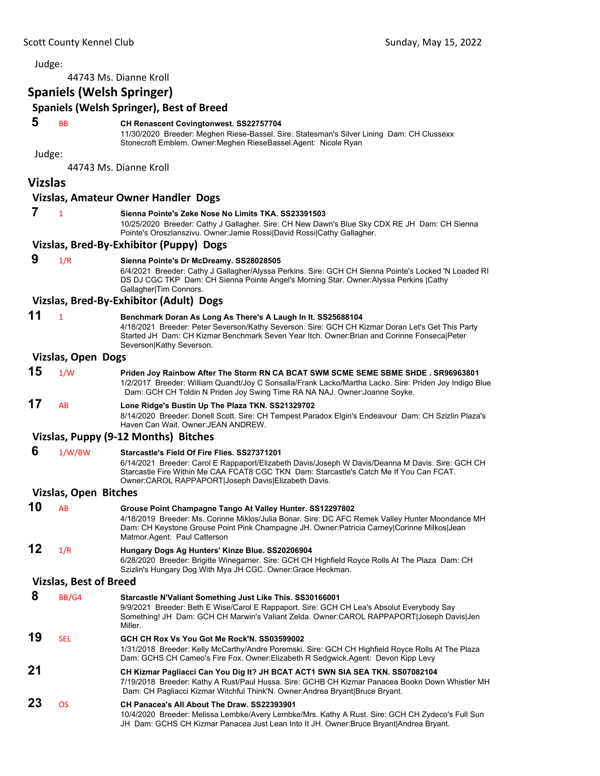44743 Ms. Dianne Kroll

### **Spaniels (Welsh Springer)**

### **Spaniels (Welsh Springer), Best of Breed**

#### **5** BB **CH Renascent Covingtonwest. SS22757704**

11/30/2020 Breeder: Meghen Riese-Bassel. Sire: Statesman's Silver Lining Dam: CH Clussexx Stonecroft Emblem. Owner:Meghen RieseBassel.Agent: Nicole Ryan

Judge:

44743 Ms. Dianne Kroll

#### **Vizslas**

#### **Vizslas, Amateur Owner Handler Dogs**

#### **7** <sup>1</sup> **Sienna Pointe's Zeke Nose No Limits TKA. SS23391503**

10/25/2020 Breeder: Cathy J Gallagher. Sire: CH New Dawn's Blue Sky CDX RE JH Dam: CH Sienna Pointe's Oroszlanszivu. Owner:Jamie Rossi|David Rossi|Cathy Gallagher.

#### **Vizslas, Bred‐By‐Exhibitor (Puppy) Dogs**

#### **9** 1/R **Sienna Pointe's Dr McDreamy. SS28028505**

6/4/2021 Breeder: Cathy J Gallagher/Alyssa Perkins. Sire: GCH CH Sienna Pointe's Locked 'N Loaded RI DS DJ CGC TKP Dam: CH Sienna Pointe Angel's Morning Star. Owner:Alyssa Perkins |Cathy Gallagher|Tim Connors.

#### **Vizslas, Bred‐By‐Exhibitor (Adult) Dogs**

### **11** <sup>1</sup> **Benchmark Doran As Long As There's A Laugh In It. SS25688104**

4/18/2021 Breeder: Peter Severson/Kathy Severson. Sire: GCH CH Kizmar Doran Let's Get This Party Started JH Dam: CH Kizmar Benchmark Seven Year Itch. Owner:Brian and Corinne Fonseca|Peter Severson|Kathy Severson.

#### **Vizslas, Open Dogs**

**15** 1/W **Priden Joy Rainbow After The Storm RN CA BCAT SWM SCME SEME SBME SHDE . SR96963801** 1/2/2017 Breeder: William Quandt/Joy C Sonsalla/Frank Lacko/Martha Lacko. Sire: Priden Joy Indigo Blue Dam: GCH CH Toldin N Priden Joy Swing Time RA NA NAJ. Owner:Joanne Soyke.

# **17** AB **Lone Ridge's Bustin Up The Plaza TKN. SS21329702**

8/14/2020 Breeder: Donell Scott. Sire: CH Tempest Paradox Elgin's Endeavour Dam: CH Szizlin Plaza's Haven Can Wait. Owner:JEAN ANDREW.

#### **Vizslas, Puppy (9‐12 Months) Bitches**

#### **6** 1/W/BW **Starcastle's Field Of Fire Flies. SS27371201** 6/14/2021 Breeder: Carol E Rappaport/Elizabeth Davis/Joseph W Davis/Deanna M Davis. Sire: GCH CH Starcastle Fire Within Me CAA FCAT8 CGC TKN Dam: Starcastle's Catch Me If You Can FCAT. Owner:CAROL RAPPAPORT|Joseph Davis|Elizabeth Davis.

#### **Vizslas, Open Bitches**

| 10 | AB  | Grouse Point Champagne Tango At Valley Hunter. SS12297802                                        |
|----|-----|--------------------------------------------------------------------------------------------------|
|    |     | 4/18/2019 Breeder: Ms. Corinne Miklos/Julia Bonar. Sire: DC AFC Remek Valley Hunter Moondance MH |
|    |     | Dam: CH Keystone Grouse Point Pink Champagne JH. Owner: Patricia Carney Corinne Milkos Jean      |
|    |     | Matmor Agent: Paul Catterson                                                                     |
| 12 | 1/R | Hungary Dogs Ag Hunters' Kinze Blue. SS20206904                                                  |
|    |     | 6/28/2020 Breeder: Brigitte Winegarner. Sire: GCH CH Highfield Royce Rolls At The Plaza Dam: CH  |
|    |     | Szizlin's Hungary Dog With Mya JH CGC. Owner: Grace Heckman.                                     |

#### **Vizslas, Best of Breed**

 **8** BB/G4 **Starcastle N'Valiant Something Just Like This. SS30166001** 9/9/2021 Breeder: Beth E Wise/Carol E Rappaport. Sire: GCH CH Lea's Absolut Everybody Say Something! JH Dam: GCH CH Marwin's Valiant Zelda. Owner:CAROL RAPPAPORT|Joseph Davis|Jen **Miller 19** SEL **GCH CH Rox Vs You Got Me Rock'N. SS03599002** 1/31/2018 Breeder: Kelly McCarthy/Andre Poremski. Sire: GCH CH Highfield Royce Rolls At The Plaza Dam: GCHS CH Cameo's Fire Fox. Owner:Elizabeth R Sedgwick.Agent: Devon Kipp Levy **21 CH Kizmar Pagliacci Can You Dig It? JH BCAT ACT1 SWN SIA SEA TKN. SS07082104** 7/19/2018 Breeder: Kathy A Rust/Paul Hussa. Sire: GCHB CH Kizmar Panacea Bookn Down Whistler MH Dam: CH Pagliacci Kizmar Witchful Think'N. Owner:Andrea Bryant|Bruce Bryant. **23** OS **CH Panacea's All About The Draw. SS22393901**

10/4/2020 Breeder: Melissa Lembke/Avery Lembke/Mrs. Kathy A Rust. Sire: GCH CH Zydeco's Full Sun JH Dam: GCHS CH Kizmar Panacea Just Lean Into It JH. Owner:Bruce Bryant|Andrea Bryant.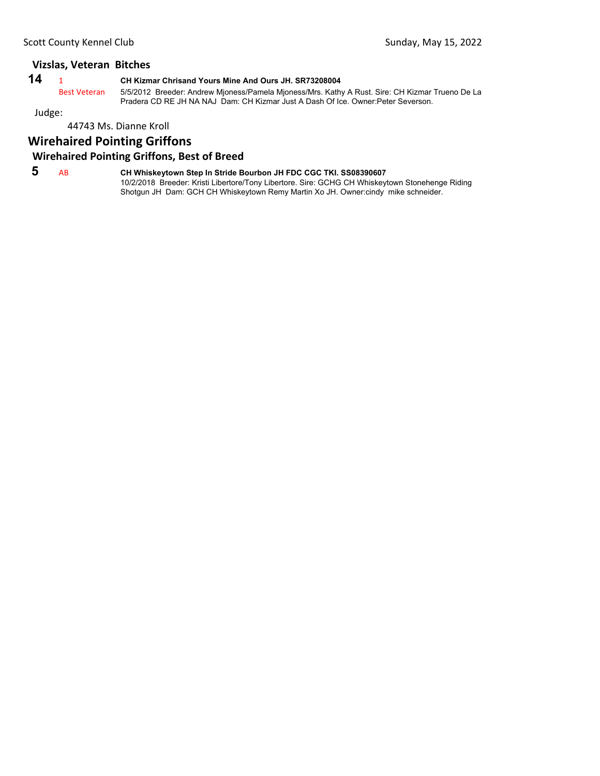### **Vizslas, Veteran Bitches**

| ٦<br>۰, | _ |
|---------|---|
|---------|---|

**14** <sup>1</sup> **CH Kizmar Chrisand Yours Mine And Ours JH. SR73208004**

Best Veteran 5/5/2012 Breeder: Andrew Mjoness/Pamela Mjoness/Mrs. Kathy A Rust. Sire: CH Kizmar Trueno De La Pradera CD RE JH NA NAJ Dam: CH Kizmar Just A Dash Of Ice. Owner:Peter Severson.

Judge:

#### 44743 Ms. Dianne Kroll

### **Wirehaired Pointing Griffons**

### **Wirehaired Pointing Griffons, Best of Breed**

 **5** AB **CH Whiskeytown Step In Stride Bourbon JH FDC CGC TKI. SS08390607** 10/2/2018 Breeder: Kristi Libertore/Tony Libertore. Sire: GCHG CH Whiskeytown Stonehenge Riding Shotgun JH Dam: GCH CH Whiskeytown Remy Martin Xo JH. Owner:cindy mike schneider.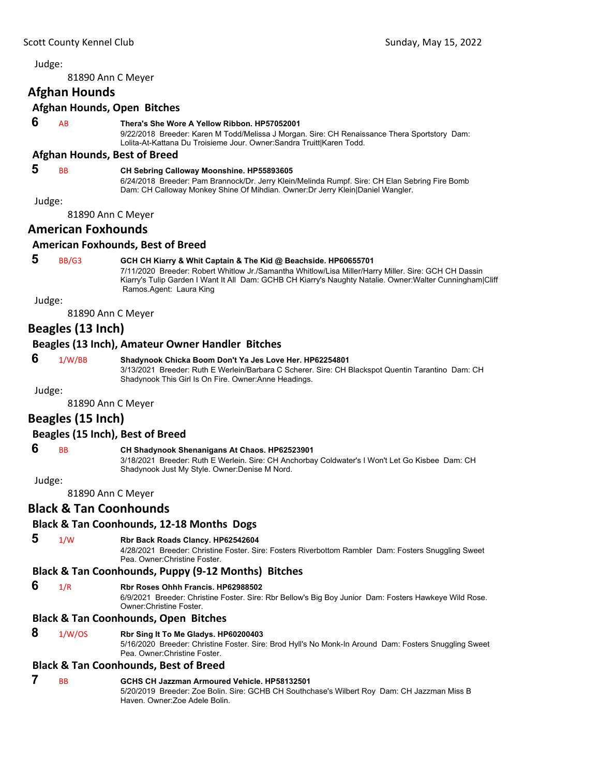<span id="page-10-0"></span>81890 Ann C Meyer

### **Afghan Hounds**

#### **Afghan Hounds, Open Bitches**

#### **6** AB **Thera's She Wore A Yellow Ribbon. HP57052001**

9/22/2018 Breeder: Karen M Todd/Melissa J Morgan. Sire: CH Renaissance Thera Sportstory Dam: Lolita-At-Kattana Du Troisieme Jour. Owner:Sandra Truitt|Karen Todd.

#### **Afghan Hounds, Best of Breed**

### **5** BB **CH Sebring Calloway Moonshine. HP55893605**

6/24/2018 Breeder: Pam Brannock/Dr. Jerry Klein/Melinda Rumpf. Sire: CH Elan Sebring Fire Bomb Dam: CH Calloway Monkey Shine Of Mihdian. Owner:Dr Jerry Klein|Daniel Wangler.

Judge:

81890 Ann C Meyer

### **American Foxhounds**

#### **American Foxhounds, Best of Breed**

### **5** BB/G3 **GCH CH Kiarry & Whit Captain & The Kid @ Beachside. HP60655701**

7/11/2020 Breeder: Robert Whitlow Jr./Samantha Whitlow/Lisa Miller/Harry Miller. Sire: GCH CH Dassin Kiarry's Tulip Garden I Want It All Dam: GCHB CH Kiarry's Naughty Natalie. Owner:Walter Cunningham|Cliff Ramos.Agent: Laura King

Judge:

81890 Ann C Meyer

### **Beagles (13 Inch)**

#### **Beagles (13 Inch), Amateur Owner Handler Bitches**

### **6** 1/W/BB **Shadynook Chicka Boom Don't Ya Jes Love Her. HP62254801**

3/13/2021 Breeder: Ruth E Werlein/Barbara C Scherer. Sire: CH Blackspot Quentin Tarantino Dam: CH Shadynook This Girl Is On Fire. Owner:Anne Headings.

Judge:

81890 Ann C Meyer

### **Beagles (15 Inch)**

#### **Beagles (15 Inch), Best of Breed**

### **6** BB **CH Shadynook Shenanigans At Chaos. HP62523901**

3/18/2021 Breeder: Ruth E Werlein. Sire: CH Anchorbay Coldwater's I Won't Let Go Kisbee Dam: CH Shadynook Just My Style. Owner:Denise M Nord.

Judge:

81890 Ann C Meyer

#### **Black & Tan Coonhounds**

#### **Black & Tan Coonhounds, 12‐18 Months Dogs**

### **5** 1/W **Rbr Back Roads Clancy. HP62542604**

4/28/2021 Breeder: Christine Foster. Sire: Fosters Riverbottom Rambler Dam: Fosters Snuggling Sweet Pea. Owner:Christine Foster.

#### **Black & Tan Coonhounds, Puppy (9‐12 Months) Bitches**

 **6** 1/R **Rbr Roses Ohhh Francis. HP62988502**

6/9/2021 Breeder: Christine Foster. Sire: Rbr Bellow's Big Boy Junior Dam: Fosters Hawkeye Wild Rose. Owner:Christine Foster.

#### **Black & Tan Coonhounds, Open Bitches**

#### **8** 1/W/OS **Rbr Sing It To Me Gladys. HP60200403**

5/16/2020 Breeder: Christine Foster. Sire: Brod Hyll's No Monk-In Around Dam: Fosters Snuggling Sweet Pea. Owner:Christine Foster.

#### **Black & Tan Coonhounds, Best of Breed**

### **7** BB **GCHS CH Jazzman Armoured Vehicle. HP58132501**

5/20/2019 Breeder: Zoe Bolin. Sire: GCHB CH Southchase's Wilbert Roy Dam: CH Jazzman Miss B Haven. Owner:Zoe Adele Bolin.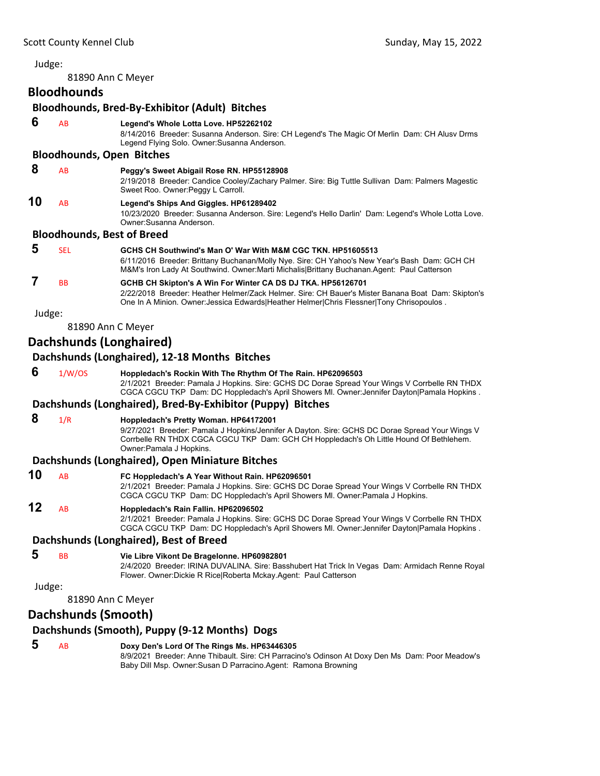81890 Ann C Meyer

### **Bloodhounds**

**Bloodhounds, Bred‐By‐Exhibitor (Adult) Bitches 6** AB **Legend's Whole Lotta Love. HP52262102**

8/14/2016 Breeder: Susanna Anderson. Sire: CH Legend's The Magic Of Merlin Dam: CH Alusv Drms

Legend Flying Solo. Owner:Susanna Anderson.

### **Bloodhounds, Open Bitches**

 **8** AB **Peggy's Sweet Abigail Rose RN. HP55128908**

2/19/2018 Breeder: Candice Cooley/Zachary Palmer. Sire: Big Tuttle Sullivan Dam: Palmers Magestic Sweet Roo. Owner: Peggy L Carroll.

**10** AB **Legend's Ships And Giggles. HP61289402**

10/23/2020 Breeder: Susanna Anderson. Sire: Legend's Hello Darlin' Dam: Legend's Whole Lotta Love. Owner:Susanna Anderson.

### **Bloodhounds, Best of Breed**

| 5 | SEL       | GCHS CH Southwind's Man O' War With M&M CGC TKN. HP51605513<br>6/11/2016 Breeder: Brittany Buchanan/Molly Nye. Sire: CH Yahoo's New Year's Bash Dam: GCH CH<br>M&M's Iron Lady At Southwind. Owner: Marti Michalis Brittany Buchanan. Agent: Paul Catterson  |
|---|-----------|--------------------------------------------------------------------------------------------------------------------------------------------------------------------------------------------------------------------------------------------------------------|
|   | <b>BB</b> | GCHB CH Skipton's A Win For Winter CA DS DJ TKA. HP56126701<br>2/22/2018 Breeder: Heather Helmer/Zack Helmer. Sire: CH Bauer's Mister Banana Boat Dam: Skipton's<br>One In A Minion. Owner: Jessica Edwards Heather Helmer Chris Flessner Tony Chrisopoulos. |

Judge:

81890 Ann C Meyer

### **Dachshunds (Longhaired)**

### **Dachshunds (Longhaired), 12‐18 Months Bitches**

 **6** 1/W/OS **Hoppledach's Rockin With The Rhythm Of The Rain. HP62096503** 2/1/2021 Breeder: Pamala J Hopkins. Sire: GCHS DC Dorae Spread Your Wings V Corrbelle RN THDX CGCA CGCU TKP Dam: DC Hoppledach's April Showers Ml. Owner:Jennifer Dayton|Pamala Hopkins .

### **Dachshunds (Longhaired), Bred‐By‐Exhibitor (Puppy) Bitches**

 **8** 1/R **Hoppledach's Pretty Woman. HP64172001**

9/27/2021 Breeder: Pamala J Hopkins/Jennifer A Dayton. Sire: GCHS DC Dorae Spread Your Wings V Corrbelle RN THDX CGCA CGCU TKP Dam: GCH CH Hoppledach's Oh Little Hound Of Bethlehem. Owner:Pamala J Hopkins.

### **Dachshunds (Longhaired), Open Miniature Bitches**

**10** AB **FC Hoppledach's A Year Without Rain. HP62096501** 2/1/2021 Breeder: Pamala J Hopkins. Sire: GCHS DC Dorae Spread Your Wings V Corrbelle RN THDX CGCA CGCU TKP Dam: DC Hoppledach's April Showers Ml. Owner:Pamala J Hopkins.

### **12** AB **Hoppledach's Rain Fallin. HP62096502**

2/1/2021 Breeder: Pamala J Hopkins. Sire: GCHS DC Dorae Spread Your Wings V Corrbelle RN THDX CGCA CGCU TKP Dam: DC Hoppledach's April Showers Ml. Owner:Jennifer Dayton|Pamala Hopkins .

### **Dachshunds (Longhaired), Best of Breed**

 **5** BB **Vie Libre Vikont De Bragelonne. HP60982801**

2/4/2020 Breeder: IRINA DUVALINA. Sire: Basshubert Hat Trick In Vegas Dam: Armidach Renne Royal Flower. Owner:Dickie R Rice|Roberta Mckay.Agent: Paul Catterson

Judge:

81890 Ann C Meyer

### **Dachshunds (Smooth)**

### **Dachshunds (Smooth), Puppy (9‐12 Months) Dogs**

 **5** AB **Doxy Den's Lord Of The Rings Ms. HP63446305**

8/9/2021 Breeder: Anne Thibault. Sire: CH Parracino's Odinson At Doxy Den Ms Dam: Poor Meadow's Baby Dill Msp. Owner:Susan D Parracino.Agent: Ramona Browning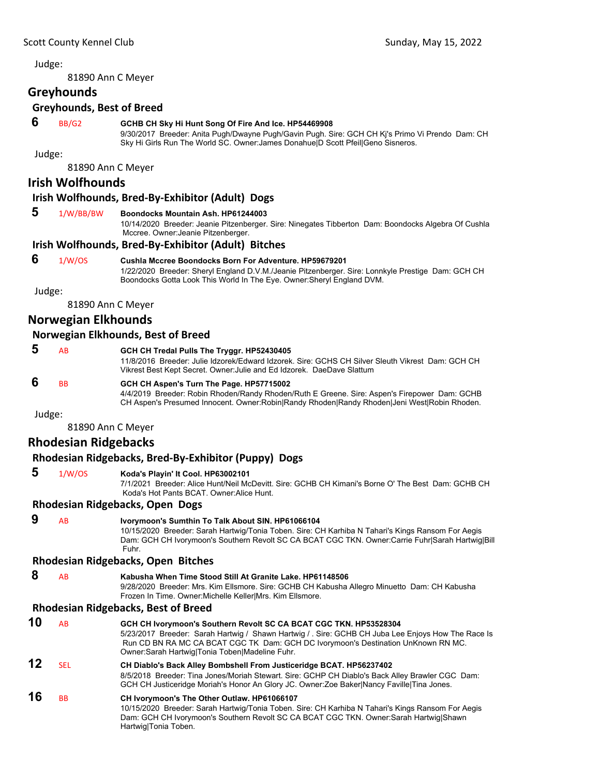81890 Ann C Meyer

#### **Greyhounds**

#### **Greyhounds, Best of Breed**

### **6** BB/G2 **GCHB CH Sky Hi Hunt Song Of Fire And Ice. HP54469908**

9/30/2017 Breeder: Anita Pugh/Dwayne Pugh/Gavin Pugh. Sire: GCH CH Kj's Primo Vi Prendo Dam: CH Sky Hi Girls Run The World SC. Owner:James Donahue|D Scott Pfeil|Geno Sisneros.

Judge:

81890 Ann C Meyer

#### **Irish Wolfhounds**

#### **Irish Wolfhounds, Bred‐By‐Exhibitor (Adult) Dogs**

#### **5** 1/W/BB/BW **Boondocks Mountain Ash. HP61244003**

10/14/2020 Breeder: Jeanie Pitzenberger. Sire: Ninegates Tibberton Dam: Boondocks Algebra Of Cushla Mccree. Owner:Jeanie Pitzenberger.

#### **Irish Wolfhounds, Bred‐By‐Exhibitor (Adult) Bitches**

 **6** 1/W/OS **Cushla Mccree Boondocks Born For Adventure. HP59679201** 1/22/2020 Breeder: Sheryl England D.V.M./Jeanie Pitzenberger. Sire: Lonnkyle Prestige Dam: GCH CH Boondocks Gotta Look This World In The Eye. Owner:Sheryl England DVM.

Judge:

81890 Ann C Meyer

### **Norwegian Elkhounds**

#### **Norwegian Elkhounds, Best of Breed**

| AB        | GCH CH Tredal Pulls The Tryggr. HP52430405                                                       |
|-----------|--------------------------------------------------------------------------------------------------|
|           | 11/8/2016 Breeder: Julie Idzorek/Edward Idzorek, Sire: GCHS CH Silver Sleuth Vikrest Dam: GCH CH |
|           | Vikrest Best Kept Secret. Owner: Julie and Ed Idzorek. DaeDave Slattum                           |
| <b>BB</b> | GCH CH Aspen's Turn The Page. HP57715002                                                         |

4/4/2019 Breeder: Robin Rhoden/Randy Rhoden/Ruth E Greene. Sire: Aspen's Firepower Dam: GCHB CH Aspen's Presumed Innocent. Owner:Robin|Randy Rhoden|Randy Rhoden|Jeni West|Robin Rhoden.

Judge:

81890 Ann C Meyer

### **Rhodesian Ridgebacks**

### **Rhodesian Ridgebacks, Bred‐By‐Exhibitor (Puppy) Dogs**

 **5** 1/W/OS **Koda's Playin' It Cool. HP63002101** 7/1/2021 Breeder: Alice Hunt/Neil McDevitt. Sire: GCHB CH Kimani's Borne O' The Best Dam: GCHB CH Koda's Hot Pants BCAT. Owner:Alice Hunt.

#### **Rhodesian Ridgebacks, Open Dogs**

| A <sub>R</sub> | Ivorymoon's Sumthin To Talk About SIN, HP61066104                                                 |
|----------------|---------------------------------------------------------------------------------------------------|
|                | 10/15/2020 Breeder: Sarah Hartwig/Tonia Toben. Sire: CH Karhiba N Tahari's Kings Ransom For Aegis |
|                | Dam: GCH CH Ivorymoon's Southern Revolt SC CA BCAT CGC TKN. Owner:Carrie Fuhr Sarah Hartwig Bill  |
|                | Fuhr.                                                                                             |

#### **Rhodesian Ridgebacks, Open Bitches**

| 8 | A <sub>B</sub> | Kabusha When Time Stood Still At Granite Lake, HP61148506                                    |
|---|----------------|----------------------------------------------------------------------------------------------|
|   |                | 9/28/2020 Breeder: Mrs. Kim Ellsmore. Sire: GCHB CH Kabusha Allegro Minuetto Dam: CH Kabusha |
|   |                | Frozen In Time. Owner: Michelle Keller Mrs. Kim Ellsmore.                                    |

#### **Rhodesian Ridgebacks, Best of Breed**

| 10 | AB         | GCH CH Ivorymoon's Southern Revolt SC CA BCAT CGC TKN. HP53528304<br>5/23/2017 Breeder: Sarah Hartwig / Shawn Hartwig / . Sire: GCHB CH Juba Lee Enjoys How The Race Is<br>Run CD BN RA MC CA BCAT CGC TK Dam: GCH DC Ivorymoon's Destination UnKnown RN MC.<br>Owner: Sarah Hartwig Tonia Toben Madeline Fuhr. |
|----|------------|-----------------------------------------------------------------------------------------------------------------------------------------------------------------------------------------------------------------------------------------------------------------------------------------------------------------|
| 12 | <b>SEL</b> | CH Diablo's Back Alley Bombshell From Justiceridge BCAT. HP56237402<br>8/5/2018 Breeder: Tina Jones/Moriah Stewart. Sire: GCHP CH Diablo's Back Alley Brawler CGC Dam:<br>GCH CH Justiceridge Moriah's Honor An Glory JC. Owner: Zoe Baker Nancy Faville Tina Jones.                                            |
| 16 | <b>BB</b>  | CH Ivorymoon's The Other Outlaw. HP61066107<br>10/15/2020 Breeder: Sarah Hartwig/Tonia Toben. Sire: CH Karhiba N Tahari's Kings Ransom For Aegis<br>Dam: GCH CH Ivorymoon's Southern Revolt SC CA BCAT CGC TKN. Owner:Sarah Hartwig Shawn<br>Hartwig Tonia Toben.                                               |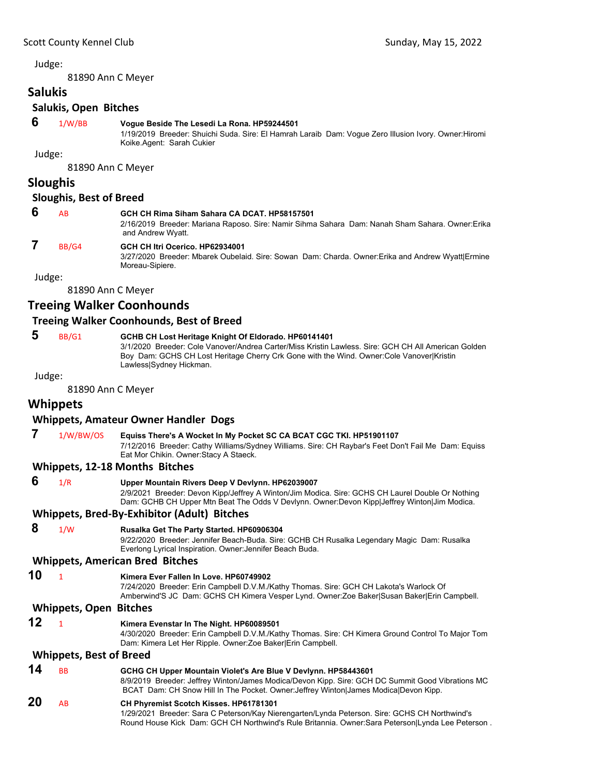81890 Ann C Meyer

**Salukis**

### **Salukis, Open Bitches**

 **6** 1/W/BB **Vogue Beside The Lesedi La Rona. HP59244501**

1/19/2019 Breeder: Shuichi Suda. Sire: El Hamrah Laraib Dam: Vogue Zero Illusion Ivory. Owner:Hiromi Koike.Agent: Sarah Cukier

Judge:

81890 Ann C Meyer

#### **Sloughis**

#### **Sloughis, Best of Breed**

### **6** AB **GCH CH Rima Siham Sahara CA DCAT. HP58157501**

2/16/2019 Breeder: Mariana Raposo. Sire: Namir Sihma Sahara Dam: Nanah Sham Sahara. Owner:Erika and Andrew Wyatt.

### **7** BB/G4 **GCH CH Itri Ocerico. HP62934001**

3/27/2020 Breeder: Mbarek Oubelaid. Sire: Sowan Dam: Charda. Owner:Erika and Andrew Wyatt|Ermine Moreau-Sipiere.

Judge:

81890 Ann C Meyer

### **Treeing Walker Coonhounds**

#### **Treeing Walker Coonhounds, Best of Breed**

### **5** BB/G1 **GCHB CH Lost Heritage Knight Of Eldorado. HP60141401**

3/1/2020 Breeder: Cole Vanover/Andrea Carter/Miss Kristin Lawless. Sire: GCH CH All American Golden Boy Dam: GCHS CH Lost Heritage Cherry Crk Gone with the Wind. Owner:Cole Vanover|Kristin Lawless|Sydney Hickman.

Judge:

81890 Ann C Meyer

### **Whippets**

#### **Whippets, Amateur Owner Handler Dogs**

 **7** 1/W/BW/OS **Equiss There's A Wocket In My Pocket SC CA BCAT CGC TKI. HP51901107**

7/12/2016 Breeder: Cathy Williams/Sydney Williams. Sire: CH Raybar's Feet Don't Fail Me Dam: Equiss Eat Mor Chikin. Owner:Stacy A Staeck.

#### **Whippets, 12‐18 Months Bitches**

 **6** 1/R **Upper Mountain Rivers Deep V Devlynn. HP62039007** 2/9/2021 Breeder: Devon Kipp/Jeffrey A Winton/Jim Modica. Sire: GCHS CH Laurel Double Or Nothing Dam: GCHB CH Upper Mtn Beat The Odds V Devlynn. Owner:Devon Kipp|Jeffrey Winton|Jim Modica. **Whippets, Bred‐By‐Exhibitor (Adult) Bitches 8** 1/W **Rusalka Get The Party Started. HP60906304** 9/22/2020 Breeder: Jennifer Beach-Buda. Sire: GCHB CH Rusalka Legendary Magic Dam: Rusalka Everlong Lyrical Inspiration. Owner:Jennifer Beach Buda. **Whippets, American Bred Bitches 10** <sup>1</sup> **Kimera Ever Fallen In Love. HP60749902** 7/24/2020 Breeder: Erin Campbell D.V.M./Kathy Thomas. Sire: GCH CH Lakota's Warlock Of Amberwind'S JC Dam: GCHS CH Kimera Vesper Lynd. Owner:Zoe Baker|Susan Baker|Erin Campbell.

#### **Whippets, Open Bitches**

**12** <sup>1</sup> **Kimera Evenstar In The Night. HP60089501**

4/30/2020 Breeder: Erin Campbell D.V.M./Kathy Thomas. Sire: CH Kimera Ground Control To Major Tom Dam: Kimera Let Her Ripple. Owner:Zoe Baker|Erin Campbell.

#### **Whippets, Best of Breed**

- **14** BB **GCHG CH Upper Mountain Violet's Are Blue V Devlynn. HP58443601** 8/9/2019 Breeder: Jeffrey Winton/James Modica/Devon Kipp. Sire: GCH DC Summit Good Vibrations MC BCAT Dam: CH Snow Hill In The Pocket. Owner:Jeffrey Winton|James Modica|Devon Kipp. **20** AB **CH Phyremist Scotch Kisses. HP61781301**
- 1/29/2021 Breeder: Sara C Peterson/Kay Nierengarten/Lynda Peterson. Sire: GCHS CH Northwind's Round House Kick Dam: GCH CH Northwind's Rule Britannia. Owner:Sara Peterson|Lynda Lee Peterson .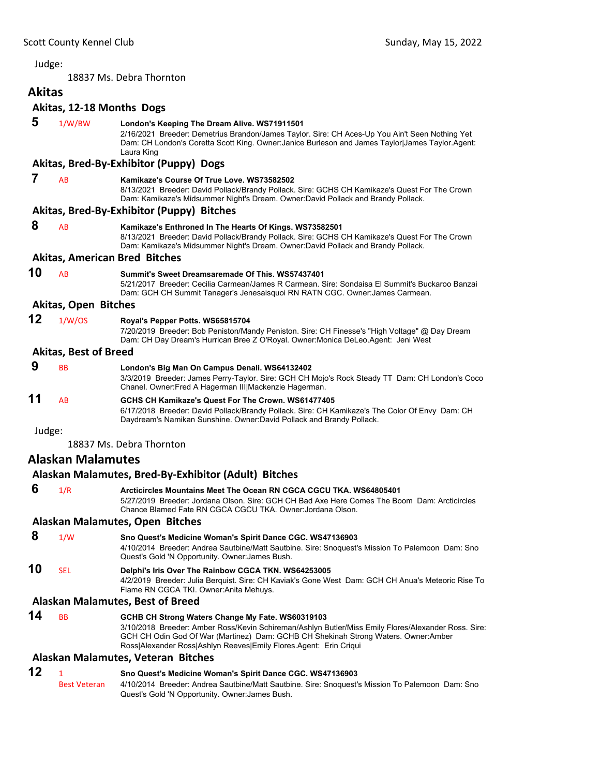18837 Ms. Debra Thornton

<span id="page-14-0"></span>

| <b>Akitas</b> |                              |                                                                                                                                                                                                                                                                   |
|---------------|------------------------------|-------------------------------------------------------------------------------------------------------------------------------------------------------------------------------------------------------------------------------------------------------------------|
|               |                              | Akitas, 12-18 Months Dogs                                                                                                                                                                                                                                         |
| 5             | 1/W/BW                       | London's Keeping The Dream Alive. WS71911501<br>2/16/2021 Breeder: Demetrius Brandon/James Taylor. Sire: CH Aces-Up You Ain't Seen Nothing Yet<br>Dam: CH London's Coretta Scott King. Owner: Janice Burleson and James Taylor James Taylor. Agent:<br>Laura King |
|               |                              | Akitas, Bred-By-Exhibitor (Puppy) Dogs                                                                                                                                                                                                                            |
| 7             | AB                           | Kamikaze's Course Of True Love. WS73582502<br>8/13/2021 Breeder: David Pollack/Brandy Pollack. Sire: GCHS CH Kamikaze's Quest For The Crown<br>Dam: Kamikaze's Midsummer Night's Dream. Owner:David Pollack and Brandy Pollack.                                   |
|               |                              | Akitas, Bred-By-Exhibitor (Puppy) Bitches                                                                                                                                                                                                                         |
| 8             | AB                           | Kamikaze's Enthroned In The Hearts Of Kings. WS73582501<br>8/13/2021 Breeder: David Pollack/Brandy Pollack. Sire: GCHS CH Kamikaze's Quest For The Crown<br>Dam: Kamikaze's Midsummer Night's Dream. Owner:David Pollack and Brandy Pollack.                      |
|               |                              | <b>Akitas, American Bred Bitches</b>                                                                                                                                                                                                                              |
| 10            | AB                           | Summit's Sweet Dreamsaremade Of This. WS57437401<br>5/21/2017 Breeder: Cecilia Carmean/James R Carmean. Sire: Sondaisa El Summit's Buckaroo Banzai<br>Dam: GCH CH Summit Tanager's Jenesaisquoi RN RATN CGC. Owner: James Carmean.                                |
|               | <b>Akitas, Open Bitches</b>  |                                                                                                                                                                                                                                                                   |
| 12            | 1/W/OS                       | Royal's Pepper Potts. WS65815704<br>7/20/2019 Breeder: Bob Peniston/Mandy Peniston. Sire: CH Finesse's "High Voltage" @ Day Dream<br>Dam: CH Day Dream's Hurrican Bree Z O'Royal. Owner: Monica DeLeo. Agent: Jeni West                                           |
|               | <b>Akitas, Best of Breed</b> |                                                                                                                                                                                                                                                                   |
| 9             | <b>BB</b>                    | London's Big Man On Campus Denali. WS64132402<br>3/3/2019 Breeder: James Perry-Taylor. Sire: GCH CH Mojo's Rock Steady TT Dam: CH London's Coco<br>Chanel. Owner: Fred A Hagerman III  Mackenzie Hagerman.                                                        |
| 11            | AB                           | GCHS CH Kamikaze's Quest For The Crown. WS61477405<br>6/17/2018 Breeder: David Pollack/Brandy Pollack. Sire: CH Kamikaze's The Color Of Envy Dam: CH<br>Daydream's Namikan Sunshine. Owner:David Pollack and Brandy Pollack.                                      |
| Judge:        |                              |                                                                                                                                                                                                                                                                   |
|               |                              | 18837 Ms. Debra Thornton                                                                                                                                                                                                                                          |
|               | Alaskan Malamutes            |                                                                                                                                                                                                                                                                   |
|               |                              | Alaskan Malamutes, Bred-By-Exhibitor (Adult) Bitches                                                                                                                                                                                                              |
| 6             | 1/R                          | Arcticircles Mountains Meet The Ocean RN CGCA CGCU TKA. WS64805401<br>5/27/2019 Breeder: Jordana Olson. Sire: GCH CH Bad Axe Here Comes The Boom Dam: Arcticircles<br>Chance Blamed Fate RN CGCA CGCU TKA. Owner: Jordana Olson.                                  |
|               |                              | Alaskan Malamutes, Open Bitches                                                                                                                                                                                                                                   |
| 8             | 1/W                          | Sno Quest's Medicine Woman's Spirit Dance CGC. WS47136903<br>4/10/2014 Breeder: Andrea Sautbine/Matt Sautbine. Sire: Snoquest's Mission To Palemoon Dam: Sno<br>Quest's Gold 'N Opportunity. Owner: James Bush.                                                   |
| 10            | SEL                          | Delphi's Iris Over The Rainbow CGCA TKN. WS64253005<br>4/2/2019 Breeder: Julia Berquist. Sire: CH Kaviak's Gone West Dam: GCH CH Anua's Meteoric Rise To<br>Flame RN CGCA TKI. Owner: Anita Mehuys.                                                               |
|               |                              | <b>Alaskan Malamutes, Best of Breed</b>                                                                                                                                                                                                                           |
| 14            | <b>BB</b>                    | GCHB CH Strong Waters Change My Fate. WS60319103<br>3/10/2018 Breeder: Amber Ross/Kevin Schireman/Ashlyn Butler/Miss Emily Flores/Alexander Ross. Sire:                                                                                                           |

Ross|Alexander Ross|Ashlyn Reeves|Emily Flores.Agent: Erin Criqui

# **Alaskan Malamutes, Veteran Bitches**

| 12 |                     | Sno Quest's Medicine Woman's Spirit Dance CGC. WS47136903                                       |
|----|---------------------|-------------------------------------------------------------------------------------------------|
|    | <b>Best Veteran</b> | 4/10/2014 Breeder: Andrea Sautbine/Matt Sautbine. Sire: Snoguest's Mission To Palemoon Dam: Sno |
|    |                     | Quest's Gold 'N Opportunity. Owner: James Bush.                                                 |

GCH CH Odin God Of War (Martinez) Dam: GCHB CH Shekinah Strong Waters. Owner:Amber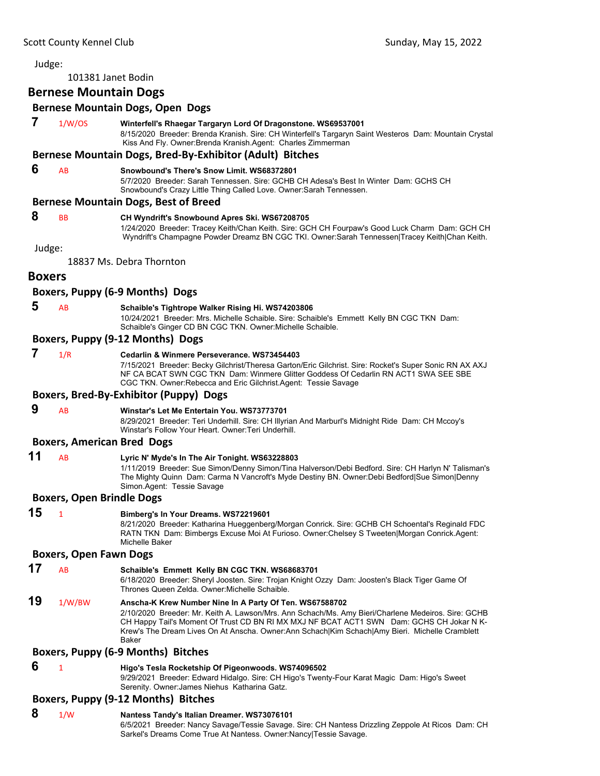101381 Janet Bodin

**Bernese Mountain Dogs**

#### **Bernese Mountain Dogs, Open Dogs**

#### **7** 1/W/OS **Winterfell's Rhaegar Targaryn Lord Of Dragonstone. WS69537001**

8/15/2020 Breeder: Brenda Kranish. Sire: CH Winterfell's Targaryn Saint Westeros Dam: Mountain Crystal Kiss And Fly. Owner:Brenda Kranish.Agent: Charles Zimmerman

#### **Bernese Mountain Dogs, Bred‐By‐Exhibitor (Adult) Bitches**

#### **6** AB **Snowbound's There's Snow Limit. WS68372801**

5/7/2020 Breeder: Sarah Tennessen. Sire: GCHB CH Adesa's Best In Winter Dam: GCHS CH Snowbound's Crazy Little Thing Called Love. Owner:Sarah Tennessen.

#### **Bernese Mountain Dogs, Best of Breed**

### **8** BB **CH Wyndrift's Snowbound Apres Ski. WS67208705**

1/24/2020 Breeder: Tracey Keith/Chan Keith. Sire: GCH CH Fourpaw's Good Luck Charm Dam: GCH CH Wyndrift's Champagne Powder Dreamz BN CGC TKI. Owner:Sarah Tennessen|Tracey Keith|Chan Keith.

Judge:

18837 Ms. Debra Thornton

#### **Boxers**

#### **Boxers, Puppy (6‐9 Months) Dogs**

### **5** AB **Schaible's Tightrope Walker Rising Hi. WS74203806**

10/24/2021 Breeder: Mrs. Michelle Schaible. Sire: Schaible's Emmett Kelly BN CGC TKN Dam: Schaible's Ginger CD BN CGC TKN. Owner:Michelle Schaible.

#### **Boxers, Puppy (9‐12 Months) Dogs**

### **7** 1/R **Cedarlin & Winmere Perseverance. WS73454403**

7/15/2021 Breeder: Becky Gilchrist/Theresa Garton/Eric Gilchrist. Sire: Rocket's Super Sonic RN AX AXJ NF CA BCAT SWN CGC TKN Dam: Winmere Glitter Goddess Of Cedarlin RN ACT1 SWA SEE SBE CGC TKN. Owner:Rebecca and Eric Gilchrist.Agent: Tessie Savage

#### **Boxers, Bred‐By‐Exhibitor (Puppy) Dogs**

 **9** AB **Winstar's Let Me Entertain You. WS73773701**

8/29/2021 Breeder: Teri Underhill. Sire: CH Illyrian And Marburl's Midnight Ride Dam: CH Mccoy's Winstar's Follow Your Heart. Owner:Teri Underhill.

#### **Boxers, American Bred Dogs**

#### **11** AB **Lyric N' Myde's In The Air Tonight. WS63228803**

1/11/2019 Breeder: Sue Simon/Denny Simon/Tina Halverson/Debi Bedford. Sire: CH Harlyn N' Talisman's The Mighty Quinn Dam: Carma N Vancroft's Myde Destiny BN. Owner:Debi Bedford|Sue Simon|Denny Simon.Agent: Tessie Savage

#### **Boxers, Open Brindle Dogs**

#### **15** <sup>1</sup> **Bimberg's In Your Dreams. WS72219601** 8/21/2020 Breeder: Katharina Hueggenberg/Morgan Conrick. Sire: GCHB CH Schoental's Reginald FDC RATN TKN Dam: Bimbergs Excuse Moi At Furioso. Owner:Chelsey S Tweeten|Morgan Conrick.Agent: Michelle Baker

#### **Boxers, Open Fawn Dogs**

**17** AB **Schaible's Emmett Kelly BN CGC TKN. WS68683701**

6/18/2020 Breeder: Sheryl Joosten. Sire: Trojan Knight Ozzy Dam: Joosten's Black Tiger Game Of Thrones Queen Zelda. Owner:Michelle Schaible.

### **19** 1/W/BW **Anscha-K Krew Number Nine In A Party Of Ten. WS67588702**

2/10/2020 Breeder: Mr. Keith A. Lawson/Mrs. Ann Schach/Ms. Amy Bieri/Charlene Medeiros. Sire: GCHB CH Happy Tail's Moment Of Trust CD BN RI MX MXJ NF BCAT ACT1 SWN Dam: GCHS CH Jokar N K-Krew's The Dream Lives On At Anscha. Owner:Ann Schach|Kim Schach|Amy Bieri. Michelle Cramblett Baker

#### **Boxers, Puppy (6‐9 Months) Bitches**

#### **6** <sup>1</sup> **Higo's Tesla Rocketship Of Pigeonwoods. WS74096502**

9/29/2021 Breeder: Edward Hidalgo. Sire: CH Higo's Twenty-Four Karat Magic Dam: Higo's Sweet Serenity. Owner:James Niehus Katharina Gatz.

#### **Boxers, Puppy (9‐12 Months) Bitches**

#### **8** 1/W **Nantess Tandy's Italian Dreamer. WS73076101**

6/5/2021 Breeder: Nancy Savage/Tessie Savage. Sire: CH Nantess Drizzling Zeppole At Ricos Dam: CH Sarkel's Dreams Come True At Nantess. Owner:Nancy|Tessie Savage.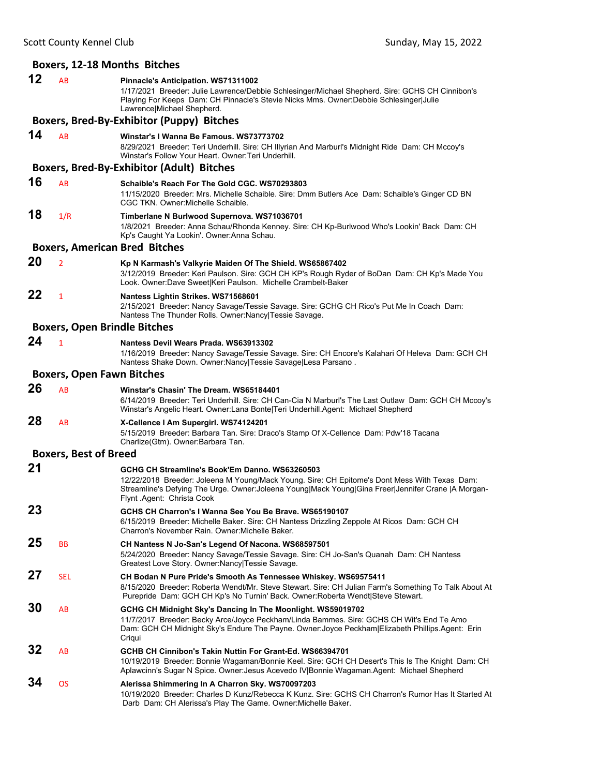#### **Boxers, 12‐18 Months Bitches 12** AB **Pinnacle's Anticipation. WS71311002** 1/17/2021 Breeder: Julie Lawrence/Debbie Schlesinger/Michael Shepherd. Sire: GCHS CH Cinnibon's Playing For Keeps Dam: CH Pinnacle's Stevie Nicks Mms. Owner:Debbie Schlesinger|Julie Lawrence|Michael Shepherd. **Boxers, Bred‐By‐Exhibitor (Puppy) Bitches 14** AB **Winstar's I Wanna Be Famous. WS73773702**

8/29/2021 Breeder: Teri Underhill. Sire: CH Illyrian And Marburl's Midnight Ride Dam: CH Mccoy's Winstar's Follow Your Heart. Owner:Teri Underhill.

#### **Boxers, Bred‐By‐Exhibitor (Adult) Bitches**

**16** AB **Schaible's Reach For The Gold CGC. WS70293803** 11/15/2020 Breeder: Mrs. Michelle Schaible. Sire: Dmm Butlers Ace Dam: Schaible's Ginger CD BN CGC TKN. Owner:Michelle Schaible.

### **18** 1/R **Timberlane N Burlwood Supernova. WS71036701**

1/8/2021 Breeder: Anna Schau/Rhonda Kenney. Sire: CH Kp-Burlwood Who's Lookin' Back Dam: CH Kp's Caught Ya Lookin'. Owner:Anna Schau.

#### **Boxers, American Bred Bitches**

#### **20** <sup>2</sup> **Kp N Karmash's Valkyrie Maiden Of The Shield. WS65867402**

3/12/2019 Breeder: Keri Paulson. Sire: GCH CH KP's Rough Ryder of BoDan Dam: CH Kp's Made You Look. Owner:Dave Sweet|Keri Paulson. Michelle Crambelt-Baker

### **22** <sup>1</sup> **Nantess Lightin Strikes. WS71568601**

2/15/2021 Breeder: Nancy Savage/Tessie Savage. Sire: GCHG CH Rico's Put Me In Coach Dam: Nantess The Thunder Rolls. Owner:Nancy|Tessie Savage.

#### **Boxers, Open Brindle Bitches**

1/16/2019 Breeder: Nancy Savage/Tessie Savage. Sire: CH Encore's Kalahari Of Heleva Dam: GCH CH Nantess Shake Down. Owner:Nancy|Tessie Savage|Lesa Parsano .

#### **Boxers, Open Fawn Bitches**

#### **26** AB **Winstar's Chasin' The Dream. WS65184401**

6/14/2019 Breeder: Teri Underhill. Sire: CH Can-Cia N Marburl's The Last Outlaw Dam: GCH CH Mccoy's Winstar's Angelic Heart. Owner:Lana Bonte|Teri Underhill.Agent: Michael Shepherd

## **28** AB **X-Cellence I Am Supergirl. WS74124201**

5/15/2019 Breeder: Barbara Tan. Sire: Draco's Stamp Of X-Cellence Dam: Pdw'18 Tacana Charlize(Gtm). Owner:Barbara Tan.

#### **Boxers, Best of Breed**

| 21 |            | GCHG CH Streamline's Book'Em Danno, WS63260503<br>12/22/2018 Breeder: Joleena M Young/Mack Young. Sire: CH Epitome's Dont Mess With Texas Dam:<br>Streamline's Defying The Urge. Owner: Joleena Young Mack Young Gina Freer Jennifer Crane  A Morgan-<br>Flynt Agent: Christa Cook |
|----|------------|------------------------------------------------------------------------------------------------------------------------------------------------------------------------------------------------------------------------------------------------------------------------------------|
| 23 |            | GCHS CH Charron's I Wanna See You Be Brave, WS65190107<br>6/15/2019 Breeder: Michelle Baker. Sire: CH Nantess Drizzling Zeppole At Ricos Dam: GCH CH<br>Charron's November Rain, Owner: Michelle Baker,                                                                            |
| 25 | <b>BB</b>  | CH Nantess N Jo-San's Legend Of Nacona. WS68597501<br>5/24/2020 Breeder: Nancy Savage/Tessie Savage. Sire: CH Jo-San's Quanah Dam: CH Nantess<br>Greatest Love Story. Owner: Nancy   Tessie Savage.                                                                                |
| 27 | <b>SEL</b> | CH Bodan N Pure Pride's Smooth As Tennessee Whiskey. WS69575411<br>8/15/2020 Breeder: Roberta Wendt/Mr. Steve Stewart. Sire: CH Julian Farm's Something To Talk About At<br>Purepride Dam: GCH CH Kp's No Turnin' Back. Owner: Roberta Wendt Steve Stewart.                        |
| 30 | <b>AB</b>  | GCHG CH Midnight Sky's Dancing In The Moonlight. WS59019702<br>11/7/2017 Breeder: Becky Arce/Joyce Peckham/Linda Bammes. Sire: GCHS CH Wit's End Te Amo<br>Dam: GCH CH Midnight Sky's Endure The Payne. Owner: Joyce Peckham Elizabeth Phillips. Agent: Erin<br>Criqui             |
| 32 | AB         | GCHB CH Cinnibon's Takin Nuttin For Grant-Ed. WS66394701<br>10/19/2019 Breeder: Bonnie Wagaman/Bonnie Keel. Sire: GCH CH Desert's This Is The Knight Dam: CH<br>Aplawcinn's Sugar N Spice. Owner: Jesus Acevedo IV Bonnie Wagaman. Agent: Michael Shepherd                         |
| 34 | <b>OS</b>  | Alerissa Shimmering In A Charron Sky. WS70097203<br>10/19/2020 Breeder: Charles D Kunz/Rebecca K Kunz, Sire: GCHS CH Charron's Rumor Has It Started At<br>Darb Dam: CH Alerissa's Play The Game. Owner: Michelle Baker.                                                            |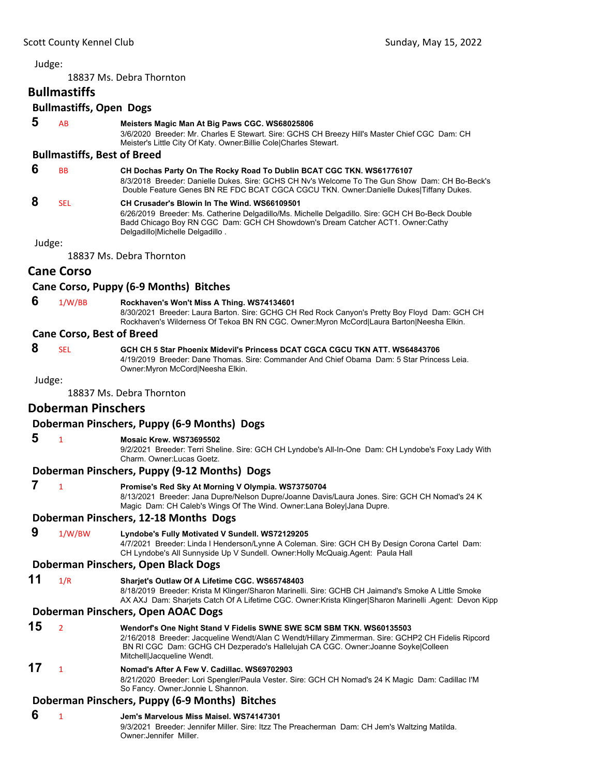18837 Ms. Debra Thornton

#### **Bullmastiffs**

### **Bullmastiffs, Open Dogs**

- 
- **5** AB **Meisters Magic Man At Big Paws CGC. WS68025806**

3/6/2020 Breeder: Mr. Charles E Stewart. Sire: GCHS CH Breezy Hill's Master Chief CGC Dam: CH Meister's Little City Of Katy. Owner:Billie Cole|Charles Stewart.

#### **Bullmastiffs, Best of Breed**

 **6** BB **CH Dochas Party On The Rocky Road To Dublin BCAT CGC TKN. WS61776107**

8/3/2018 Breeder: Danielle Dukes. Sire: GCHS CH Nv's Welcome To The Gun Show Dam: CH Bo-Beck's Double Feature Genes BN RE FDC BCAT CGCA CGCU TKN. Owner:Danielle Dukes|Tiffany Dukes.

#### **8** SEL **CH Crusader's Blowin In The Wind. WS66109501** 6/26/2019 Breeder: Ms. Catherine Delgadillo/Ms. Michelle Delgadillo. Sire: GCH CH Bo-Beck Double

Badd Chicago Boy RN CGC Dam: GCH CH Showdown's Dream Catcher ACT1. Owner:Cathy Delgadillo|Michelle Delgadillo .

Judge:

18837 Ms. Debra Thornton

### **Cane Corso**

#### **Cane Corso, Puppy (6‐9 Months) Bitches**

 **6** 1/W/BB **Rockhaven's Won't Miss A Thing. WS74134601** 8/30/2021 Breeder: Laura Barton. Sire: GCHG CH Red Rock Canyon's Pretty Boy Floyd Dam: GCH CH Rockhaven's Wilderness Of Tekoa BN RN CGC. Owner:Myron McCord|Laura Barton|Neesha Elkin.

#### **Cane Corso, Best of Breed**

 **8** SEL **GCH CH 5 Star Phoenix Midevil's Princess DCAT CGCA CGCU TKN ATT. WS64843706** 4/19/2019 Breeder: Dane Thomas. Sire: Commander And Chief Obama Dam: 5 Star Princess Leia. Owner:Myron McCord|Neesha Elkin.

Judge:

18837 Ms. Debra Thornton

### **Doberman Pinschers**

### **Doberman Pinschers, Puppy (6‐9 Months) Dogs**

#### **5** <sup>1</sup> **Mosaic Krew. WS73695502**

9/2/2021 Breeder: Terri Sheline. Sire: GCH CH Lyndobe's All-In-One Dam: CH Lyndobe's Foxy Lady With Charm. Owner:Lucas Goetz.

#### **Doberman Pinschers, Puppy (9‐12 Months) Dogs**

 **7** <sup>1</sup> **Promise's Red Sky At Morning V Olympia. WS73750704**

8/13/2021 Breeder: Jana Dupre/Nelson Dupre/Joanne Davis/Laura Jones. Sire: GCH CH Nomad's 24 K Magic Dam: CH Caleb's Wings Of The Wind. Owner:Lana Boley|Jana Dupre.

#### **Doberman Pinschers, 12‐18 Months Dogs**

 **9** 1/W/BW **Lyndobe's Fully Motivated V Sundell. WS72129205**

4/7/2021 Breeder: Linda I Henderson/Lynne A Coleman. Sire: GCH CH By Design Corona Cartel Dam: CH Lyndobe's All Sunnyside Up V Sundell. Owner:Holly McQuaig.Agent: Paula Hall

#### **Doberman Pinschers, Open Black Dogs**

**11** 1/R **Sharjet's Outlaw Of A Lifetime CGC. WS65748403**

8/18/2019 Breeder: Krista M Klinger/Sharon Marinelli. Sire: GCHB CH Jaimand's Smoke A Little Smoke AX AXJ Dam: Sharjets Catch Of A Lifetime CGC. Owner:Krista Klinger|Sharon Marinelli .Agent: Devon Kipp

#### **Doberman Pinschers, Open AOAC Dogs**

### **15** <sup>2</sup> **Wendorf's One Night Stand V Fidelis SWNE SWE SCM SBM TKN. WS60135503**

2/16/2018 Breeder: Jacqueline Wendt/Alan C Wendt/Hillary Zimmerman. Sire: GCHP2 CH Fidelis Ripcord BN RI CGC Dam: GCHG CH Dezperado's Hallelujah CA CGC. Owner:Joanne Soyke|Colleen Mitchell|Jacqueline Wendt.

### **17** <sup>1</sup> **Nomad's After A Few V. Cadillac. WS69702903**

8/21/2020 Breeder: Lori Spengler/Paula Vester. Sire: GCH CH Nomad's 24 K Magic Dam: Cadillac I'M So Fancy. Owner:Jonnie L Shannon.

### **Doberman Pinschers, Puppy (6‐9 Months) Bitches**

### **6** <sup>1</sup> **Jem's Marvelous Miss Maisel. WS74147301**

9/3/2021 Breeder: Jennifer Miller. Sire: Itzz The Preacherman Dam: CH Jem's Waltzing Matilda. Owner:Jennifer Miller.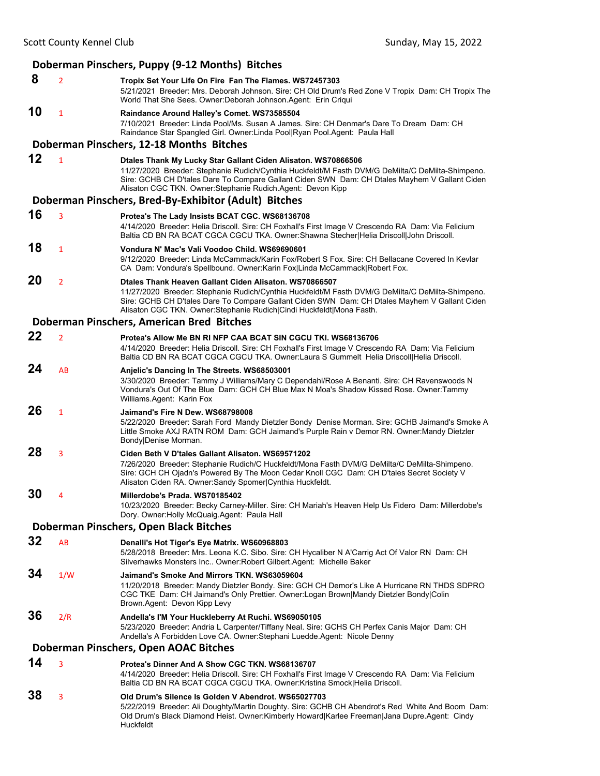|    |                | Doberman Pinschers, Puppy (9-12 Months) Bitches                                                                                                                                                                                                                                                                                      |
|----|----------------|--------------------------------------------------------------------------------------------------------------------------------------------------------------------------------------------------------------------------------------------------------------------------------------------------------------------------------------|
| 8  | $\overline{2}$ | Tropix Set Your Life On Fire Fan The Flames. WS72457303<br>5/21/2021 Breeder: Mrs. Deborah Johnson. Sire: CH Old Drum's Red Zone V Tropix Dam: CH Tropix The<br>World That She Sees. Owner: Deborah Johnson. Agent: Erin Criqui                                                                                                      |
| 10 | $\mathbf{1}$   | Raindance Around Halley's Comet. WS73585504<br>7/10/2021 Breeder: Linda Pool/Ms. Susan A James. Sire: CH Denmar's Dare To Dream Dam: CH<br>Raindance Star Spangled Girl. Owner:Linda Pool Ryan Pool.Agent: Paula Hall                                                                                                                |
|    |                | Doberman Pinschers, 12-18 Months Bitches                                                                                                                                                                                                                                                                                             |
| 12 | $\mathbf{1}$   | Dtales Thank My Lucky Star Gallant Ciden Alisaton. WS70866506<br>11/27/2020 Breeder: Stephanie Rudich/Cynthia Huckfeldt/M Fasth DVM/G DeMilta/C DeMilta-Shimpeno.<br>Sire: GCHB CH D'tales Dare To Compare Gallant Ciden SWN Dam: CH Dtales Mayhem V Gallant Ciden<br>Alisaton CGC TKN. Owner:Stephanie Rudich.Agent: Devon Kipp     |
|    |                | Doberman Pinschers, Bred-By-Exhibitor (Adult) Bitches                                                                                                                                                                                                                                                                                |
| 16 | 3              | Protea's The Lady Insists BCAT CGC. WS68136708<br>4/14/2020 Breeder: Helia Driscoll. Sire: CH Foxhall's First Image V Crescendo RA Dam: Via Felicium<br>Baltia CD BN RA BCAT CGCA CGCU TKA. Owner: Shawna Stecher Helia Driscoll John Driscoll.                                                                                      |
| 18 | $\mathbf{1}$   | Vondura N' Mac's Vali Voodoo Child, WS69690601<br>9/12/2020 Breeder: Linda McCammack/Karin Fox/Robert S Fox. Sire: CH Bellacane Covered In Kevlar<br>CA Dam: Vondura's Spellbound. Owner:Karin Fox Linda McCammack Robert Fox.                                                                                                       |
| 20 | $\overline{2}$ | Dtales Thank Heaven Gallant Ciden Alisaton, WS70866507<br>11/27/2020 Breeder: Stephanie Rudich/Cynthia Huckfeldt/M Fasth DVM/G DeMilta/C DeMilta-Shimpeno.<br>Sire: GCHB CH D'tales Dare To Compare Gallant Ciden SWN Dam: CH Dtales Mayhem V Gallant Ciden<br>Alisaton CGC TKN. Owner: Stephanie Rudich Cindi Huckfeldt Mona Fasth. |
|    |                | Doberman Pinschers, American Bred Bitches                                                                                                                                                                                                                                                                                            |
| 22 | $\overline{2}$ | Protea's Allow Me BN RI NFP CAA BCAT SIN CGCU TKI, WS68136706<br>4/14/2020 Breeder: Helia Driscoll. Sire: CH Foxhall's First Image V Crescendo RA Dam: Via Felicium<br>Baltia CD BN RA BCAT CGCA CGCU TKA. Owner:Laura S Gummelt Helia Driscoll Helia Driscoll.                                                                      |
| 24 | AB             | Anjelic's Dancing In The Streets. WS68503001<br>3/30/2020 Breeder: Tammy J Williams/Mary C Dependahl/Rose A Benanti. Sire: CH Ravenswoods N<br>Vondura's Out Of The Blue Dam: GCH CH Blue Max N Moa's Shadow Kissed Rose. Owner:Tammy<br>Williams.Agent: Karin Fox                                                                   |
| 26 | $\mathbf{1}$   | Jaimand's Fire N Dew. WS68798008<br>5/22/2020 Breeder: Sarah Ford Mandy Dietzler Bondy Denise Morman. Sire: GCHB Jaimand's Smoke A<br>Little Smoke AXJ RATN ROM Dam: GCH Jaimand's Purple Rain v Demor RN. Owner: Mandy Dietzler<br>Bondy Denise Morman.                                                                             |
| 28 | 3              | Ciden Beth V D'tales Gallant Alisaton. WS69571202<br>7/26/2020 Breeder: Stephanie Rudich/C Huckfeldt/Mona Fasth DVM/G DeMilta/C DeMilta-Shimpeno.<br>Sire: GCH CH Ojadn's Powered By The Moon Cedar Knoll CGC Dam: CH D'tales Secret Society V<br>Alisaton Ciden RA. Owner:Sandy Spomer Cynthia Huckfeldt.                           |
| 30 | 4              | Millerdobe's Prada. WS70185402<br>10/23/2020 Breeder: Becky Carney-Miller. Sire: CH Mariah's Heaven Help Us Fidero Dam: Millerdobe's<br>Dory. Owner: Holly McQuaig. Agent: Paula Hall                                                                                                                                                |
|    |                | Doberman Pinschers, Open Black Bitches                                                                                                                                                                                                                                                                                               |
| 32 | AB             | Denalli's Hot Tiger's Eye Matrix. WS60968803<br>5/28/2018 Breeder: Mrs. Leona K.C. Sibo. Sire: CH Hycaliber N A'Carrig Act Of Valor RN Dam: CH<br>Silverhawks Monsters Inc Owner: Robert Gilbert Agent: Michelle Baker                                                                                                               |
| 34 | 1/W            | Jaimand's Smoke And Mirrors TKN. WS63059604<br>11/20/2018 Breeder: Mandy Dietzler Bondy. Sire: GCH CH Demor's Like A Hurricane RN THDS SDPRO<br>CGC TKE Dam: CH Jaimand's Only Prettier. Owner:Logan Brown Mandy Dietzler Bondy Colin<br>Brown.Agent: Devon Kipp Levy                                                                |
| 36 | 2/R            | Andella's I'M Your Huckleberry At Ruchi. WS69050105<br>5/23/2020 Breeder: Andria L Carpenter/Tiffany Neal. Sire: GCHS CH Perfex Canis Major Dam: CH<br>Andella's A Forbidden Love CA. Owner: Stephani Luedde. Agent: Nicole Denny                                                                                                    |
|    |                | Doberman Pinschers, Open AOAC Bitches                                                                                                                                                                                                                                                                                                |
| 14 | 3              | Protea's Dinner And A Show CGC TKN. WS68136707<br>4/14/2020 Breeder: Helia Driscoll. Sire: CH Foxhall's First Image V Crescendo RA Dam: Via Felicium<br>Baltia CD BN RA BCAT CGCA CGCU TKA. Owner:Kristina Smock Helia Driscoll.                                                                                                     |
| 38 | 3              | Old Drum's Silence Is Golden V Abendrot. WS65027703<br>5/22/2019 Breeder: Ali Doughty/Martin Doughty. Sire: GCHB CH Abendrot's Red White And Boom Dam:<br>Old Drum's Black Diamond Heist. Owner:Kimberly Howard Karlee Freeman Jana Dupre.Agent: Cindy<br>Huckfeldt                                                                  |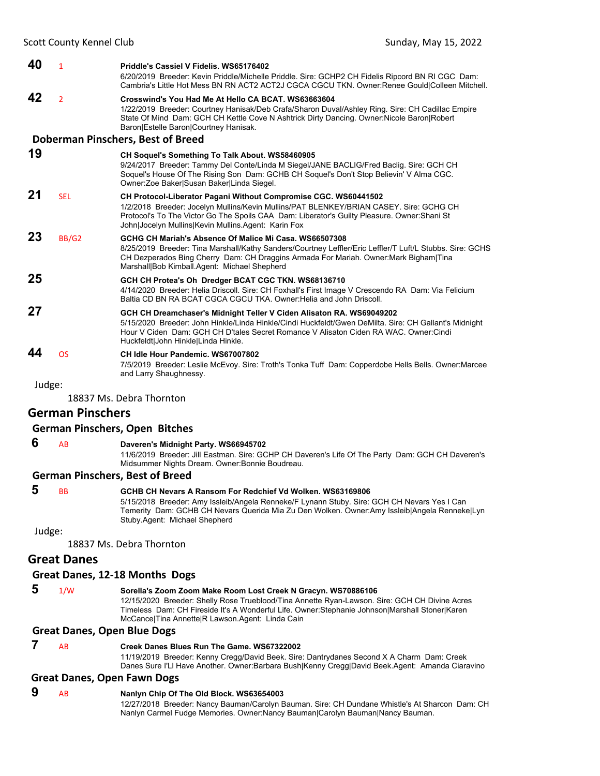| 40 | $\mathbf{1}$   | Priddle's Cassiel V Fidelis, WS65176402<br>6/20/2019 Breeder: Kevin Priddle/Michelle Priddle. Sire: GCHP2 CH Fidelis Ripcord BN RI CGC Dam:<br>Cambria's Little Hot Mess BN RN ACT2 ACT2J CGCA CGCU TKN. Owner: Renee Gould Colleen Mitchell.                                                                           |
|----|----------------|-------------------------------------------------------------------------------------------------------------------------------------------------------------------------------------------------------------------------------------------------------------------------------------------------------------------------|
| 42 | $\overline{2}$ | Crosswind's You Had Me At Hello CA BCAT, WS63663604<br>1/22/2019 Breeder: Courtney Hanisak/Deb Crafa/Sharon Duval/Ashley Ring. Sire: CH Cadillac Empire<br>State Of Mind Dam: GCH CH Kettle Cove N Ashtrick Dirty Dancing. Owner: Nicole Baron Robert<br>Baron Estelle Baron Courtney Hanisak.                          |
|    |                | Doberman Pinschers, Best of Breed                                                                                                                                                                                                                                                                                       |
| 19 |                | <b>CH Soquel's Something To Talk About. WS58460905</b><br>9/24/2017 Breeder: Tammy Del Conte/Linda M Siegel/JANE BACLIG/Fred Bacliq. Sire: GCH CH<br>Soquel's House Of The Rising Son Dam: GCHB CH Soquel's Don't Stop Believin' V Alma CGC.<br>Owner:Zoe Baker Susan Baker Linda Siegel.                               |
| 21 | <b>SEL</b>     | <b>CH Protocol-Liberator Pagani Without Compromise CGC. WS60441502</b><br>1/2/2018 Breeder: Jocelyn Mullins/Kevin Mullins/PAT BLENKEY/BRIAN CASEY. Sire: GCHG CH<br>Protocol's To The Victor Go The Spoils CAA Dam: Liberator's Guilty Pleasure. Owner: Shani St<br>John Jocelyn Mullins Kevin Mullins Agent: Karin Fox |
| 23 | BB/G2          | GCHG CH Mariah's Absence Of Malice Mi Casa, WS66507308<br>8/25/2019 Breeder: Tina Marshall/Kathy Sanders/Courtney Leffler/Eric Leffler/T Luft/L Stubbs. Sire: GCHS<br>CH Dezperados Bing Cherry Dam: CH Draggins Armada For Mariah. Owner: Mark Bigham Tina<br>Marshall Bob Kimball.Agent: Michael Shepherd             |
| 25 |                | GCH CH Protea's Oh Dredger BCAT CGC TKN. WS68136710<br>4/14/2020 Breeder: Helia Driscoll. Sire: CH Foxhall's First Image V Crescendo RA Dam: Via Felicium<br>Baltia CD BN RA BCAT CGCA CGCU TKA. Owner: Helia and John Driscoll.                                                                                        |
| 27 |                | GCH CH Dreamchaser's Midnight Teller V Ciden Alisaton RA. WS69049202<br>5/15/2020 Breeder: John Hinkle/Linda Hinkle/Cindi Huckfeldt/Gwen DeMilta. Sire: CH Gallant's Midnight<br>Hour V Ciden Dam: GCH CH D'tales Secret Romance V Alisaton Ciden RA WAC, Owner:Cindi<br>Huckfeldt John Hinkle Linda Hinkle.            |
| 44 | <b>OS</b>      | CH Idle Hour Pandemic, WS67007802<br>7/5/2019 Breeder: Leslie McEvoy. Sire: Troth's Tonka Tuff Dam: Copperdobe Hells Bells. Owner: Marcee<br>and Larry Shaughnessy.                                                                                                                                                     |

18837 Ms. Debra Thornton

#### **German Pinschers**

#### **German Pinschers, Open Bitches**

 **6** AB **Daveren's Midnight Party. WS66945702**

11/6/2019 Breeder: Jill Eastman. Sire: GCHP CH Daveren's Life Of The Party Dam: GCH CH Daveren's Midsummer Nights Dream. Owner:Bonnie Boudreau.

#### **German Pinschers, Best of Breed**

### **5** BB **GCHB CH Nevars A Ransom For Redchief Vd Wolken. WS63169806**

5/15/2018 Breeder: Amy Issleib/Angela Renneke/F Lynann Stuby. Sire: GCH CH Nevars Yes I Can Temerity Dam: GCHB CH Nevars Querida Mia Zu Den Wolken. Owner:Amy Issleib|Angela Renneke|Lyn Stuby.Agent: Michael Shepherd

Judge:

18837 Ms. Debra Thornton

#### **Great Danes**

#### **Great Danes, 12‐18 Months Dogs**

 **5** 1/W **Sorella's Zoom Zoom Make Room Lost Creek N Gracyn. WS70886106** 12/15/2020 Breeder: Shelly Rose Trueblood/Tina Annette Ryan-Lawson. Sire: GCH CH Divine Acres Timeless Dam: CH Fireside It's A Wonderful Life. Owner:Stephanie Johnson|Marshall Stoner|Karen

McCance|Tina Annette|R Lawson.Agent: Linda Cain

### **Great Danes, Open Blue Dogs**

#### **7** AB **Creek Danes Blues Run The Game. WS67322002**

11/19/2019 Breeder: Kenny Cregg/David Beek. Sire: Dantrydanes Second X A Charm Dam: Creek Danes Sure I'Ll Have Another. Owner:Barbara Bush|Kenny Cregg|David Beek.Agent: Amanda Ciaravino

#### **Great Danes, Open Fawn Dogs**

### **9** AB **Nanlyn Chip Of The Old Block. WS63654003**

12/27/2018 Breeder: Nancy Bauman/Carolyn Bauman. Sire: CH Dundane Whistle's At Sharcon Dam: CH Nanlyn Carmel Fudge Memories. Owner:Nancy Bauman|Carolyn Bauman|Nancy Bauman.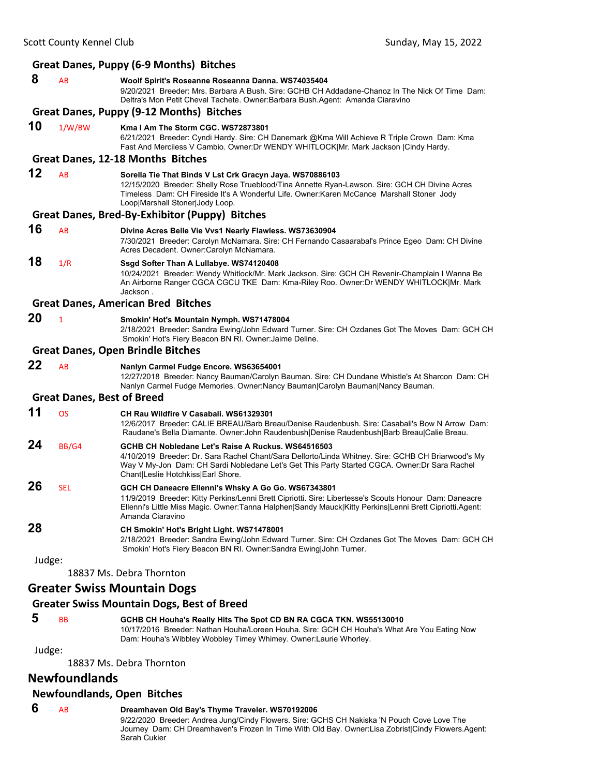|        |              | <b>Great Danes, Puppy (6-9 Months) Bitches</b>                                                                                                                                                                                                                                                  |
|--------|--------------|-------------------------------------------------------------------------------------------------------------------------------------------------------------------------------------------------------------------------------------------------------------------------------------------------|
| 8      | AB           | Woolf Spirit's Roseanne Roseanna Danna. WS74035404<br>9/20/2021 Breeder: Mrs. Barbara A Bush. Sire: GCHB CH Addadane-Chanoz In The Nick Of Time Dam:<br>Deltra's Mon Petit Cheval Tachete. Owner:Barbara Bush.Agent: Amanda Ciaravino                                                           |
|        |              | <b>Great Danes, Puppy (9-12 Months) Bitches</b>                                                                                                                                                                                                                                                 |
| 10     | 1/W/BW       | Kma I Am The Storm CGC, WS72873801<br>6/21/2021 Breeder: Cyndi Hardy. Sire: CH Danemark @Kma Will Achieve R Triple Crown Dam: Kma<br>Fast And Merciless V Cambio. Owner:Dr WENDY WHITLOCK Mr. Mark Jackson  Cindy Hardy.                                                                        |
|        |              | Great Danes, 12-18 Months Bitches                                                                                                                                                                                                                                                               |
| 12     | AB           | Sorella Tie That Binds V Lst Crk Gracyn Jaya. WS70886103<br>12/15/2020 Breeder: Shelly Rose Trueblood/Tina Annette Ryan-Lawson. Sire: GCH CH Divine Acres<br>Timeless Dam: CH Fireside It's A Wonderful Life. Owner: Karen McCance Marshall Stoner Jody<br>Loop Marshall Stoner Jody Loop.      |
|        |              | Great Danes, Bred-By-Exhibitor (Puppy) Bitches                                                                                                                                                                                                                                                  |
| 16     | AB           | Divine Acres Belle Vie Vvs1 Nearly Flawless. WS73630904<br>7/30/2021 Breeder: Carolyn McNamara. Sire: CH Fernando Casaarabal's Prince Egeo Dam: CH Divine<br>Acres Decadent. Owner:Carolyn McNamara.                                                                                            |
| 18     | 1/R          | Ssgd Softer Than A Lullabye. WS74120408<br>10/24/2021 Breeder: Wendy Whitlock/Mr. Mark Jackson. Sire: GCH CH Revenir-Champlain I Wanna Be<br>An Airborne Ranger CGCA CGCU TKE Dam: Kma-Riley Roo. Owner:Dr WENDY WHITLOCK Mr. Mark<br>Jackson.                                                  |
|        |              | <b>Great Danes, American Bred Bitches</b>                                                                                                                                                                                                                                                       |
| 20     | $\mathbf{1}$ | Smokin' Hot's Mountain Nymph. WS71478004<br>2/18/2021 Breeder: Sandra Ewing/John Edward Turner. Sire: CH Ozdanes Got The Moves Dam: GCH CH<br>Smokin' Hot's Fiery Beacon BN RI. Owner: Jaime Deline.                                                                                            |
|        |              | <b>Great Danes, Open Brindle Bitches</b>                                                                                                                                                                                                                                                        |
| 22     | AB           | Nanlyn Carmel Fudge Encore. WS63654001<br>12/27/2018 Breeder: Nancy Bauman/Carolyn Bauman. Sire: CH Dundane Whistle's At Sharcon Dam: CH<br>Nanlyn Carmel Fudge Memories. Owner:Nancy Bauman Carolyn Bauman Nancy Bauman.                                                                       |
|        |              | <b>Great Danes, Best of Breed</b>                                                                                                                                                                                                                                                               |
| 11     | <b>OS</b>    | CH Rau Wildfire V Casabali, WS61329301<br>12/6/2017 Breeder: CALIE BREAU/Barb Breau/Denise Raudenbush. Sire: Casabali's Bow N Arrow Dam:<br>Raudane's Bella Diamante. Owner:John Raudenbush Denise Raudenbush Barb Breau Calie Breau.                                                           |
| 24     | BB/G4        | GCHB CH Nobledane Let's Raise A Ruckus. WS64516503<br>4/10/2019 Breeder: Dr. Sara Rachel Chant/Sara Dellorto/Linda Whitney. Sire: GCHB CH Briarwood's My<br>Way V My-Jon Dam: CH Sardi Nobledane Let's Get This Party Started CGCA. Owner: Dr Sara Rachel<br>Chant Leslie Hotchkiss Earl Shore. |
| 26     | <b>SEL</b>   | GCH CH Daneacre Ellenni's Whsky A Go Go. WS67343801<br>11/9/2019 Breeder: Kitty Perkins/Lenni Brett Cipriotti. Sire: Libertesse's Scouts Honour Dam: Daneacre<br>Ellenni's Little Miss Magic. Owner: Tanna Halphen Sandy Mauck Kitty Perkins Lenni Brett Cipriotti. Agent:<br>Amanda Ciaravino  |
| 28     |              | CH Smokin' Hot's Bright Light. WS71478001<br>2/18/2021 Breeder: Sandra Ewing/John Edward Turner. Sire: CH Ozdanes Got The Moves Dam: GCH CH<br>Smokin' Hot's Fiery Beacon BN RI. Owner: Sandra Ewing John Turner.                                                                               |
| Judge: |              |                                                                                                                                                                                                                                                                                                 |
|        |              | 18837 Ms. Debra Thornton                                                                                                                                                                                                                                                                        |
|        |              | <b>Greater Swiss Mountain Dogs</b>                                                                                                                                                                                                                                                              |

#### **Greater Swiss Mountain Dogs, Best of Breed**

 **5** BB **GCHB CH Houha's Really Hits The Spot CD BN RA CGCA TKN. WS55130010** 10/17/2016 Breeder: Nathan Houha/Loreen Houha. Sire: GCH CH Houha's What Are You Eating Now Dam: Houha's Wibbley Wobbley Timey Whimey. Owner:Laurie Whorley.

Judge:

18837 Ms. Debra Thornton

### **Newfoundlands**

### **Newfoundlands, Open Bitches**

### **6** AB **Dreamhaven Old Bay's Thyme Traveler. WS70192006**

9/22/2020 Breeder: Andrea Jung/Cindy Flowers. Sire: GCHS CH Nakiska 'N Pouch Cove Love The Journey Dam: CH Dreamhaven's Frozen In Time With Old Bay. Owner:Lisa Zobrist|Cindy Flowers.Agent: Sarah Cukier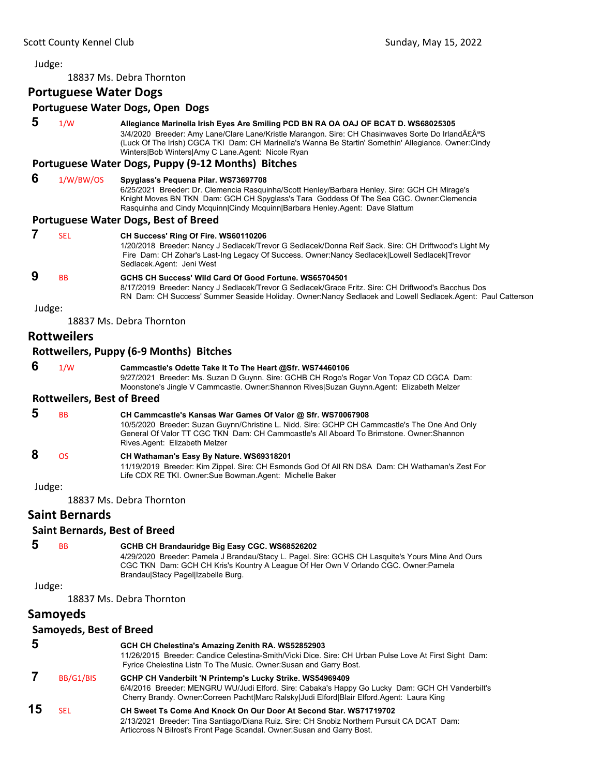#### 18837 Ms. Debra Thornton

### **Portuguese Water Dogs**

#### **Portuguese Water Dogs, Open Dogs**

 **5** 1/W **Allegiance Marinella Irish Eyes Are Smiling PCD BN RA OA OAJ OF BCAT D. WS68025305** 3/4/2020 Breeder: Amy Lane/Clare Lane/Kristle Marangon. Sire: CH Chasinwaves Sorte Do IrlandãªS (Luck Of The Irish) CGCA TKI Dam: CH Marinella's Wanna Be Startin' Somethin' Allegiance. Owner:Cindy Winters|Bob Winters|Amy C Lane.Agent: Nicole Ryan

#### **Portuguese Water Dogs, Puppy (9‐12 Months) Bitches**

- **6** 1/W/BW/OS **Spyglass's Pequena Pilar. WS73697708**
	- 6/25/2021 Breeder: Dr. Clemencia Rasquinha/Scott Henley/Barbara Henley. Sire: GCH CH Mirage's Knight Moves BN TKN Dam: GCH CH Spyglass's Tara Goddess Of The Sea CGC. Owner:Clemencia Rasquinha and Cindy Mcquinn|Cindy Mcquinn|Barbara Henley.Agent: Dave Slattum

#### **Portuguese Water Dogs, Best of Breed**

| SEL                  | CH Success' Ring Of Fire. WS60110206<br>1/20/2018 Breeder: Nancy J Sedlacek/Trevor G Sedlacek/Donna Reif Sack. Sire: CH Driftwood's Light My<br>Fire Dam: CH Zohar's Last-Ing Legacy Of Success. Owner: Nancy Sedlacek Lowell Sedlacek Trevor<br>Sedlacek Agent: Jeni West |
|----------------------|----------------------------------------------------------------------------------------------------------------------------------------------------------------------------------------------------------------------------------------------------------------------------|
| <b>B<sub>B</sub></b> | GCHS CH Success' Wild Card Of Good Fortune, WS65704501                                                                                                                                                                                                                     |
|                      | 8/17/2019 Breeder: Nancy J Sedlacek/Trevor G Sedlacek/Grace Fritz. Sire: CH Driftwood's Bacchus Dos<br>RN Dam: CH Success' Summer Seaside Holiday. Owner: Nancy Sedlacek and Lowell Sedlacek Agent: Paul Catterson                                                         |

Judge:

18837 Ms. Debra Thornton

### **Rottweilers**

### **Rottweilers, Puppy (6‐9 Months) Bitches**

 **6** 1/W **Cammcastle's Odette Take It To The Heart @Sfr. WS74460106** 9/27/2021 Breeder: Ms. Suzan D Guynn. Sire: GCHB CH Rogo's Rogar Von Topaz CD CGCA Dam: Moonstone's Jingle V Cammcastle. Owner:Shannon Rives|Suzan Guynn.Agent: Elizabeth Melzer

#### **Rottweilers, Best of Breed**

- **5** BB **CH Cammcastle's Kansas War Games Of Valor @ Sfr. WS70067908** 10/5/2020 Breeder: Suzan Guynn/Christine L. Nidd. Sire: GCHP CH Cammcastle's The One And Only
	- General Of Valor TT CGC TKN Dam: CH Cammcastle's All Aboard To Brimstone. Owner:Shannon Rives.Agent: Elizabeth Melzer

### **8** OS **CH Wathaman's Easy By Nature. WS69318201**

11/19/2019 Breeder: Kim Zippel. Sire: CH Esmonds God Of All RN DSA Dam: CH Wathaman's Zest For Life CDX RE TKI. Owner:Sue Bowman.Agent: Michelle Baker

Judge:

18837 Ms. Debra Thornton

### **Saint Bernards**

#### **Saint Bernards, Best of Breed**

# **5** BB **GCHB CH Brandauridge Big Easy CGC. WS68526202**

4/29/2020 Breeder: Pamela J Brandau/Stacy L. Pagel. Sire: GCHS CH Lasquite's Yours Mine And Ours CGC TKN Dam: GCH CH Kris's Kountry A League Of Her Own V Orlando CGC. Owner:Pamela Brandau|Stacy Pagel|Izabelle Burg.

Judge:

18837 Ms. Debra Thornton

### **Samoyeds**

### **Samoyeds, Best of Breed**

| 5  |           | GCH CH Chelestina's Amazing Zenith RA. WS52852903                                                                                                                                            |
|----|-----------|----------------------------------------------------------------------------------------------------------------------------------------------------------------------------------------------|
|    |           | 11/26/2015 Breeder: Candice Celestina-Smith/Vicki Dice. Sire: CH Urban Pulse Love At First Sight Dam:<br>Fyrice Chelestina Listn To The Music. Owner: Susan and Garry Bost.                  |
|    | BB/G1/BIS | GCHP CH Vanderbilt 'N Printemp's Lucky Strike. WS54969409                                                                                                                                    |
|    |           | 6/4/2016 Breeder: MENGRU WU/Judi Elford. Sire: Cabaka's Happy Go Lucky Dam: GCH CH Vanderbilt's<br>Cherry Brandy. Owner:Correen Pacht Marc Ralsky Judi Elford Blair Elford.Agent: Laura King |
| 15 |           |                                                                                                                                                                                              |
|    | SEL       | CH Sweet Ts Come And Knock On Our Door At Second Star, WS71719702                                                                                                                            |
|    |           | 2/13/2021 Breeder: Tina Santiago/Diana Ruiz. Sire: CH Snobiz Northern Pursuit CA DCAT Dam:                                                                                                   |
|    |           | Articcross N Bilrost's Front Page Scandal. Owner: Susan and Garry Bost.                                                                                                                      |
|    |           |                                                                                                                                                                                              |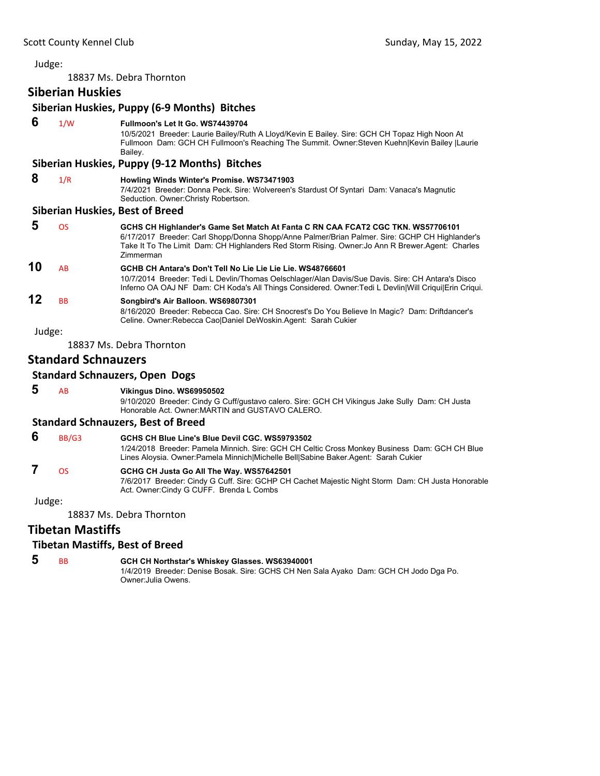18837 Ms. Debra Thornton

**Siberian Huskies**

|        | Siberian Huskies, Puppy (6-9 Months) Bitches |                                                                                                                                                                                                                                                                                                            |  |  |
|--------|----------------------------------------------|------------------------------------------------------------------------------------------------------------------------------------------------------------------------------------------------------------------------------------------------------------------------------------------------------------|--|--|
| 6      | 1/W                                          | Fullmoon's Let It Go. WS74439704<br>10/5/2021 Breeder: Laurie Bailey/Ruth A Lloyd/Kevin E Bailey. Sire: GCH CH Topaz High Noon At<br>Fullmoon Dam: GCH CH Fullmoon's Reaching The Summit. Owner: Steven Kuehn Kevin Bailey  Laurie<br>Bailey.                                                              |  |  |
|        |                                              | Siberian Huskies, Puppy (9-12 Months) Bitches                                                                                                                                                                                                                                                              |  |  |
| 8      | 1/R                                          | Howling Winds Winter's Promise. WS73471903<br>7/4/2021 Breeder: Donna Peck. Sire: Wolvereen's Stardust Of Syntari Dam: Vanaca's Magnutic<br>Seduction. Owner: Christy Robertson.                                                                                                                           |  |  |
|        |                                              | <b>Siberian Huskies, Best of Breed</b>                                                                                                                                                                                                                                                                     |  |  |
| 5      | <b>OS</b>                                    | GCHS CH Highlander's Game Set Match At Fanta C RN CAA FCAT2 CGC TKN. WS57706101<br>6/17/2017 Breeder: Carl Shopp/Donna Shopp/Anne Palmer/Brian Palmer. Sire: GCHP CH Highlander's<br>Take It To The Limit Dam: CH Highlanders Red Storm Rising. Owner: Jo Ann R Brewer. Agent: Charles<br><b>Zimmerman</b> |  |  |
| 10     | AB                                           | GCHB CH Antara's Don't Tell No Lie Lie Lie Lie. WS48766601<br>10/7/2014 Breeder: Tedi L Devlin/Thomas Oelschlager/Alan Davis/Sue Davis. Sire: CH Antara's Disco<br>Inferno OA OAJ NF Dam: CH Koda's All Things Considered. Owner: Tedi L Devlin Will Criqui Erin Criqui.                                   |  |  |
| 12     | <b>BB</b>                                    | Songbird's Air Balloon. WS69807301<br>8/16/2020 Breeder: Rebecca Cao. Sire: CH Snocrest's Do You Believe In Magic? Dam: Driftdancer's<br>Celine. Owner: Rebecca Cao Daniel DeWoskin. Agent: Sarah Cukier                                                                                                   |  |  |
| Judge: |                                              |                                                                                                                                                                                                                                                                                                            |  |  |
|        |                                              | 18837 Ms. Debra Thornton                                                                                                                                                                                                                                                                                   |  |  |
|        | <b>Standard Schnauzers</b>                   |                                                                                                                                                                                                                                                                                                            |  |  |
|        |                                              | Standard Schnauzers Onen Dogs                                                                                                                                                                                                                                                                              |  |  |

### **Standard Schnauzers, Open Dogs**

 **5** AB **Vikingus Dino. WS69950502**

9/10/2020 Breeder: Cindy G Cuff/gustavo calero. Sire: GCH CH Vikingus Jake Sully Dam: CH Justa Honorable Act. Owner:MARTIN and GUSTAVO CALERO.

### **Standard Schnauzers, Best of Breed**

 **6** BB/G3 **GCHS CH Blue Line's Blue Devil CGC. WS59793502** 1/24/2018 Breeder: Pamela Minnich. Sire: GCH CH Celtic Cross Monkey Business Dam: GCH CH Blue Lines Aloysia. Owner:Pamela Minnich|Michelle Bell|Sabine Baker.Agent: Sarah Cukier

### **7** OS **GCHG CH Justa Go All The Way. WS57642501**

7/6/2017 Breeder: Cindy G Cuff. Sire: GCHP CH Cachet Majestic Night Storm Dam: CH Justa Honorable Act. Owner:Cindy G CUFF. Brenda L Combs

#### Judge:

18837 Ms. Debra Thornton

### **Tibetan Mastiffs**

#### **Tibetan Mastiffs, Best of Breed**

### **5** BB **GCH CH Northstar's Whiskey Glasses. WS63940001**

1/4/2019 Breeder: Denise Bosak. Sire: GCHS CH Nen Sala Ayako Dam: GCH CH Jodo Dga Po. Owner:Julia Owens.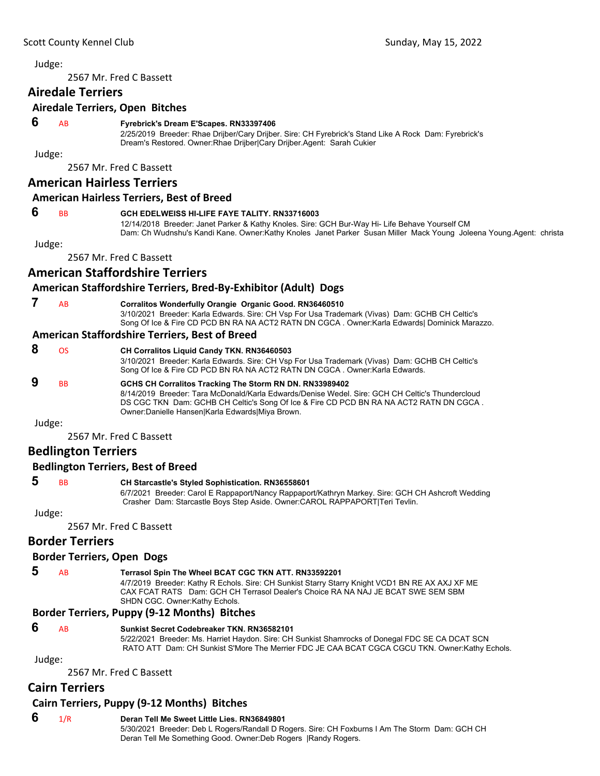<span id="page-23-0"></span>2567 Mr. Fred C Bassett

### **Airedale Terriers**

#### **Airedale Terriers, Open Bitches**

#### **6** AB **Fyrebrick's Dream E'Scapes. RN33397406**

2/25/2019 Breeder: Rhae Drijber/Cary Drijber. Sire: CH Fyrebrick's Stand Like A Rock Dam: Fyrebrick's Dream's Restored. Owner:Rhae Drijber|Cary Drijber.Agent: Sarah Cukier

Judge:

2567 Mr. Fred C Bassett

### **American Hairless Terriers**

#### **American Hairless Terriers, Best of Breed**

#### **6** BB **GCH EDELWEISS HI-LIFE FAYE TALITY. RN33716003**

12/14/2018 Breeder: Janet Parker & Kathy Knoles. Sire: GCH Bur-Way Hi- Life Behave Yourself CM Dam: Ch Wudnshu's Kandi Kane. Owner:Kathy Knoles Janet Parker Susan Miller Mack Young Joleena Young.Agent: christa

#### Judge:

2567 Mr. Fred C Bassett

### **American Staffordshire Terriers**

### **American Staffordshire Terriers, Bred‐By‐Exhibitor (Adult) Dogs**

 **7** AB **Corralitos Wonderfully Orangie Organic Good. RN36460510**

3/10/2021 Breeder: Karla Edwards. Sire: CH Vsp For Usa Trademark (Vivas) Dam: GCHB CH Celtic's Song Of Ice & Fire CD PCD BN RA NA ACT2 RATN DN CGCA . Owner:Karla Edwards| Dominick Marazzo.

### **American Staffordshire Terriers, Best of Breed**

| 8      | ΩS | <b>CH Corralitos Liquid Candy TKN. RN36460503</b><br>3/10/2021 Breeder: Karla Edwards. Sire: CH Vsp For Usa Trademark (Vivas) Dam: GCHB CH Celtic's<br>Song Of Ice & Fire CD PCD BN RA NA ACT2 RATN DN CGCA. Owner: Karla Edwards.                                                                       |
|--------|----|----------------------------------------------------------------------------------------------------------------------------------------------------------------------------------------------------------------------------------------------------------------------------------------------------------|
| 9      | BB | GCHS CH Corralitos Tracking The Storm RN DN. RN33989402<br>8/14/2019 Breeder: Tara McDonald/Karla Edwards/Denise Wedel, Sire: GCH CH Celtic's Thundercloud<br>DS CGC TKN Dam: GCHB CH Celtic's Song Of Ice & Fire CD PCD BN RA NA ACT2 RATN DN CGCA.<br>Owner: Danielle Hansen Karla Edwards Miya Brown. |
| Judge: |    |                                                                                                                                                                                                                                                                                                          |
|        |    | $2FCTMA$ $F_{rel}$ $F_{rel}$ $F_{rel}$                                                                                                                                                                                                                                                                   |

2567 Mr. Fred C Bassett

### **Bedlington Terriers**

### **Bedlington Terriers, Best of Breed**

#### **5** BB **CH Starcastle's Styled Sophistication. RN36558601**

6/7/2021 Breeder: Carol E Rappaport/Nancy Rappaport/Kathryn Markey. Sire: GCH CH Ashcroft Wedding Crasher Dam: Starcastle Boys Step Aside. Owner:CAROL RAPPAPORT|Teri Tevlin.

Judge:

2567 Mr. Fred C Bassett

### **Border Terriers**

### **Border Terriers, Open Dogs**

### **5** AB **Terrasol Spin The Wheel BCAT CGC TKN ATT. RN33592201**

4/7/2019 Breeder: Kathy R Echols. Sire: CH Sunkist Starry Starry Knight VCD1 BN RE AX AXJ XF ME CAX FCAT RATS Dam: GCH CH Terrasol Dealer's Choice RA NA NAJ JE BCAT SWE SEM SBM SHDN CGC. Owner:Kathy Echols.

#### **Border Terriers, Puppy (9‐12 Months) Bitches**

#### **6** AB **Sunkist Secret Codebreaker TKN. RN36582101**

5/22/2021 Breeder: Ms. Harriet Haydon. Sire: CH Sunkist Shamrocks of Donegal FDC SE CA DCAT SCN RATO ATT Dam: CH Sunkist S'More The Merrier FDC JE CAA BCAT CGCA CGCU TKN. Owner:Kathy Echols.

Judge:

2567 Mr. Fred C Bassett

### **Cairn Terriers**

### **Cairn Terriers, Puppy (9‐12 Months) Bitches**

- **6** 1/R **Deran Tell Me Sweet Little Lies. RN36849801**
	- 5/30/2021 Breeder: Deb L Rogers/Randall D Rogers. Sire: CH Foxburns I Am The Storm Dam: GCH CH Deran Tell Me Something Good. Owner:Deb Rogers |Randy Rogers.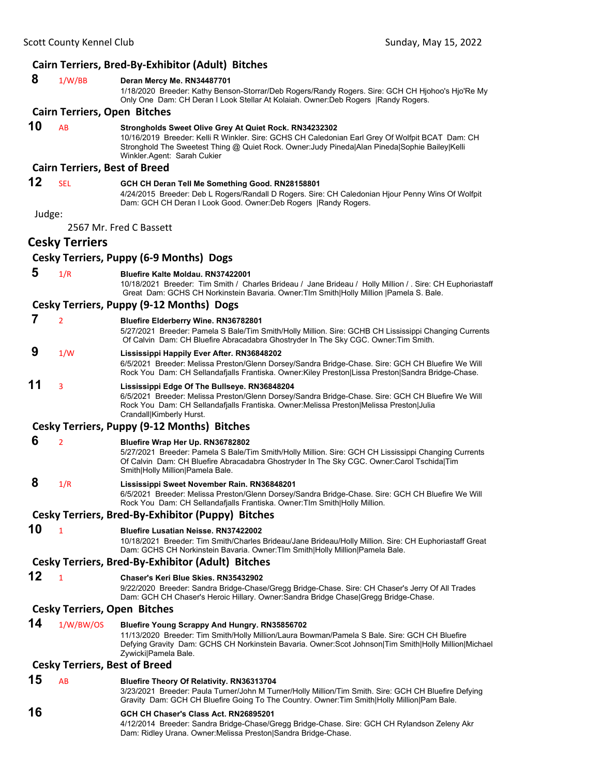### **Cairn Terriers, Bred‐By‐Exhibitor (Adult) Bitches**

| 8      | 1/W/BB                               | Deran Mercy Me. RN34487701<br>1/18/2020 Breeder: Kathy Benson-Storrar/Deb Rogers/Randy Rogers. Sire: GCH CH Hjohoo's Hjo'Re My<br>Only One Dam: CH Deran I Look Stellar At Kolaiah. Owner: Deb Rogers   Randy Rogers.                                                                      |
|--------|--------------------------------------|--------------------------------------------------------------------------------------------------------------------------------------------------------------------------------------------------------------------------------------------------------------------------------------------|
|        | <b>Cairn Terriers, Open Bitches</b>  |                                                                                                                                                                                                                                                                                            |
| 10     | AB                                   | Strongholds Sweet Olive Grey At Quiet Rock. RN34232302<br>10/16/2019 Breeder: Kelli R Winkler. Sire: GCHS CH Caledonian Earl Grey Of Wolfpit BCAT Dam: CH<br>Stronghold The Sweetest Thing @ Quiet Rock. Owner: Judy Pineda Alan Pineda Sophie Bailey Kelli<br>Winkler.Agent: Sarah Cukier |
|        | <b>Cairn Terriers, Best of Breed</b> |                                                                                                                                                                                                                                                                                            |
| 12     | <b>SEL</b>                           | GCH CH Deran Tell Me Something Good. RN28158801<br>4/24/2015 Breeder: Deb L Rogers/Randall D Rogers. Sire: CH Caledonian Hjour Penny Wins Of Wolfpit<br>Dam: GCH CH Deran I Look Good. Owner: Deb Rogers   Randy Rogers.                                                                   |
| Judge: |                                      |                                                                                                                                                                                                                                                                                            |
|        |                                      | 2567 Mr. Fred C Bassett                                                                                                                                                                                                                                                                    |
|        | <b>Cesky Terriers</b>                |                                                                                                                                                                                                                                                                                            |
|        |                                      | <b>Cesky Terriers, Puppy (6-9 Months) Dogs</b>                                                                                                                                                                                                                                             |
| 5      | 1/R                                  | <b>Bluefire Kalte Moldau. RN37422001</b><br>10/18/2021 Breeder: Tim Smith / Charles Brideau / Jane Brideau / Holly Million / Sire: CH Euphoriastaff<br>Great Dam: GCHS CH Norkinstein Bavaria. Owner: TIm Smith Holly Million   Pamela S. Bale.                                            |
|        |                                      | <b>Cesky Terriers, Puppy (9-12 Months) Dogs</b>                                                                                                                                                                                                                                            |
| 7      | $\overline{2}$                       | Bluefire Elderberry Wine. RN36782801<br>5/27/2021 Breeder: Pamela S Bale/Tim Smith/Holly Million. Sire: GCHB CH Lississippi Changing Currents<br>Of Calvin Dam: CH Bluefire Abracadabra Ghostryder In The Sky CGC. Owner: Tim Smith.                                                       |
| 9      | 1/W                                  | Lississippi Happily Ever After. RN36848202<br>6/5/2021 Breeder: Melissa Preston/Glenn Dorsey/Sandra Bridge-Chase. Sire: GCH CH Bluefire We Will<br>Rock You Dam: CH Sellandafjalls Frantiska. Owner: Kiley Preston Lissa Preston Sandra Bridge-Chase.                                      |
| 11     | 3                                    | Lississippi Edge Of The Bullseye. RN36848204<br>6/5/2021 Breeder: Melissa Preston/Glenn Dorsey/Sandra Bridge-Chase. Sire: GCH CH Bluefire We Will<br>Rock You Dam: CH Sellandafjalls Frantiska. Owner: Melissa Preston Melissa Preston Julia<br>Crandall Kimberly Hurst.                   |
|        |                                      | Cesky Terriers, Puppy (9-12 Months) Bitches                                                                                                                                                                                                                                                |
| 6      | $\overline{2}$                       | Bluefire Wrap Her Up. RN36782802                                                                                                                                                                                                                                                           |
|        |                                      | 5/27/2021 Breeder: Pamela S Bale/Tim Smith/Holly Million. Sire: GCH CH Lississippi Changing Currents<br>Of Calvin Dam: CH Bluefire Abracadabra Ghostryder In The Sky CGC. Owner:Carol Tschida Tim<br>Smith Holly Million Pamela Bale.                                                      |
| 8      | 1/R                                  | Lississippi Sweet November Rain. RN36848201<br>6/5/2021 Breeder: Melissa Preston/Glenn Dorsey/Sandra Bridge-Chase. Sire: GCH CH Bluefire We Will<br>Rock You Dam: CH Sellandafjalls Frantiska. Owner: TIm Smith Holly Million.                                                             |
|        |                                      | Cesky Terriers, Bred-By-Exhibitor (Puppy) Bitches                                                                                                                                                                                                                                          |
| 10     | $\mathbf{1}$                         | Bluefire Lusatian Neisse. RN37422002<br>10/18/2021 Breeder: Tim Smith/Charles Brideau/Jane Brideau/Holly Million. Sire: CH Euphoriastaff Great<br>Dam: GCHS CH Norkinstein Bavaria. Owner: TIm Smith Holly Million Pamela Bale.                                                            |
|        |                                      | <b>Cesky Terriers, Bred-By-Exhibitor (Adult) Bitches</b>                                                                                                                                                                                                                                   |
| 12     | $\mathbf{1}$                         | Chaser's Keri Blue Skies. RN35432902<br>9/22/2020 Breeder: Sandra Bridge-Chase/Gregg Bridge-Chase. Sire: CH Chaser's Jerry Of All Trades<br>Dam: GCH CH Chaser's Heroic Hillary. Owner:Sandra Bridge Chase Gregg Bridge-Chase.                                                             |
|        | <b>Cesky Terriers, Open Bitches</b>  |                                                                                                                                                                                                                                                                                            |
| 14     | 1/W/BW/OS                            | Bluefire Young Scrappy And Hungry. RN35856702<br>11/13/2020 Breeder: Tim Smith/Holly Million/Laura Bowman/Pamela S Bale. Sire: GCH CH Bluefire<br>Defying Gravity Dam: GCHS CH Norkinstein Bavaria. Owner:Scot Johnson Tim Smith Holly Million Michael<br>Zywicki Pamela Bale.             |
|        | <b>Cesky Terriers, Best of Breed</b> |                                                                                                                                                                                                                                                                                            |
| 15     | AB                                   | <b>Bluefire Theory Of Relativity. RN36313704</b><br>3/23/2021 Breeder: Paula Turner/John M Turner/Holly Million/Tim Smith. Sire: GCH CH Bluefire Defying<br>Gravity Dam: GCH CH Bluefire Going To The Country. Owner: Tim Smith Holly Million   Pam Bale.                                  |
| 16     |                                      | GCH CH Chaser's Class Act. RN26895201<br>4/12/2014 Breeder: Sandra Bridge-Chase/Gregg Bridge-Chase. Sire: GCH CH Rylandson Zeleny Akr<br>Dam: Ridley Urana. Owner: Melissa Preston Sandra Bridge-Chase.                                                                                    |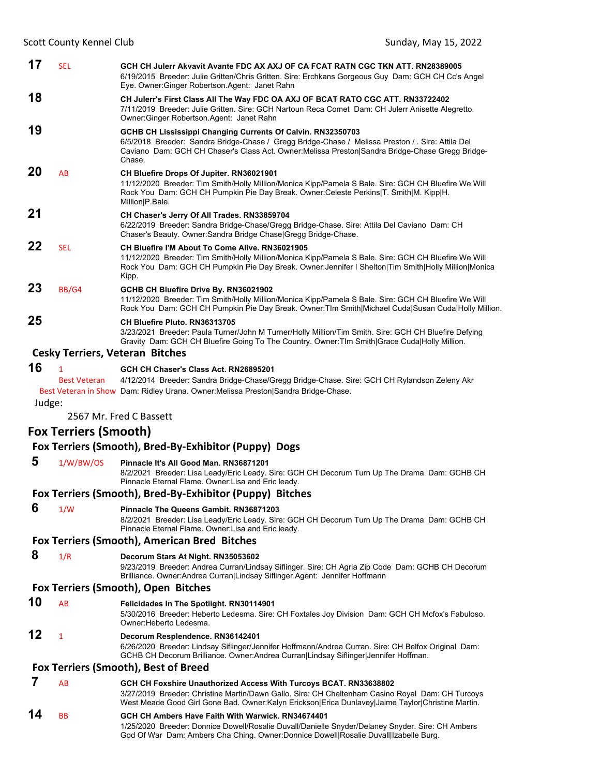| 17     | <b>SEL</b>                   | GCH CH Julerr Akvavit Avante FDC AX AXJ OF CA FCAT RATN CGC TKN ATT. RN28389005<br>6/19/2015 Breeder: Julie Gritten/Chris Gritten. Sire: Erchkans Gorgeous Guy Dam: GCH CH Cc's Angel<br>Eye. Owner: Ginger Robertson. Agent: Janet Rahn                                     |
|--------|------------------------------|------------------------------------------------------------------------------------------------------------------------------------------------------------------------------------------------------------------------------------------------------------------------------|
| 18     |                              | CH Julerr's First Class All The Way FDC OA AXJ OF BCAT RATO CGC ATT. RN33722402<br>7/11/2019 Breeder: Julie Gritten. Sire: GCH Nartoun Reca Comet Dam: CH Julerr Anisette Alegretto.<br>Owner: Ginger Robertson. Agent: Janet Rahn                                           |
| 19     |                              | GCHB CH Lississippi Changing Currents Of Calvin. RN32350703<br>6/5/2018 Breeder: Sandra Bridge-Chase / Gregg Bridge-Chase / Melissa Preston / Sire: Attila Del<br>Caviano Dam: GCH CH Chaser's Class Act. Owner: Melissa Preston Sandra Bridge-Chase Gregg Bridge-<br>Chase. |
| 20     | AB                           | CH Bluefire Drops Of Jupiter. RN36021901<br>11/12/2020 Breeder: Tim Smith/Holly Million/Monica Kipp/Pamela S Bale. Sire: GCH CH Bluefire We Will<br>Rock You Dam: GCH CH Pumpkin Pie Day Break. Owner:Celeste Perkins T. Smith M. Kipp H.<br>Million P.Bale.                 |
| 21     |                              | CH Chaser's Jerry Of All Trades. RN33859704<br>6/22/2019 Breeder: Sandra Bridge-Chase/Gregg Bridge-Chase. Sire: Attila Del Caviano Dam: CH<br>Chaser's Beauty. Owner: Sandra Bridge Chase Gregg Bridge-Chase.                                                                |
| 22     | <b>SEL</b>                   | CH Bluefire I'M About To Come Alive. RN36021905<br>11/12/2020 Breeder: Tim Smith/Holly Million/Monica Kipp/Pamela S Bale. Sire: GCH CH Bluefire We Will<br>Rock You Dam: GCH CH Pumpkin Pie Day Break. Owner: Jennifer I Shelton Tim Smith Holly Million Monica<br>Kipp.     |
| 23     | BB/G4                        | GCHB CH Bluefire Drive By. RN36021902<br>11/12/2020 Breeder: Tim Smith/Holly Million/Monica Kipp/Pamela S Bale. Sire: GCH CH Bluefire We Will<br>Rock You Dam: GCH CH Pumpkin Pie Day Break. Owner: TIm Smith Michael Cuda Susan Cuda Holly Million.                         |
| 25     |                              | CH Bluefire Pluto, RN36313705<br>3/23/2021 Breeder: Paula Turner/John M Turner/Holly Million/Tim Smith. Sire: GCH CH Bluefire Defying<br>Gravity Dam: GCH CH Bluefire Going To The Country. Owner: TIm Smith Grace Cuda Holly Million.                                       |
|        |                              | <b>Cesky Terriers, Veteran Bitches</b>                                                                                                                                                                                                                                       |
| 16     | $\mathbf{1}$                 | GCH CH Chaser's Class Act. RN26895201                                                                                                                                                                                                                                        |
|        | <b>Best Veteran</b>          | 4/12/2014 Breeder: Sandra Bridge-Chase/Gregg Bridge-Chase. Sire: GCH CH Rylandson Zeleny Akr                                                                                                                                                                                 |
| Judge: |                              | Best Veteran in Show Dam: Ridley Urana. Owner: Melissa Preston Sandra Bridge-Chase.                                                                                                                                                                                          |
|        |                              | 2567 Mr. Fred C Bassett                                                                                                                                                                                                                                                      |
|        | <b>Fox Terriers (Smooth)</b> |                                                                                                                                                                                                                                                                              |
|        |                              | Fox Terriers (Smooth), Bred-By-Exhibitor (Puppy) Dogs                                                                                                                                                                                                                        |
| 5      | 1/W/BW/OS                    | Pinnacle It's All Good Man. RN36871201<br>8/2/2021 Breeder: Lisa Leady/Eric Leady. Sire: GCH CH Decorum Turn Up The Drama Dam: GCHB CH<br>Pinnacle Eternal Flame. Owner: Lisa and Eric leady.                                                                                |
|        |                              | Fox Terriers (Smooth), Bred-By-Exhibitor (Puppy) Bitches                                                                                                                                                                                                                     |
| 6      | 1/W                          | Pinnacle The Queens Gambit. RN36871203<br>8/2/2021 Breeder: Lisa Leady/Eric Leady. Sire: GCH CH Decorum Turn Up The Drama Dam: GCHB CH<br>Pinnacle Eternal Flame. Owner: Lisa and Eric leady.                                                                                |
|        |                              | Fox Terriers (Smooth), American Bred Bitches                                                                                                                                                                                                                                 |
| 8      | 1/R                          | Decorum Stars At Night. RN35053602<br>9/23/2019 Breeder: Andrea Curran/Lindsay Siflinger. Sire: CH Agria Zip Code Dam: GCHB CH Decorum<br>Brilliance. Owner: Andrea Curran Lindsay Siflinger. Agent: Jennifer Hoffmann                                                       |
|        |                              | Fox Terriers (Smooth), Open Bitches                                                                                                                                                                                                                                          |
| 10     | AB                           | Felicidades In The Spotlight. RN30114901<br>5/30/2016 Breeder: Heberto Ledesma. Sire: CH Foxtales Joy Division Dam: GCH CH Mcfox's Fabuloso.<br>Owner: Heberto Ledesma.                                                                                                      |
| 12     | $\mathbf{1}$                 | Decorum Resplendence. RN36142401<br>6/26/2020 Breeder: Lindsay Siflinger/Jennifer Hoffmann/Andrea Curran. Sire: CH Belfox Original Dam:<br>GCHB CH Decorum Brilliance. Owner: Andrea Curran Lindsay Siflinger Jennifer Hoffman.                                              |

#### **Fox Terriers (Smooth), Best of Breed**

### **7** AB **GCH CH Foxshire Unauthorized Access With Turcoys BCAT. RN33638802**

3/27/2019 Breeder: Christine Martin/Dawn Gallo. Sire: CH Cheltenham Casino Royal Dam: CH Turcoys West Meade Good Girl Gone Bad. Owner:Kalyn Erickson|Erica Dunlavey|Jaime Taylor|Christine Martin.

### **14** BB **GCH CH Ambers Have Faith With Warwick. RN34674401**

1/25/2020 Breeder: Donnice Dowell/Rosalie Duvall/Danielle Snyder/Delaney Snyder. Sire: CH Ambers God Of War Dam: Ambers Cha Ching. Owner:Donnice Dowell|Rosalie Duvall|Izabelle Burg.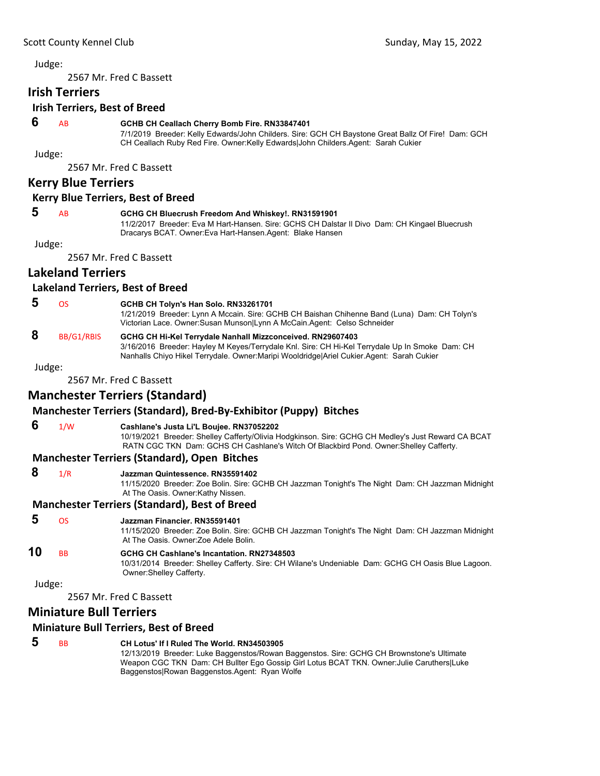2567 Mr. Fred C Bassett

#### **Irish Terriers**

### **Irish Terriers, Best of Breed**

#### **6** AB **GCHB CH Ceallach Cherry Bomb Fire. RN33847401**

7/1/2019 Breeder: Kelly Edwards/John Childers. Sire: GCH CH Baystone Great Ballz Of Fire! Dam: GCH CH Ceallach Ruby Red Fire. Owner:Kelly Edwards|John Childers.Agent: Sarah Cukier

Judge:

2567 Mr. Fred C Bassett

### **Kerry Blue Terriers**

#### **Kerry Blue Terriers, Best of Breed**

### **5** AB **GCHG CH Bluecrush Freedom And Whiskey!. RN31591901**

11/2/2017 Breeder: Eva M Hart-Hansen. Sire: GCHS CH Dalstar Il Divo Dam: CH Kingael Bluecrush Dracarys BCAT. Owner:Eva Hart-Hansen.Agent: Blake Hansen

Judge:

2567 Mr. Fred C Bassett

### **Lakeland Terriers**

#### **Lakeland Terriers, Best of Breed**

 **5** OS **GCHB CH Tolyn's Han Solo. RN33261701**

1/21/2019 Breeder: Lynn A Mccain. Sire: GCHB CH Baishan Chihenne Band (Luna) Dam: CH Tolyn's Victorian Lace. Owner:Susan Munson|Lynn A McCain.Agent: Celso Schneider

#### **8** BB/G1/RBIS **GCHG CH Hi-Kel Terrydale Nanhall Mizzconceived. RN29607403** 3/16/2016 Breeder: Hayley M Keyes/Terrydale Knl. Sire: CH Hi-Kel Terrydale Up In Smoke Dam: CH

Nanhalls Chiyo Hikel Terrydale. Owner:Maripi Wooldridge|Ariel Cukier.Agent: Sarah Cukier

Judge:

2567 Mr. Fred C Bassett

### **Manchester Terriers (Standard)**

### **Manchester Terriers (Standard), Bred‐By‐Exhibitor (Puppy) Bitches**

 **6** 1/W **Cashlane's Justa Li'L Boujee. RN37052202**

10/19/2021 Breeder: Shelley Cafferty/Olivia Hodgkinson. Sire: GCHG CH Medley's Just Reward CA BCAT RATN CGC TKN Dam: GCHS CH Cashlane's Witch Of Blackbird Pond. Owner:Shelley Cafferty.

### **Manchester Terriers (Standard), Open Bitches**

 **8** 1/R **Jazzman Quintessence. RN35591402**

11/15/2020 Breeder: Zoe Bolin. Sire: GCHB CH Jazzman Tonight's The Night Dam: CH Jazzman Midnight At The Oasis. Owner:Kathy Nissen.

#### **Manchester Terriers (Standard), Best of Breed**

#### **5** OS **Jazzman Financier. RN35591401**

11/15/2020 Breeder: Zoe Bolin. Sire: GCHB CH Jazzman Tonight's The Night Dam: CH Jazzman Midnight At The Oasis. Owner:Zoe Adele Bolin.

#### **10** BB **GCHG CH Cashlane's Incantation. RN27348503**

10/31/2014 Breeder: Shelley Cafferty. Sire: CH Wilane's Undeniable Dam: GCHG CH Oasis Blue Lagoon. Owner:Shelley Cafferty.

Judge:

2567 Mr. Fred C Bassett

### **Miniature Bull Terriers**

#### **Miniature Bull Terriers, Best of Breed**

### **5** BB **CH Lotus' If I Ruled The World. RN34503905**

12/13/2019 Breeder: Luke Baggenstos/Rowan Baggenstos. Sire: GCHG CH Brownstone's Ultimate Weapon CGC TKN Dam: CH Bullter Ego Gossip Girl Lotus BCAT TKN. Owner:Julie Caruthers|Luke Baggenstos|Rowan Baggenstos.Agent: Ryan Wolfe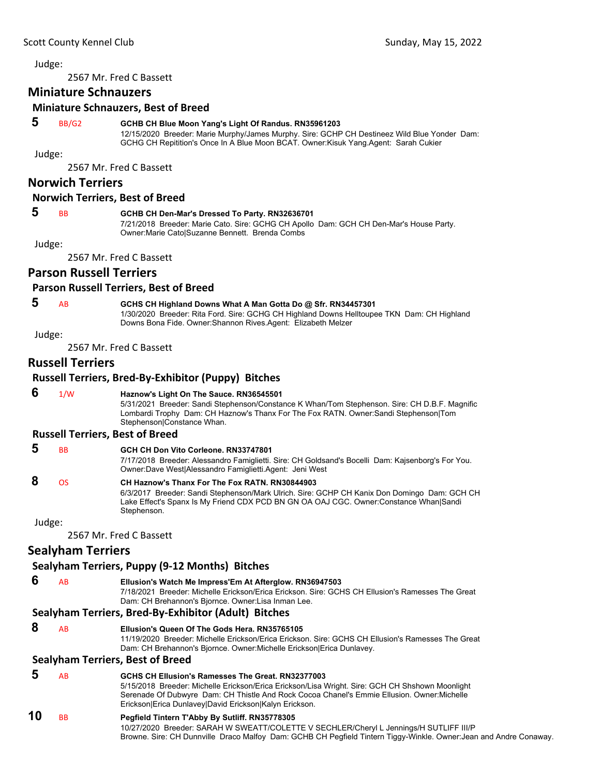2567 Mr. Fred C Bassett

### **Miniature Schnauzers**

#### **Miniature Schnauzers, Best of Breed**

#### **5** BB/G2 **GCHB CH Blue Moon Yang's Light Of Randus. RN35961203**

12/15/2020 Breeder: Marie Murphy/James Murphy. Sire: GCHP CH Destineez Wild Blue Yonder Dam: GCHG CH Repitition's Once In A Blue Moon BCAT. Owner:Kisuk Yang.Agent: Sarah Cukier

Judge:

2567 Mr. Fred C Bassett

#### **Norwich Terriers**

#### **Norwich Terriers, Best of Breed**

#### **5** BB **GCHB CH Den-Mar's Dressed To Party. RN32636701**

7/21/2018 Breeder: Marie Cato. Sire: GCHG CH Apollo Dam: GCH CH Den-Mar's House Party. Owner:Marie Cato|Suzanne Bennett. Brenda Combs

Judge:

2567 Mr. Fred C Bassett

#### **Parson Russell Terriers**

#### **Parson Russell Terriers, Best of Breed**

### **5** AB **GCHS CH Highland Downs What A Man Gotta Do @ Sfr. RN34457301**

1/30/2020 Breeder: Rita Ford. Sire: GCHG CH Highland Downs Helltoupee TKN Dam: CH Highland Downs Bona Fide. Owner:Shannon Rives.Agent: Elizabeth Melzer

Judge:

2567 Mr. Fred C Bassett

### **Russell Terriers**

#### **Russell Terriers, Bred‐By‐Exhibitor (Puppy) Bitches**

 **6** 1/W **Haznow's Light On The Sauce. RN36545501**

5/31/2021 Breeder: Sandi Stephenson/Constance K Whan/Tom Stephenson. Sire: CH D.B.F. Magnific Lombardi Trophy Dam: CH Haznow's Thanx For The Fox RATN. Owner:Sandi Stephenson|Tom Stephenson|Constance Whan.

#### **Russell Terriers, Best of Breed**

| -5 | <b>BB</b> | GCH CH Don Vito Corleone, RN33747801                           |
|----|-----------|----------------------------------------------------------------|
|    |           | 7/17/2018 Breeder: Alessandro Famiglietti. Sire: CH Goldsand's |

Bocelli Dam: Kajsenborg's For You. Owner:Dave West|Alessandro Famiglietti.Agent: Jeni West  **8** OS **CH Haznow's Thanx For The Fox RATN. RN30844903**

#### 6/3/2017 Breeder: Sandi Stephenson/Mark Ulrich. Sire: GCHP CH Kanix Don Domingo Dam: GCH CH Lake Effect's Spanx Is My Friend CDX PCD BN GN OA OAJ CGC. Owner:Constance Whan|Sandi **Stephenson**

Judge:

2567 Mr. Fred C Bassett

### **Sealyham Terriers**

### **Sealyham Terriers, Puppy (9‐12 Months) Bitches**

 **6** AB **Ellusion's Watch Me Impress'Em At Afterglow. RN36947503** 7/18/2021 Breeder: Michelle Erickson/Erica Erickson. Sire: GCHS CH Ellusion's Ramesses The Great Dam: CH Brehannon's Bjornce. Owner:Lisa Inman Lee.

### **Sealyham Terriers, Bred‐By‐Exhibitor (Adult) Bitches**

 **8** AB **Ellusion's Queen Of The Gods Hera. RN35765105**

11/19/2020 Breeder: Michelle Erickson/Erica Erickson. Sire: GCHS CH Ellusion's Ramesses The Great Dam: CH Brehannon's Bjornce. Owner:Michelle Erickson|Erica Dunlavey.

### **Sealyham Terriers, Best of Breed**

### **5** AB **GCHS CH Ellusion's Ramesses The Great. RN32377003**

5/15/2018 Breeder: Michelle Erickson/Erica Erickson/Lisa Wright. Sire: GCH CH Shshown Moonlight Serenade Of Dubwyre Dam: CH Thistle And Rock Cocoa Chanel's Emmie Ellusion. Owner:Michelle Erickson|Erica Dunlavey|David Erickson|Kalyn Erickson.

### **10** BB **Pegfield Tintern T'Abby By Sutliff. RN35778305**

10/27/2020 Breeder: SARAH W SWEATT/COLETTE V SECHLER/Cheryl L Jennings/H SUTLIFF III/P Browne. Sire: CH Dunnville Draco Malfoy Dam: GCHB CH Pegfield Tintern Tiggy-Winkle. Owner:Jean and Andre Conaway.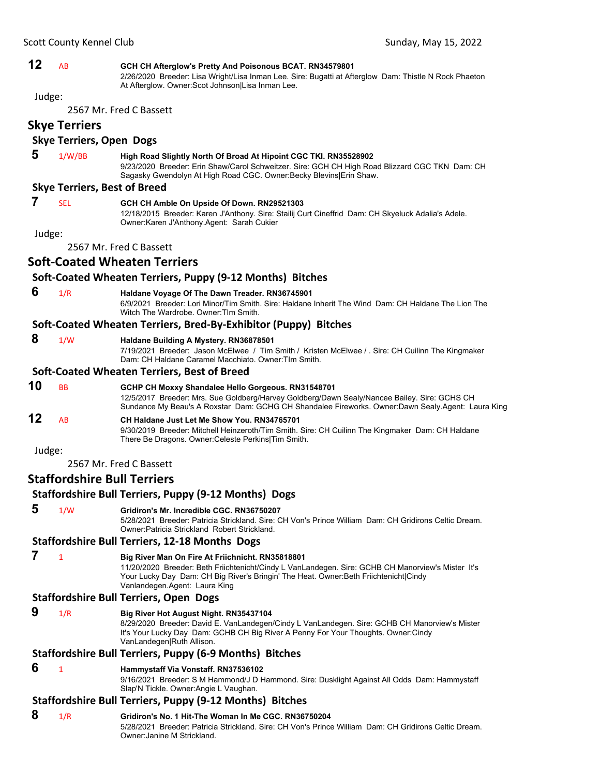### **12** AB **GCH CH Afterglow's Pretty And Poisonous BCAT. RN34579801**

2/26/2020 Breeder: Lisa Wright/Lisa Inman Lee. Sire: Bugatti at Afterglow Dam: Thistle N Rock Phaeton At Afterglow. Owner:Scot Johnson|Lisa Inman Lee.

Judge:

2567 Mr. Fred C Bassett

**Skye Terriers**

### **Skye Terriers, Open Dogs**

 **5** 1/W/BB **High Road Slightly North Of Broad At Hipoint CGC TKI. RN35528902** 9/23/2020 Breeder: Erin Shaw/Carol Schweitzer. Sire: GCH CH High Road Blizzard CGC TKN Dam: CH Sagasky Gwendolyn At High Road CGC. Owner:Becky Blevins|Erin Shaw.

#### **Skye Terriers, Best of Breed**

 **7** SEL **GCH CH Amble On Upside Of Down. RN29521303**

12/18/2015 Breeder: Karen J'Anthony. Sire: Stailij Curt Cineffrid Dam: CH Skyeluck Adalia's Adele. Owner:Karen J'Anthony.Agent: Sarah Cukier

Judge:

2567 Mr. Fred C Bassett

### **Soft‐Coated Wheaten Terriers**

#### **Soft‐Coated Wheaten Terriers, Puppy (9‐12 Months) Bitches**

 **6** 1/R **Haldane Voyage Of The Dawn Treader. RN36745901** 6/9/2021 Breeder: Lori Minor/Tim Smith. Sire: Haldane Inherit The Wind Dam: CH Haldane The Lion The Witch The Wardrobe. Owner:TIm Smith.

#### **Soft‐Coated Wheaten Terriers, Bred‐By‐Exhibitor (Puppy) Bitches**

#### **8** 1/W **Haldane Building A Mystery. RN36878501**

7/19/2021 Breeder: Jason McElwee / Tim Smith / Kristen McElwee / . Sire: CH Cuilinn The Kingmaker Dam: CH Haldane Caramel Macchiato. Owner:TIm Smith.

#### **Soft‐Coated Wheaten Terriers, Best of Breed**

**10** BB **GCHP CH Moxxy Shandalee Hello Gorgeous. RN31548701** 12/5/2017 Breeder: Mrs. Sue Goldberg/Harvey Goldberg/Dawn Sealy/Nancee Bailey. Sire: GCHS CH Sundance My Beau's A Roxstar Dam: GCHG CH Shandalee Fireworks. Owner:Dawn Sealy.Agent: Laura King

# **12** AB **CH Haldane Just Let Me Show You. RN34765701**

9/30/2019 Breeder: Mitchell Heinzeroth/Tim Smith. Sire: CH Cuilinn The Kingmaker Dam: CH Haldane There Be Dragons. Owner:Celeste Perkins|Tim Smith.

Judge:

2567 Mr. Fred C Bassett

### **Staffordshire Bull Terriers**

### **Staffordshire Bull Terriers, Puppy (9‐12 Months) Dogs**

 **5** 1/W **Gridiron's Mr. Incredible CGC. RN36750207** 5/28/2021 Breeder: Patricia Strickland. Sire: CH Von's Prince William Dam: CH Gridirons Celtic Dream. Owner:Patricia Strickland Robert Strickland.

#### **Staffordshire Bull Terriers, 12‐18 Months Dogs**

### **7** <sup>1</sup> **Big River Man On Fire At Friichnicht. RN35818801**

11/20/2020 Breeder: Beth Friichtenicht/Cindy L VanLandegen. Sire: GCHB CH Manorview's Mister It's Your Lucky Day Dam: CH Big River's Bringin' The Heat. Owner:Beth Friichtenicht|Cindy Vanlandegen.Agent: Laura King

#### **Staffordshire Bull Terriers, Open Dogs**

#### **9** 1/R **Big River Hot August Night. RN35437104**

8/29/2020 Breeder: David E. VanLandegen/Cindy L VanLandegen. Sire: GCHB CH Manorview's Mister It's Your Lucky Day Dam: GCHB CH Big River A Penny For Your Thoughts. Owner:Cindy VanLandegen|Ruth Allison.

#### **Staffordshire Bull Terriers, Puppy (6‐9 Months) Bitches**

 **6** <sup>1</sup> **Hammystaff Via Vonstaff. RN37536102**

9/16/2021 Breeder: S M Hammond/J D Hammond. Sire: Dusklight Against All Odds Dam: Hammystaff Slap'N Tickle. Owner:Angie L Vaughan.

### **Staffordshire Bull Terriers, Puppy (9‐12 Months) Bitches**

### **8** 1/R **Gridiron's No. 1 Hit-The Woman In Me CGC. RN36750204**

5/28/2021 Breeder: Patricia Strickland. Sire: CH Von's Prince William Dam: CH Gridirons Celtic Dream. Owner:Janine M Strickland.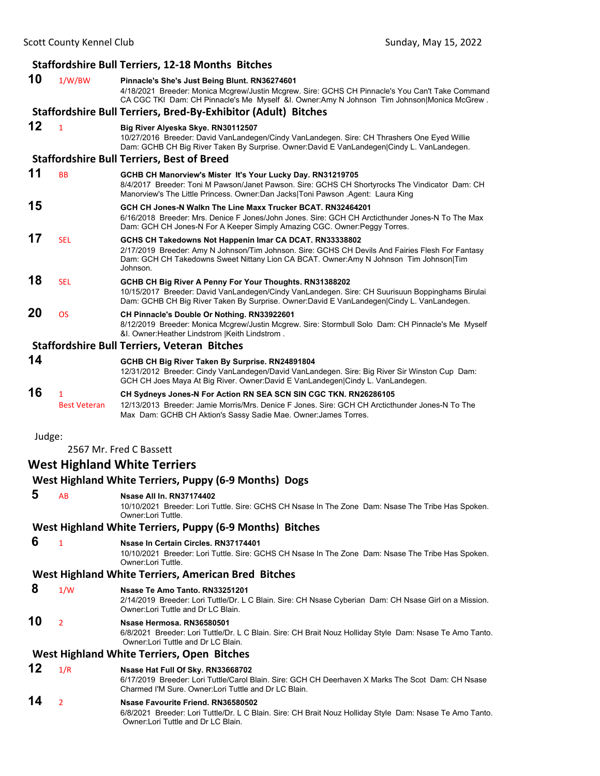|        |                          | <b>Staffordshire Bull Terriers, 12-18 Months Bitches</b>                                                                                                                                                                                                         |
|--------|--------------------------|------------------------------------------------------------------------------------------------------------------------------------------------------------------------------------------------------------------------------------------------------------------|
| 10     | 1/W/BW                   | Pinnacle's She's Just Being Blunt. RN36274601<br>4/18/2021 Breeder: Monica Mcgrew/Justin Mcgrew. Sire: GCHS CH Pinnacle's You Can't Take Command<br>CA CGC TKI Dam: CH Pinnacle's Me Myself &I. Owner:Amy N Johnson Tim Johnson Monica McGrew.                   |
|        |                          | Staffordshire Bull Terriers, Bred-By-Exhibitor (Adult) Bitches                                                                                                                                                                                                   |
| 12     | $\mathbf{1}$             | Big River Alyeska Skye. RN30112507<br>10/27/2016 Breeder: David VanLandegen/Cindy VanLandegen. Sire: CH Thrashers One Eyed Willie<br>Dam: GCHB CH Big River Taken By Surprise. Owner:David E VanLandegen Cindy L. VanLandegen.                                   |
|        |                          | <b>Staffordshire Bull Terriers, Best of Breed</b>                                                                                                                                                                                                                |
| 11     | <b>BB</b>                | GCHB CH Manorview's Mister It's Your Lucky Day. RN31219705<br>8/4/2017 Breeder: Toni M Pawson/Janet Pawson. Sire: GCHS CH Shortyrocks The Vindicator Dam: CH<br>Manorview's The Little Princess. Owner:Dan Jacks Toni Pawson .Agent: Laura King                  |
| 15     |                          | GCH CH Jones-N Walkn The Line Maxx Trucker BCAT, RN32464201<br>6/16/2018 Breeder: Mrs. Denice F Jones/John Jones. Sire: GCH CH Arcticthunder Jones-N To The Max<br>Dam: GCH CH Jones-N For A Keeper Simply Amazing CGC. Owner: Peggy Torres.                     |
| 17     | <b>SEL</b>               | GCHS CH Takedowns Not Happenin Imar CA DCAT. RN33338802<br>2/17/2019 Breeder: Amy N Johnson/Tim Johnson. Sire: GCHS CH Devils And Fairies Flesh For Fantasy<br>Dam: GCH CH Takedowns Sweet Nittany Lion CA BCAT. Owner:Amy N Johnson Tim Johnson Tim<br>Johnson. |
| 18     | SEL                      | GCHB CH Big River A Penny For Your Thoughts. RN31388202<br>10/15/2017 Breeder: David VanLandegen/Cindy VanLandegen. Sire: CH Suurisuun Boppinghams Birulai<br>Dam: GCHB CH Big River Taken By Surprise. Owner:David E VanLandegen Cindy L. VanLandegen.          |
| 20     | <b>OS</b>                | CH Pinnacle's Double Or Nothing. RN33922601<br>8/12/2019 Breeder: Monica Mcgrew/Justin Mcgrew. Sire: Stormbull Solo Dam: CH Pinnacle's Me Myself<br>&I. Owner: Heather Lindstrom   Keith Lindstrom.                                                              |
|        |                          | <b>Staffordshire Bull Terriers, Veteran Bitches</b>                                                                                                                                                                                                              |
| 14     |                          | GCHB CH Big River Taken By Surprise. RN24891804<br>12/31/2012 Breeder: Cindy VanLandegen/David VanLandegen. Sire: Big River Sir Winston Cup Dam:<br>GCH CH Joes Maya At Big River. Owner:David E VanLandegen Cindy L. VanLandegen.                               |
| 16     | 1<br><b>Best Veteran</b> | CH Sydneys Jones-N For Action RN SEA SCN SIN CGC TKN. RN26286105<br>12/13/2013 Breeder: Jamie Morris/Mrs. Denice F Jones. Sire: GCH CH Arcticthunder Jones-N To The<br>Max Dam: GCHB CH Aktion's Sassy Sadie Mae. Owner: James Torres.                           |
| Judge: |                          | 2567 Mr. Fred C Bassett                                                                                                                                                                                                                                          |
|        |                          | <b>West Highland White Terriers</b>                                                                                                                                                                                                                              |
|        |                          | West Highland White Terriers, Puppy (6-9 Months) Dogs                                                                                                                                                                                                            |
|        |                          |                                                                                                                                                                                                                                                                  |
| 5.     |                          | AB Nsase All In. RN37174402<br>10/10/2021 Breeder: Lori Tuttle. Sire: GCHS CH Nsase In The Zone Dam: Nsase The Tribe Has Spoken.<br>Owner:Lori Tuttle.                                                                                                           |
|        |                          | West Highland White Terriers, Puppy (6-9 Months) Bitches                                                                                                                                                                                                         |
| 6      | $\mathbf{1}$             | Nsase In Certain Circles. RN37174401<br>10/10/2021 Breeder: Lori Tuttle. Sire: GCHS CH Nsase In The Zone Dam: Nsase The Tribe Has Spoken.<br>Owner:Lori Tuttle.                                                                                                  |
|        |                          | West Highland White Terriers, American Bred Bitches                                                                                                                                                                                                              |
| 8      | 1/W                      | Nsase Te Amo Tanto. RN33251201<br>2/14/2019 Breeder: Lori Tuttle/Dr. L C Blain. Sire: CH Nsase Cyberian Dam: CH Nsase Girl on a Mission.<br>Owner: Lori Tuttle and Dr LC Blain.                                                                                  |
| 10     | 2                        | Nsase Hermosa. RN36580501<br>6/8/2021 Breeder: Lori Tuttle/Dr. L C Blain. Sire: CH Brait Nouz Holliday Style Dam: Nsase Te Amo Tanto.<br>Owner: Lori Tuttle and Dr LC Blain.                                                                                     |
|        |                          | West Highland White Terriers, Open Bitches                                                                                                                                                                                                                       |
| 12     | 1/R                      | Nsase Hat Full Of Sky. RN33668702<br>6/17/2019 Breeder: Lori Tuttle/Carol Blain. Sire: GCH CH Deerhaven X Marks The Scot Dam: CH Nsase<br>Charmed I'M Sure, Owner: Lori Tuttle and Dr LC Blain.                                                                  |
| 14     | $\overline{2}$           | Nsase Favourite Friend. RN36580502<br>rul eri Tuttle/Dr. J. O. Dlein, Circu Ol I Dreit Neum Hellideu Chule, Demi                                                                                                                                                 |

6/8/2021 Breeder: Lori Tuttle/Dr. L C Blain. Sire: CH Brait Nouz Holliday Style Dam: Nsase Te Amo Tanto. Owner:Lori Tuttle and Dr LC Blain.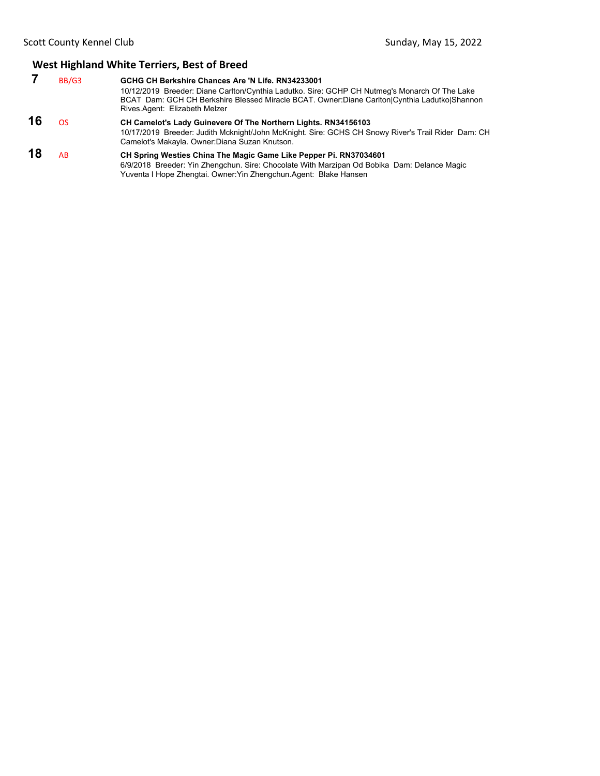### **West Highland White Terriers, Best of Breed**

|    | BB/G3 | GCHG CH Berkshire Chances Are 'N Life, RN34233001<br>10/12/2019 Breeder: Diane Carlton/Cynthia Ladutko. Sire: GCHP CH Nutmeg's Monarch Of The Lake<br>BCAT Dam: GCH CH Berkshire Blessed Miracle BCAT. Owner:Diane Carlton Cynthia Ladutko Shannon<br>Rives Agent: Elizabeth Melzer |
|----|-------|-------------------------------------------------------------------------------------------------------------------------------------------------------------------------------------------------------------------------------------------------------------------------------------|
| 16 | OS.   | CH Camelot's Lady Guinevere Of The Northern Lights. RN34156103<br>10/17/2019 Breeder: Judith Mcknight/John McKnight. Sire: GCHS CH Snowy River's Trail Rider Dam: CH<br>Camelot's Makayla. Owner: Diana Suzan Knutson.                                                              |

### **18** AB **CH Spring Westies China The Magic Game Like Pepper Pi. RN37034601**

6/9/2018 Breeder: Yin Zhengchun. Sire: Chocolate With Marzipan Od Bobika Dam: Delance Magic Yuventa I Hope Zhengtai. Owner:Yin Zhengchun.Agent: Blake Hansen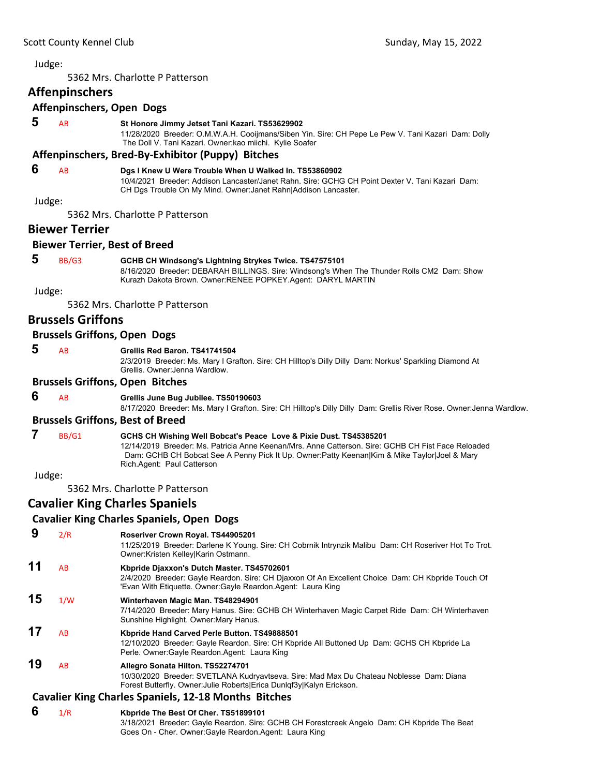<span id="page-31-0"></span>5362 Mrs. Charlotte P Patterson

### **Affenpinschers**

#### **Affenpinschers, Open Dogs**

 **5** AB **St Honore Jimmy Jetset Tani Kazari. TS53629902**

11/28/2020 Breeder: O.M.W.A.H. Cooijmans/Siben Yin. Sire: CH Pepe Le Pew V. Tani Kazari Dam: Dolly The Doll V. Tani Kazari. Owner:kao miichi. Kylie Soafer

#### **Affenpinschers, Bred‐By‐Exhibitor (Puppy) Bitches**

#### **6** AB **Dgs I Knew U Were Trouble When U Walked In. TS53860902**

10/4/2021 Breeder: Addison Lancaster/Janet Rahn. Sire: GCHG CH Point Dexter V. Tani Kazari Dam: CH Dgs Trouble On My Mind. Owner:Janet Rahn|Addison Lancaster.

Judge:

5362 Mrs. Charlotte P Patterson

### **Biewer Terrier**

#### **Biewer Terrier, Best of Breed**

 **5** BB/G3 **GCHB CH Windsong's Lightning Strykes Twice. TS47575101**

8/16/2020 Breeder: DEBARAH BILLINGS. Sire: Windsong's When The Thunder Rolls CM2 Dam: Show Kurazh Dakota Brown. Owner:RENEE POPKEY.Agent: DARYL MARTIN

Judge:

5362 Mrs. Charlotte P Patterson

### **Brussels Griffons**

#### **Brussels Griffons, Open Dogs**

 **5** AB **Grellis Red Baron. TS41741504**

2/3/2019 Breeder: Ms. Mary I Grafton. Sire: CH Hilltop's Dilly Dilly Dam: Norkus' Sparkling Diamond At Grellis. Owner:Jenna Wardlow.

#### **Brussels Griffons, Open Bitches**

#### **6** AB **Grellis June Bug Jubilee. TS50190603**

8/17/2020 Breeder: Ms. Mary I Grafton. Sire: CH Hilltop's Dilly Dilly Dam: Grellis River Rose. Owner:Jenna Wardlow.

#### **Brussels Griffons, Best of Breed**

### **7** BB/G1 **GCHS CH Wishing Well Bobcat's Peace Love & Pixie Dust. TS45385201**

12/14/2019 Breeder: Ms. Patricia Anne Keenan/Mrs. Anne Catterson. Sire: GCHB CH Fist Face Reloaded Dam: GCHB CH Bobcat See A Penny Pick It Up. Owner:Patty Keenan|Kim & Mike Taylor|Joel & Mary Rich.Agent: Paul Catterson

Judge:

5362 Mrs. Charlotte P Patterson

### **Cavalier King Charles Spaniels**

#### **Cavalier King Charles Spaniels, Open Dogs**

#### **9** 2/R **Roseriver Crown Royal. TS44905201**

11/25/2019 Breeder: Darlene K Young. Sire: CH Cobrnik Intrynzik Malibu Dam: CH Roseriver Hot To Trot. Owner:Kristen Kelley|Karin Ostmann.

### **11** AB **Kbpride Djaxxon's Dutch Master. TS45702601**

2/4/2020 Breeder: Gayle Reardon. Sire: CH Djaxxon Of An Excellent Choice Dam: CH Kbpride Touch Of 'Evan With Etiquette. Owner:Gayle Reardon.Agent: Laura King

### **15** 1/W **Winterhaven Magic Man. TS48294901**

7/14/2020 Breeder: Mary Hanus. Sire: GCHB CH Winterhaven Magic Carpet Ride Dam: CH Winterhaven Sunshine Highlight. Owner:Mary Hanus.

#### **17** AB **Kbpride Hand Carved Perle Button. TS49888501** 12/10/2020 Breeder: Gayle Reardon. Sire: CH Kbpride All Buttoned Up Dam: GCHS CH Kbpride La Perle. Owner:Gayle Reardon.Agent: Laura King

**19** AB **Allegro Sonata Hilton. TS52274701** 10/30/2020 Breeder: SVETLANA Kudryavtseva. Sire: Mad Max Du Chateau Noblesse Dam: Diana Forest Butterfly. Owner:Julie Roberts|Erica Dunlqf3y|Kalyn Erickson.

#### **Cavalier King Charles Spaniels, 12‐18 Months Bitches**

 **6** 1/R **Kbpride The Best Of Cher. TS51899101** 3/18/2021 Breeder: Gayle Reardon. Sire: GCHB CH Forestcreek Angelo Dam: CH Kbpride The Beat Goes On - Cher. Owner:Gayle Reardon.Agent: Laura King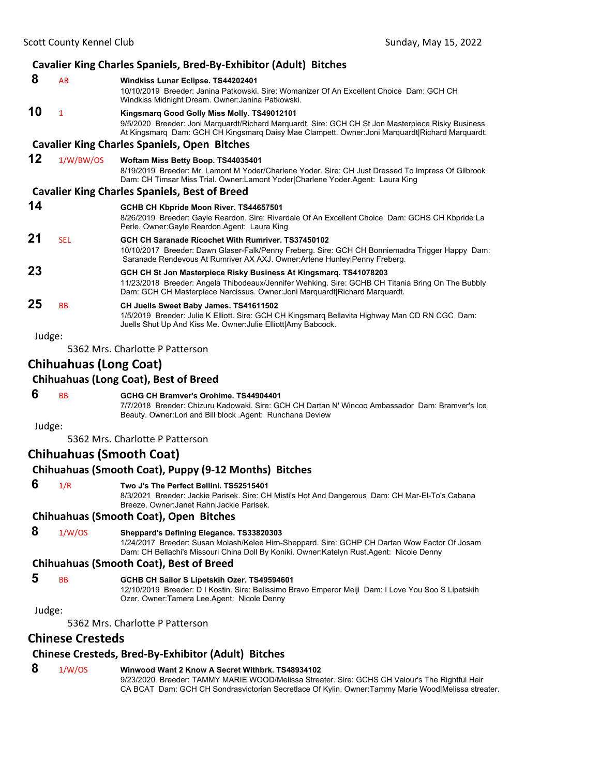### **Cavalier King Charles Spaniels, Bred‐By‐Exhibitor (Adult) Bitches**

| 8      | AB         | Windkiss Lunar Eclipse. TS44202401                                                                                                                                                                                                                    |
|--------|------------|-------------------------------------------------------------------------------------------------------------------------------------------------------------------------------------------------------------------------------------------------------|
|        |            | 10/10/2019 Breeder: Janina Patkowski, Sire: Womanizer Of An Excellent Choice Dam: GCH CH<br>Windkiss Midnight Dream. Owner: Janina Patkowski.                                                                                                         |
| 10     | 1          | Kingsmarg Good Golly Miss Molly. TS49012101<br>9/5/2020 Breeder: Joni Marquardt/Richard Marquardt. Sire: GCH CH St Jon Masterpiece Risky Business<br>At Kingsmarg Dam: GCH CH Kingsmarg Daisy Mae Clampett. Owner: Joni Marguardt Richard Marguardt.  |
|        |            | <b>Cavalier King Charles Spaniels, Open Bitches</b>                                                                                                                                                                                                   |
| 12     | 1/W/BW/OS  | Woftam Miss Betty Boop. TS44035401<br>8/19/2019 Breeder: Mr. Lamont M Yoder/Charlene Yoder. Sire: CH Just Dressed To Impress Of Gilbrook<br>Dam: CH Timsar Miss Trial. Owner:Lamont Yoder Charlene Yoder.Agent: Laura King                            |
|        |            | <b>Cavalier King Charles Spaniels, Best of Breed</b>                                                                                                                                                                                                  |
| 14     |            | GCHB CH Kbpride Moon River. TS44657501<br>8/26/2019 Breeder: Gayle Reardon. Sire: Riverdale Of An Excellent Choice Dam: GCHS CH Kbpride La<br>Perle. Owner: Gayle Reardon. Agent: Laura King                                                          |
| 21     | <b>SEL</b> | GCH CH Saranade Ricochet With Rumriver, TS37450102<br>10/10/2017 Breeder: Dawn Glaser-Falk/Penny Freberg. Sire: GCH CH Bonniemadra Trigger Happy Dam:<br>Saranade Rendevous At Rumriver AX AXJ. Owner: Arlene Hunley Penny Freberg.                   |
| 23     |            | GCH CH St Jon Masterpiece Risky Business At Kingsmarq. TS41078203<br>11/23/2018 Breeder: Angela Thibodeaux/Jennifer Wehking. Sire: GCHB CH Titania Bring On The Bubbly<br>Dam: GCH CH Masterpiece Narcissus. Owner: Joni Marquardt Richard Marquardt. |
| 25     | <b>BB</b>  | CH Juells Sweet Baby James. TS41611502<br>1/5/2019 Breeder: Julie K Elliott. Sire: GCH CH Kingsmarg Bellavita Highway Man CD RN CGC Dam:<br>Juells Shut Up And Kiss Me. Owner: Julie Elliott Amy Babcock.                                             |
| Judge: |            |                                                                                                                                                                                                                                                       |
|        |            |                                                                                                                                                                                                                                                       |

5362 Mrs. Charlotte P Patterson

### **Chihuahuas (Long Coat)**

|  |  | <b>Chihuahuas (Long Coat), Best of Breed</b> |
|--|--|----------------------------------------------|
|--|--|----------------------------------------------|

### **6** BB **GCHG CH Bramver's Orohime. TS44904401**

7/7/2018 Breeder: Chizuru Kadowaki. Sire: GCH CH Dartan N' Wincoo Ambassador Dam: Bramver's Ice Beauty. Owner:Lori and Bill block .Agent: Runchana Deview

Judge:

5362 Mrs. Charlotte P Patterson

### **Chihuahuas (Smooth Coat)**

### **Chihuahuas (Smooth Coat), Puppy (9‐12 Months) Bitches**

### **6** 1/R **Two J's The Perfect Bellini. TS52515401**

8/3/2021 Breeder: Jackie Parisek. Sire: CH Misti's Hot And Dangerous Dam: CH Mar-El-To's Cabana Breeze. Owner:Janet Rahn|Jackie Parisek.

#### **Chihuahuas (Smooth Coat), Open Bitches**

 **8** 1/W/OS **Sheppard's Defining Elegance. TS33820303**

1/24/2017 Breeder: Susan Molash/Kelee Hirn-Sheppard. Sire: GCHP CH Dartan Wow Factor Of Josam Dam: CH Bellachi's Missouri China Doll By Koniki. Owner:Katelyn Rust.Agent: Nicole Denny

#### **Chihuahuas (Smooth Coat), Best of Breed**

### **5** BB **GCHB CH Sailor S Lipetskih Ozer. TS49594601**

12/10/2019 Breeder: D I Kostin. Sire: Belissimo Bravo Emperor Meiji Dam: I Love You Soo S Lipetskih Ozer. Owner:Tamera Lee.Agent: Nicole Denny

Judge:

5362 Mrs. Charlotte P Patterson

#### **Chinese Cresteds**

#### **Chinese Cresteds, Bred‐By‐Exhibitor (Adult) Bitches**

 **8** 1/W/OS **Winwood Want 2 Know A Secret Withbrk. TS48934102** 9/23/2020 Breeder: TAMMY MARIE WOOD/Melissa Streater. Sire: GCHS CH Valour's The Rightful Heir CA BCAT Dam: GCH CH Sondrasvictorian Secretlace Of Kylin. Owner:Tammy Marie Wood|Melissa streater.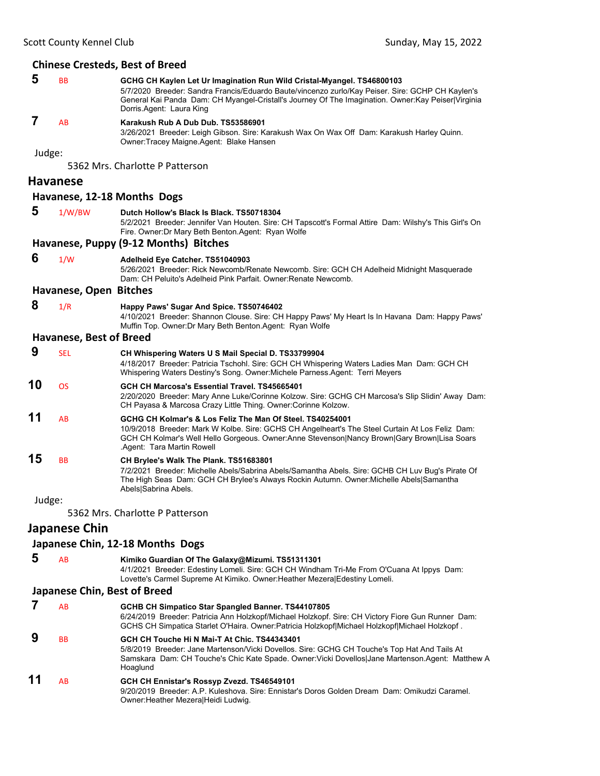#### **Chinese Cresteds, Best of Breed**

| 5<br><b>BB</b><br>GCHG CH Kaylen Let Ur Imagination Run Wild Cristal-Myangel. TS46800103<br>Dorris Agent: Laura King |           | 5/7/2020 Breeder: Sandra Francis/Eduardo Baute/vincenzo zurlo/Kay Peiser. Sire: GCHP CH Kaylen's<br>General Kai Panda Dam: CH Myangel-Cristall's Journey Of The Imagination. Owner: Kay Peiser   Virginia |
|----------------------------------------------------------------------------------------------------------------------|-----------|-----------------------------------------------------------------------------------------------------------------------------------------------------------------------------------------------------------|
|                                                                                                                      | <b>AB</b> | Karakush Rub A Dub Dub. TS53586901<br>3/26/2021 Breeder: Leigh Gibson. Sire: Karakush Wax On Wax Off Dam: Karakush Harley Quinn.                                                                          |

Judge:

5362 Mrs. Charlotte P Patterson

#### **Havanese**

#### **Havanese, 12‐18 Months Dogs**

 **5** 1/W/BW **Dutch Hollow's Black Is Black. TS50718304**

Owner:Tracey Maigne.Agent: Blake Hansen

5/2/2021 Breeder: Jennifer Van Houten. Sire: CH Tapscott's Formal Attire Dam: Wilshy's This Girl's On Fire. Owner:Dr Mary Beth Benton.Agent: Ryan Wolfe

#### **Havanese, Puppy (9‐12 Months) Bitches**

```
 6 1/W Adelheid Eye Catcher. TS51040903
```
5/26/2021 Breeder: Rick Newcomb/Renate Newcomb. Sire: GCH CH Adelheid Midnight Masquerade Dam: CH Peluito's Adelheid Pink Parfait. Owner:Renate Newcomb.

#### **Havanese, Open Bitches**

 **8** 1/R **Happy Paws' Sugar And Spice. TS50746402**

4/10/2021 Breeder: Shannon Clouse. Sire: CH Happy Paws' My Heart Is In Havana Dam: Happy Paws' Muffin Top. Owner:Dr Mary Beth Benton.Agent: Ryan Wolfe

#### **Havanese, Best of Breed**

 **9** SEL **CH Whispering Waters U S Mail Special D. TS33799904** 4/18/2017 Breeder: Patricia Tschohl. Sire: GCH CH Whispering Waters Ladies Man Dam: GCH CH Whispering Waters Destiny's Song. Owner:Michele Parness.Agent: Terri Meyers **10** OS **GCH CH Marcosa's Essential Travel. TS45665401** 2/20/2020 Breeder: Mary Anne Luke/Corinne Kolzow. Sire: GCHG CH Marcosa's Slip Slidin' Away Dam: CH Payasa & Marcosa Crazy Little Thing. Owner:Corinne Kolzow. **11** AB **GCHG CH Kolmar's & Los Feliz The Man Of Steel. TS40254001** 10/9/2018 Breeder: Mark W Kolbe. Sire: GCHS CH Angelheart's The Steel Curtain At Los Feliz Dam: GCH CH Kolmar's Well Hello Gorgeous. Owner:Anne Stevenson|Nancy Brown|Gary Brown|Lisa Soars .Agent: Tara Martin Rowell **15** BB **CH Brylee's Walk The Plank. TS51683801** 7/2/2021 Breeder: Michelle Abels/Sabrina Abels/Samantha Abels. Sire: GCHB CH Luv Bug's Pirate Of The High Seas Dam: GCH CH Brylee's Always Rockin Autumn. Owner:Michelle Abels|Samantha Abels|Sabrina Abels.

Judge:

5362 Mrs. Charlotte P Patterson

### **Japanese Chin**

#### **Japanese Chin, 12‐18 Months Dogs**

 **5** AB **Kimiko Guardian Of The Galaxy@Mizumi. TS51311301**

4/1/2021 Breeder: Edestiny Lomeli. Sire: GCH CH Windham Tri-Me From O'Cuana At Ippys Dam: Lovette's Carmel Supreme At Kimiko. Owner:Heather Mezera|Edestiny Lomeli.

#### **Japanese Chin, Best of Breed**

|    | AB | <b>GCHB CH Simpatico Star Spangled Banner. TS44107805</b><br>6/24/2019 Breeder: Patricia Ann Holzkopf/Michael Holzkopf. Sire: CH Victory Fiore Gun Runner Dam:<br>GCHS CH Simpatica Starlet O'Haira. Owner: Patricia Holzkopf Michael Holzkopf Michael Holzkopf. |
|----|----|------------------------------------------------------------------------------------------------------------------------------------------------------------------------------------------------------------------------------------------------------------------|
| 9  | BB | GCH CH Touche Hi N Mai-T At Chic. TS44343401<br>5/8/2019 Breeder: Jane Martenson/Vicki Dovellos. Sire: GCHG CH Touche's Top Hat And Tails At<br>Samskara Dam: CH Touche's Chic Kate Spade. Owner: Vicki Dovellos Jane Martenson. Agent: Matthew A<br>Hoaglund    |
| 11 | AB | GCH CH Ennistar's Rossyp Zvezd. TS46549101<br>9/20/2019 Breeder: A.P. Kuleshova, Sire: Ennistar's Doros Golden Dream Dam: Omikudzi Caramel.<br>Owner: Heather Mezeral Heidi Ludwig.                                                                              |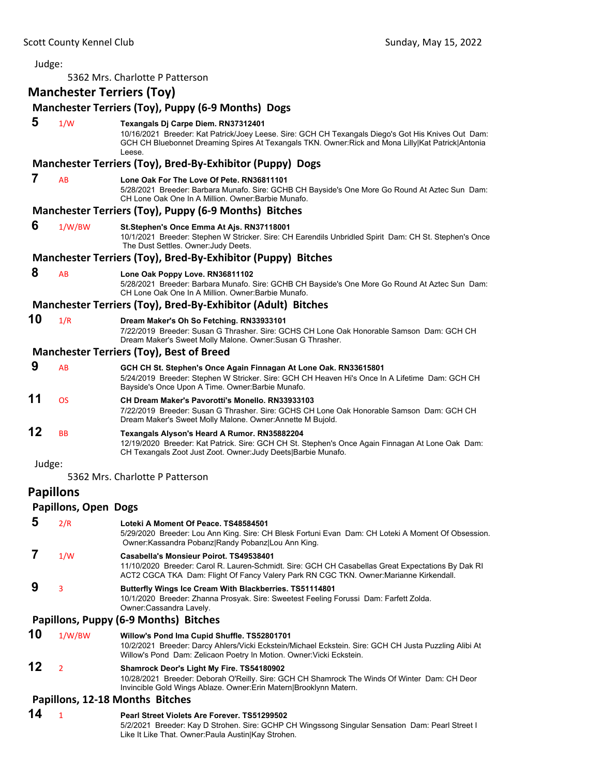| Judge: |                                  |                                                                                                                                                                                                                                                           |
|--------|----------------------------------|-----------------------------------------------------------------------------------------------------------------------------------------------------------------------------------------------------------------------------------------------------------|
|        |                                  | 5362 Mrs. Charlotte P Patterson                                                                                                                                                                                                                           |
|        | <b>Manchester Terriers (Toy)</b> |                                                                                                                                                                                                                                                           |
|        |                                  | Manchester Terriers (Toy), Puppy (6-9 Months) Dogs                                                                                                                                                                                                        |
| 5      | 1/W                              | Texangals Dj Carpe Diem. RN37312401<br>10/16/2021 Breeder: Kat Patrick/Joey Leese. Sire: GCH CH Texangals Diego's Got His Knives Out Dam:<br>GCH CH Bluebonnet Dreaming Spires At Texangals TKN. Owner: Rick and Mona Lilly Kat Patrick Antonia<br>l eese |
|        |                                  | Manchester Terriers (Toy), Bred-By-Exhibitor (Puppy) Dogs                                                                                                                                                                                                 |
| 7      | AB                               | Lone Oak For The Love Of Pete, RN36811101<br>5/28/2021 Breeder: Barbara Munafo. Sire: GCHB CH Bayside's One More Go Round At Aztec Sun Dam:<br>CH Lone Oak One In A Million, Owner: Barbie Munafo.                                                        |
|        |                                  | Manchester Terriers (Toy), Puppy (6-9 Months) Bitches                                                                                                                                                                                                     |
| 6      | 1/W/BW                           | St.Stephen's Once Emma At Ajs. RN37118001<br>10/1/2021 Breeder: Stephen W Stricker. Sire: CH Earendils Unbridled Spirit Dam: CH St. Stephen's Once<br>The Dust Settles. Owner: Judy Deets.                                                                |
|        |                                  | Manchester Terriers (Toy), Bred-By-Exhibitor (Puppy) Bitches                                                                                                                                                                                              |
| 8      | AB                               | Lone Oak Poppy Love. RN36811102<br>5/28/2021 Breeder: Barbara Munafo. Sire: GCHB CH Bayside's One More Go Round At Aztec Sun Dam:<br>CH Lone Oak One In A Million, Owner: Barbie Munafo.                                                                  |
|        |                                  | Manchester Terriers (Toy), Bred-By-Exhibitor (Adult) Bitches                                                                                                                                                                                              |
| 10     | 1/R                              | Dream Maker's Oh So Fetching. RN33933101<br>7/22/2019 Breeder: Susan G Thrasher. Sire: GCHS CH Lone Oak Honorable Samson Dam: GCH CH<br>Dream Maker's Sweet Molly Malone. Owner: Susan G Thrasher.                                                        |
|        |                                  | <b>Manchester Terriers (Toy), Best of Breed</b>                                                                                                                                                                                                           |
| 9      | AB                               | GCH CH St. Stephen's Once Again Finnagan At Lone Oak. RN33615801<br>5/24/2019 Breeder: Stephen W Stricker. Sire: GCH CH Heaven Hi's Once In A Lifetime Dam: GCH CH<br>Bayside's Once Upon A Time. Owner: Barbie Munafo.                                   |
| 11     | <b>OS</b>                        | <b>CH Dream Maker's Pavorotti's Monello, RN33933103</b><br>7/22/2019 Breeder: Susan G Thrasher. Sire: GCHS CH Lone Oak Honorable Samson Dam: GCH CH<br>Dream Maker's Sweet Molly Malone. Owner: Annette M Bujold.                                         |
| 12     | BB                               | Texangals Alyson's Heard A Rumor. RN35882204<br>12/19/2020 Breeder: Kat Patrick. Sire: GCH CH St. Stephen's Once Again Finnagan At Lone Oak Dam:<br>CH Texangals Zoot Just Zoot. Owner: Judy Deets   Barbie Munafo.                                       |
| Judge: |                                  |                                                                                                                                                                                                                                                           |
|        |                                  | 5362 Mrs. Charlotte P Patterson                                                                                                                                                                                                                           |
|        | <b>Papillons</b>                 |                                                                                                                                                                                                                                                           |
|        | <b>Papillons, Open Dogs</b>      |                                                                                                                                                                                                                                                           |
| 5      | 2/R                              | Loteki A Moment Of Peace. TS48584501<br>5/29/2020 Breeder: Lou Ann King. Sire: CH Blesk Fortuni Evan Dam: CH Loteki A Moment Of Obsession.<br>Owner: Kassandra Pobanz Randy Pobanz Lou Ann King.                                                          |
| 7      | 1/W                              | Casabella's Monsieur Poirot. TS49538401<br>11/10/2020 Breeder: Carol R. Lauren-Schmidt. Sire: GCH CH Casabellas Great Expectations By Dak RI<br>ACT2 CGCA TKA Dam: Flight Of Fancy Valery Park RN CGC TKN. Owner:Marianne Kirkendall.                     |
| 9      | 3                                | Butterfly Wings Ice Cream With Blackberries. TS51114801<br>10/1/2020 Breeder: Zhanna Prosyak. Sire: Sweetest Feeling Forussi Dam: Farfett Zolda.<br>Owner:Cassandra Lavely.                                                                               |
|        |                                  | Papillons, Puppy (6-9 Months) Bitches                                                                                                                                                                                                                     |
| 10     | 1/W/BW                           | Willow's Pond Ima Cupid Shuffle. TS52801701<br>10/2/2021 Breeder: Darcy Ahlers/Vicki Eckstein/Michael Eckstein. Sire: GCH CH Justa Puzzling Alibi At<br>Willow's Pond Dam: Zelicaon Poetry In Motion. Owner: Vicki Eckstein.                              |
| 12     | 2                                | Shamrock Deor's Light My Fire. TS54180902<br>10/28/2021 Breeder: Deborah O'Reilly. Sire: GCH CH Shamrock The Winds Of Winter Dam: CH Deor<br>Invincible Gold Wings Ablaze. Owner: Erin Matern Brooklynn Matern.                                           |
|        |                                  | Papillons, 12-18 Months Bitches                                                                                                                                                                                                                           |
| 14     | $\mathbf{1}$                     | Pearl Street Violets Are Forever. TS51299502<br>5/2/2021 Breeder: Kay D Strohen. Sire: GCHP CH Wingssong Singular Sensation Dam: Pearl Street I<br>Like It Like That. Owner: Paula Austin Kay Strohen.                                                    |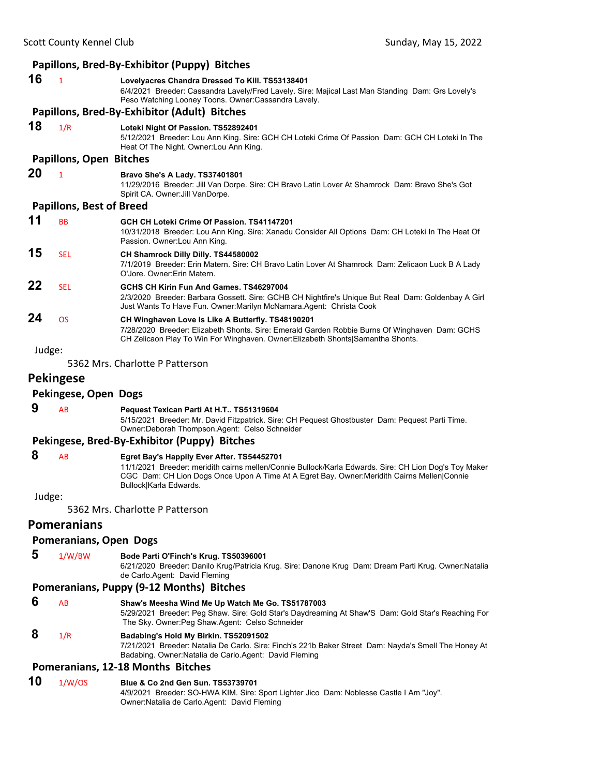|        |                                 | Papillons, Bred-By-Exhibitor (Puppy) Bitches                                                                                                                                                                                                                                 |
|--------|---------------------------------|------------------------------------------------------------------------------------------------------------------------------------------------------------------------------------------------------------------------------------------------------------------------------|
| 16     | $\mathbf{1}$                    | Lovelyacres Chandra Dressed To Kill. TS53138401<br>6/4/2021 Breeder: Cassandra Lavely/Fred Lavely. Sire: Majical Last Man Standing Dam: Grs Lovely's<br>Peso Watching Looney Toons. Owner: Cassandra Lavely.                                                                 |
|        |                                 | Papillons, Bred-By-Exhibitor (Adult) Bitches                                                                                                                                                                                                                                 |
| 18     | 1/R                             | Loteki Night Of Passion. TS52892401<br>5/12/2021 Breeder: Lou Ann King. Sire: GCH CH Loteki Crime Of Passion Dam: GCH CH Loteki In The<br>Heat Of The Night. Owner: Lou Ann King.                                                                                            |
|        | <b>Papillons, Open Bitches</b>  |                                                                                                                                                                                                                                                                              |
| 20     | $\mathbf{1}$                    | Bravo She's A Lady. TS37401801<br>11/29/2016 Breeder: Jill Van Dorpe. Sire: CH Bravo Latin Lover At Shamrock Dam: Bravo She's Got<br>Spirit CA. Owner: Jill VanDorpe.                                                                                                        |
|        | <b>Papillons, Best of Breed</b> |                                                                                                                                                                                                                                                                              |
| 11     | <b>BB</b>                       | GCH CH Loteki Crime Of Passion. TS41147201<br>10/31/2018 Breeder: Lou Ann King. Sire: Xanadu Consider All Options Dam: CH Loteki In The Heat Of<br>Passion. Owner: Lou Ann King.                                                                                             |
| 15     | <b>SEL</b>                      | CH Shamrock Dilly Dilly. TS44580002<br>7/1/2019 Breeder: Erin Matern. Sire: CH Bravo Latin Lover At Shamrock Dam: Zelicaon Luck B A Lady<br>O'Jore, Owner: Erin Matern.                                                                                                      |
| 22     | <b>SEL</b>                      | GCHS CH Kirin Fun And Games, TS46297004<br>2/3/2020 Breeder: Barbara Gossett. Sire: GCHB CH Nightfire's Unique But Real Dam: Goldenbay A Girl<br>Just Wants To Have Fun. Owner: Marilyn McNamara. Agent: Christa Cook                                                        |
| 24     | <b>OS</b>                       | CH Winghaven Love Is Like A Butterfly. TS48190201<br>7/28/2020 Breeder: Elizabeth Shonts. Sire: Emerald Garden Robbie Burns Of Winghaven Dam: GCHS<br>CH Zelicaon Play To Win For Winghaven. Owner: Elizabeth Shonts Samantha Shonts.                                        |
| Judge: |                                 |                                                                                                                                                                                                                                                                              |
|        |                                 | 5362 Mrs. Charlotte P Patterson                                                                                                                                                                                                                                              |
|        | <b>Pekingese</b>                |                                                                                                                                                                                                                                                                              |
|        | Pekingese, Open Dogs            |                                                                                                                                                                                                                                                                              |
| 9      | AB                              | Pequest Texican Parti At H.T TS51319604<br>5/15/2021 Breeder: Mr. David Fitzpatrick. Sire: CH Pequest Ghostbuster Dam: Pequest Parti Time.<br>Owner: Deborah Thompson Agent: Celso Schneider                                                                                 |
|        |                                 | Pekingese, Bred-By-Exhibitor (Puppy) Bitches                                                                                                                                                                                                                                 |
| 8      | AB                              | Egret Bay's Happily Ever After. TS54452701<br>11/1/2021 Breeder: meridith cairns mellen/Connie Bullock/Karla Edwards. Sire: CH Lion Dog's Toy Maker<br>CGC Dam: CH Lion Dogs Once Upon A Time At A Egret Bay. Owner: Meridith Cairns Mellen Connie<br>Bullock Karla Edwards. |
| Judge: |                                 |                                                                                                                                                                                                                                                                              |
|        |                                 | 5362 Mrs. Charlotte P Patterson                                                                                                                                                                                                                                              |

### **Pomeranians**

#### **Pomeranians, Open Dogs**

 **5** 1/W/BW **Bode Parti O'Finch's Krug. TS50396001**

6/21/2020 Breeder: Danilo Krug/Patricia Krug. Sire: Danone Krug Dam: Dream Parti Krug. Owner:Natalia de Carlo.Agent: David Fleming

#### **Pomeranians, Puppy (9‐12 Months) Bitches**

- **6** AB **Shaw's Meesha Wind Me Up Watch Me Go. TS51787003** 5/29/2021 Breeder: Peg Shaw. Sire: Gold Star's Daydreaming At Shaw'S Dam: Gold Star's Reaching For The Sky. Owner:Peg Shaw.Agent: Celso Schneider
- **8** 1/R **Badabing's Hold My Birkin. TS52091502** 7/21/2021 Breeder: Natalia De Carlo. Sire: Finch's 221b Baker Street Dam: Nayda's Smell The Honey At Badabing. Owner:Natalia de Carlo.Agent: David Fleming

#### **Pomeranians, 12‐18 Months Bitches**

### **10** 1/W/OS **Blue & Co 2nd Gen Sun. TS53739701**

4/9/2021 Breeder: SO-HWA KIM. Sire: Sport Lighter Jico Dam: Noblesse Castle I Am "Joy". Owner:Natalia de Carlo.Agent: David Fleming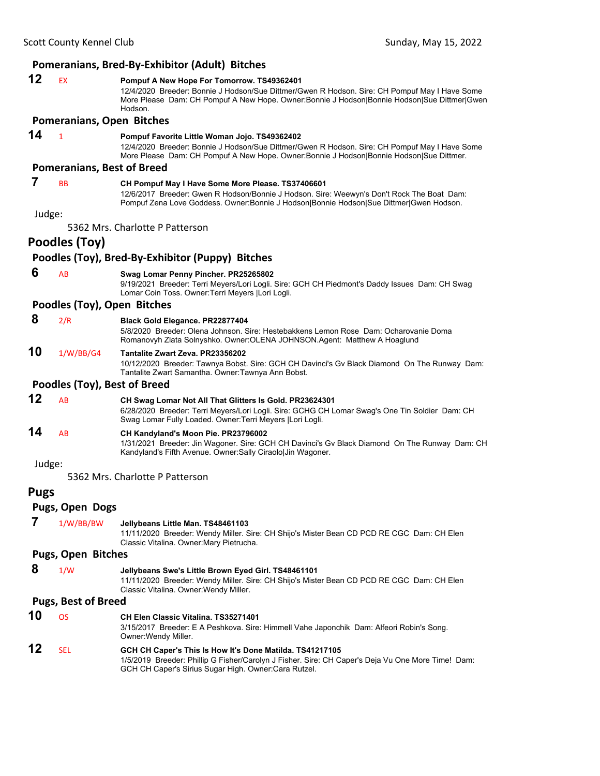### **Pomeranians, Bred‐By‐Exhibitor (Adult) Bitches 12** EX **Pompuf A New Hope For Tomorrow. TS49362401** 12/4/2020 Breeder: Bonnie J Hodson/Sue Dittmer/Gwen R Hodson. Sire: CH Pompuf May I Have Some More Please Dam: CH Pompuf A New Hope. Owner:Bonnie J Hodson|Bonnie Hodson|Sue Dittmer|Gwen Hodson. **Pomeranians, Open Bitches 14** <sup>1</sup> **Pompuf Favorite Little Woman Jojo. TS49362402** 12/4/2020 Breeder: Bonnie J Hodson/Sue Dittmer/Gwen R Hodson. Sire: CH Pompuf May I Have Some More Please Dam: CH Pompuf A New Hope. Owner:Bonnie J Hodson|Bonnie Hodson|Sue Dittmer. **Pomeranians, Best of Breed 7** BB **CH Pompuf May I Have Some More Please. TS37406601** 12/6/2017 Breeder: Gwen R Hodson/Bonnie J Hodson. Sire: Weewyn's Don't Rock The Boat Dam: Pompuf Zena Love Goddess. Owner:Bonnie J Hodson|Bonnie Hodson|Sue Dittmer|Gwen Hodson. Judge: 5362 Mrs. Charlotte P Patterson **Poodles (Toy) Poodles (Toy), Bred‐By‐Exhibitor (Puppy) Bitches 6** AB **Swag Lomar Penny Pincher. PR25265802** 9/19/2021 Breeder: Terri Meyers/Lori Logli. Sire: GCH CH Piedmont's Daddy Issues Dam: CH Swag Lomar Coin Toss. Owner:Terri Meyers |Lori Logli. **Poodles (Toy), Open Bitches 8** 2/R **Black Gold Elegance. PR22877404** 5/8/2020 Breeder: Olena Johnson. Sire: Hestebakkens Lemon Rose Dam: Ocharovanie Doma Romanovyh Zlata Solnyshko. Owner:OLENA JOHNSON.Agent: Matthew A Hoaglund **10** 1/W/BB/G4 **Tantalite Zwart Zeva. PR23356202** 10/12/2020 Breeder: Tawnya Bobst. Sire: GCH CH Davinci's Gv Black Diamond On The Runway Dam: Tantalite Zwart Samantha. Owner:Tawnya Ann Bobst. **Poodles (Toy), Best of Breed 12** AB **CH Swag Lomar Not All That Glitters Is Gold. PR23624301** 6/28/2020 Breeder: Terri Meyers/Lori Logli. Sire: GCHG CH Lomar Swag's One Tin Soldier Dam: CH Swag Lomar Fully Loaded. Owner:Terri Meyers |Lori Logli. **14** AB **CH Kandyland's Moon Pie. PR23796002** 1/31/2021 Breeder: Jin Wagoner. Sire: GCH CH Davinci's Gv Black Diamond On The Runway Dam: CH Kandyland's Fifth Avenue. Owner:Sally Ciraolo|Jin Wagoner. Judge: 5362 Mrs. Charlotte P Patterson **Pugs Pugs, Open Dogs 7** 1/W/BB/BW **Jellybeans Little Man. TS48461103** 11/11/2020 Breeder: Wendy Miller. Sire: CH Shijo's Mister Bean CD PCD RE CGC Dam: CH Elen Classic Vitalina. Owner:Mary Pietrucha. **Pugs, Open Bitches 8** 1/W **Jellybeans Swe's Little Brown Eyed Girl. TS48461101** 11/11/2020 Breeder: Wendy Miller. Sire: CH Shijo's Mister Bean CD PCD RE CGC Dam: CH Elen Classic Vitalina. Owner:Wendy Miller. **Pugs, Best of Breed 10** OS **CH Elen Classic Vitalina. TS35271401** 3/15/2017 Breeder: E A Peshkova. Sire: Himmell Vahe Japonchik Dam: Alfeori Robin's Song. Owner:Wendy Miller. **12** SEL **GCH CH Caper's This Is How It's Done Matilda. TS41217105** 1/5/2019 Breeder: Phillip G Fisher/Carolyn J Fisher. Sire: CH Caper's Deja Vu One More Time! Dam: GCH CH Caper's Sirius Sugar High. Owner:Cara Rutzel.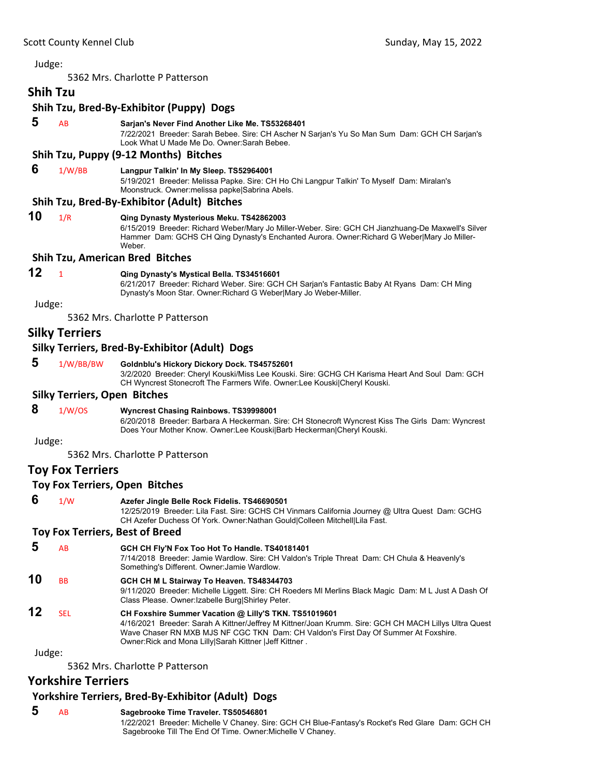5362 Mrs. Charlotte P Patterson

## **Shih Tzu**

#### **Shih Tzu, Bred‐By‐Exhibitor (Puppy) Dogs**

 **5** AB **Sarjan's Never Find Another Like Me. TS53268401**

7/22/2021 Breeder: Sarah Bebee. Sire: CH Ascher N Sarjan's Yu So Man Sum Dam: GCH CH Sarjan's Look What U Made Me Do. Owner:Sarah Bebee.

#### **Shih Tzu, Puppy (9‐12 Months) Bitches**

### **6** 1/W/BB **Langpur Talkin' In My Sleep. TS52964001**

5/19/2021 Breeder: Melissa Papke. Sire: CH Ho Chi Langpur Talkin' To Myself Dam: Miralan's Moonstruck. Owner:melissa papke|Sabrina Abels.

#### **Shih Tzu, Bred‐By‐Exhibitor (Adult) Bitches**

**10** 1/R **Qing Dynasty Mysterious Meku. TS42862003** 6/15/2019 Breeder: Richard Weber/Mary Jo Miller-Weber. Sire: GCH CH Jianzhuang-De Maxwell's Silver Hammer Dam: GCHS CH Qing Dynasty's Enchanted Aurora. Owner:Richard G Weber|Mary Jo Miller-Weber.

#### **Shih Tzu, American Bred Bitches**

### **12** <sup>1</sup> **Qing Dynasty's Mystical Bella. TS34516601**

6/21/2017 Breeder: Richard Weber. Sire: GCH CH Sarjan's Fantastic Baby At Ryans Dam: CH Ming Dynasty's Moon Star. Owner:Richard G Weber|Mary Jo Weber-Miller.

Judge:

5362 Mrs. Charlotte P Patterson

### **Silky Terriers**

#### **Silky Terriers, Bred‐By‐Exhibitor (Adult) Dogs**

#### **5** 1/W/BB/BW **Goldnblu's Hickory Dickory Dock. TS45752601**

3/2/2020 Breeder: Cheryl Kouski/Miss Lee Kouski. Sire: GCHG CH Karisma Heart And Soul Dam: GCH CH Wyncrest Stonecroft The Farmers Wife. Owner:Lee Kouski|Cheryl Kouski.

#### **Silky Terriers, Open Bitches**

### **8** 1/W/OS **Wyncrest Chasing Rainbows. TS39998001**

6/20/2018 Breeder: Barbara A Heckerman. Sire: CH Stonecroft Wyncrest Kiss The Girls Dam: Wyncrest Does Your Mother Know. Owner:Lee Kouski|Barb Heckerman|Cheryl Kouski.

Judge:

5362 Mrs. Charlotte P Patterson

### **Toy Fox Terriers**

#### **Toy Fox Terriers, Open Bitches**

 **6** 1/W **Azefer Jingle Belle Rock Fidelis. TS46690501**

12/25/2019 Breeder: Lila Fast. Sire: GCHS CH Vinmars California Journey @ Ultra Quest Dam: GCHG CH Azefer Duchess Of York. Owner:Nathan Gould|Colleen Mitchell|Lila Fast.

#### **Toy Fox Terriers, Best of Breed**

- **5** AB **GCH CH Fly'N Fox Too Hot To Handle. TS40181401** 7/14/2018 Breeder: Jamie Wardlow. Sire: CH Valdon's Triple Threat Dam: CH Chula & Heavenly's Something's Different. Owner:Jamie Wardlow.
- **10** BB **GCH CH M L Stairway To Heaven. TS48344703**
- 9/11/2020 Breeder: Michelle Liggett. Sire: CH Roeders Ml Merlins Black Magic Dam: M L Just A Dash Of Class Please. Owner:Izabelle Burg|Shirley Peter.
- **12** SEL **CH Foxshire Summer Vacation @ Lilly'S TKN. TS51019601** 4/16/2021 Breeder: Sarah A Kittner/Jeffrey M Kittner/Joan Krumm. Sire: GCH CH MACH Lillys Ultra Quest Wave Chaser RN MXB MJS NF CGC TKN Dam: CH Valdon's First Day Of Summer At Foxshire. Owner:Rick and Mona Lilly|Sarah Kittner |Jeff Kittner .

Judge:

5362 Mrs. Charlotte P Patterson

### **Yorkshire Terriers**

### **Yorkshire Terriers, Bred‐By‐Exhibitor (Adult) Dogs**

 **5** AB **Sagebrooke Time Traveler. TS50546801** 1/22/2021 Breeder: Michelle V Chaney. Sire: GCH CH Blue-Fantasy's Rocket's Red Glare Dam: GCH CH Sagebrooke Till The End Of Time. Owner:Michelle V Chaney.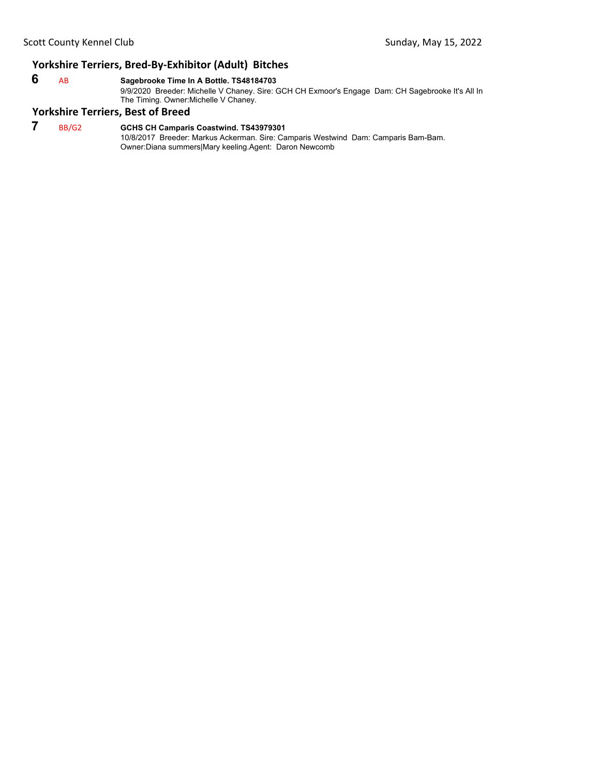### **Yorkshire Terriers, Bred‐By‐Exhibitor (Adult) Bitches**

### **6** AB **Sagebrooke Time In A Bottle. TS48184703**

9/9/2020 Breeder: Michelle V Chaney. Sire: GCH CH Exmoor's Engage Dam: CH Sagebrooke It's All In The Timing. Owner: Michelle V Chaney.

#### **Yorkshire Terriers, Best of Breed**

 **7** BB/G2 **GCHS CH Camparis Coastwind. TS43979301** 10/8/2017 Breeder: Markus Ackerman. Sire: Camparis Westwind Dam: Camparis Bam-Bam. Owner:Diana summers|Mary keeling.Agent: Daron Newcomb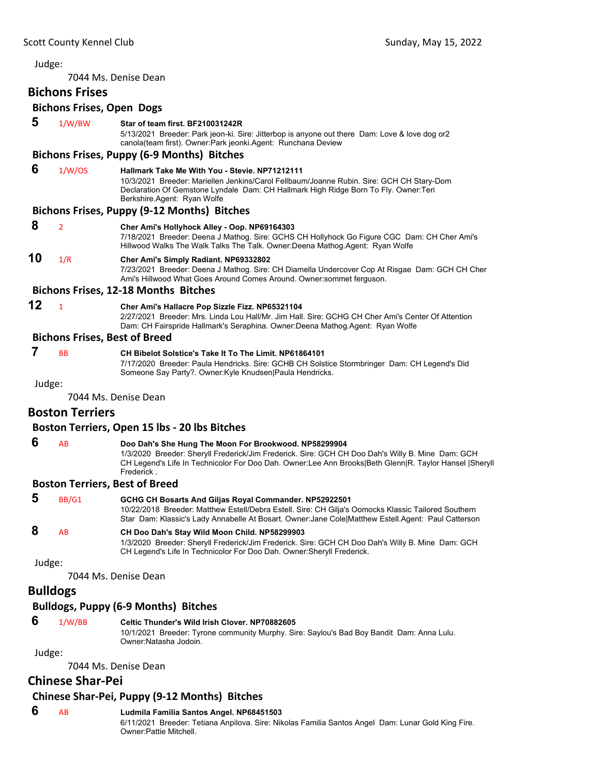<span id="page-39-0"></span>7044 Ms. Denise Dean

# **Bichons Frises**

### **Bichons Frises, Open Dogs**

|        | <b>Bichons Frises, Open Dogs</b> |                                                                                                                                                                                                                                                                                   |
|--------|----------------------------------|-----------------------------------------------------------------------------------------------------------------------------------------------------------------------------------------------------------------------------------------------------------------------------------|
| 5      | 1/W/BW                           | Star of team first. BF210031242R<br>5/13/2021 Breeder: Park jeon-ki. Sire: Jitterbop is anyone out there Dam: Love & love dog or 2<br>canola(team first). Owner:Park jeonki.Agent: Runchana Deview                                                                                |
|        |                                  | Bichons Frises, Puppy (6-9 Months) Bitches                                                                                                                                                                                                                                        |
| 6      | 1/W/OS                           | Hallmark Take Me With You - Stevie, NP71212111<br>10/3/2021 Breeder: Mariellen Jenkins/Carol Fellbaum/Joanne Rubin. Sire: GCH CH Stary-Dom<br>Declaration Of Gemstone Lyndale Dam: CH Hallmark High Ridge Born To Fly. Owner: Teri<br>Berkshire Agent: Ryan Wolfe                 |
|        |                                  | <b>Bichons Frises, Puppy (9-12 Months) Bitches</b>                                                                                                                                                                                                                                |
| 8      | $\overline{2}$                   | Cher Ami's Hollyhock Alley - Oop. NP69164303<br>7/18/2021 Breeder: Deena J Mathog. Sire: GCHS CH Hollyhock Go Figure CGC Dam: CH Cher Ami's<br>Hillwood Walks The Walk Talks The Talk. Owner:Deena Mathog.Agent: Ryan Wolfe                                                       |
| 10     | 1/R                              | Cher Ami's Simply Radiant. NP69332802<br>7/23/2021 Breeder: Deena J Mathog. Sire: CH Diamella Undercover Cop At Risgae Dam: GCH CH Cher<br>Ami's Hillwood What Goes Around Comes Around. Owner:sommet ferguson.                                                                   |
|        |                                  | <b>Bichons Frises, 12-18 Months Bitches</b>                                                                                                                                                                                                                                       |
| 12     | $\mathbf{1}$                     | Cher Ami's Hallacre Pop Sizzle Fizz. NP65321104<br>2/27/2021 Breeder: Mrs. Linda Lou Hall/Mr. Jim Hall. Sire: GCHG CH Cher Ami's Center Of Attention<br>Dam: CH Fairspride Hallmark's Seraphina. Owner:Deena Mathog.Agent: Ryan Wolfe                                             |
|        |                                  | <b>Bichons Frises, Best of Breed</b>                                                                                                                                                                                                                                              |
| 7      | <b>BB</b>                        | CH Bibelot Solstice's Take It To The Limit. NP61864101<br>7/17/2020 Breeder: Paula Hendricks. Sire: GCHB CH Solstice Stormbringer Dam: CH Legend's Did<br>Someone Say Party?. Owner: Kyle Knudsen Paula Hendricks.                                                                |
| Judge: |                                  |                                                                                                                                                                                                                                                                                   |
|        |                                  | 7044 Ms. Denise Dean                                                                                                                                                                                                                                                              |
|        | <b>Boston Terriers</b>           |                                                                                                                                                                                                                                                                                   |
|        |                                  | Boston Terriers, Open 15 lbs - 20 lbs Bitches                                                                                                                                                                                                                                     |
| 6      | AB                               | Doo Dah's She Hung The Moon For Brookwood. NP58299904<br>1/3/2020 Breeder: Sheryll Frederick/Jim Frederick. Sire: GCH CH Doo Dah's Willy B. Mine Dam: GCH<br>CH Legend's Life In Technicolor For Doo Dah. Owner:Lee Ann Brooks Beth Glenn R. Taylor Hansel  Sheryll<br>Frederick. |
|        |                                  | <b>Boston Terriers, Best of Breed</b>                                                                                                                                                                                                                                             |
| 5      | BB/G1                            | GCHG CH Bosarts And Giljas Royal Commander. NP52922501<br>10/22/2018 Breeder: Matthew Estell/Debra Estell. Sire: CH Gilja's Oomocks Klassic Tailored Southern<br>Star Dam: Klassic's Lady Annabelle At Bosart. Owner:Jane Cole Matthew Estell.Agent: Paul Catterson               |
| 8      | AB                               | CH Doo Dah's Stay Wild Moon Child. NP58299903<br>1/3/2020 Breeder: Sheryll Frederick/Jim Frederick. Sire: GCH CH Doo Dah's Willy B. Mine Dam: GCH<br>CH Legend's Life In Technicolor For Doo Dah. Owner: Sheryll Frederick.                                                       |
| Judge: |                                  |                                                                                                                                                                                                                                                                                   |
|        |                                  | 7044 Ms. Denise Dean                                                                                                                                                                                                                                                              |

### **Bulldogs**

### **Bulldogs, Puppy (6‐9 Months) Bitches**

### **6** 1/W/BB **Celtic Thunder's Wild Irish Clover. NP70882605**

10/1/2021 Breeder: Tyrone community Murphy. Sire: Saylou's Bad Boy Bandit Dam: Anna Lulu. Owner:Natasha Jodoin.

### Judge:

7044 Ms. Denise Dean

## **Chinese Shar‐Pei**

## **Chinese Shar‐Pei, Puppy (9‐12 Months) Bitches**

### **6** AB **Ludmila Familia Santos Angel. NP68451503**

6/11/2021 Breeder: Tetiana Anpilova. Sire: Nikolas Familia Santos Angel Dam: Lunar Gold King Fire. Owner:Pattie Mitchell.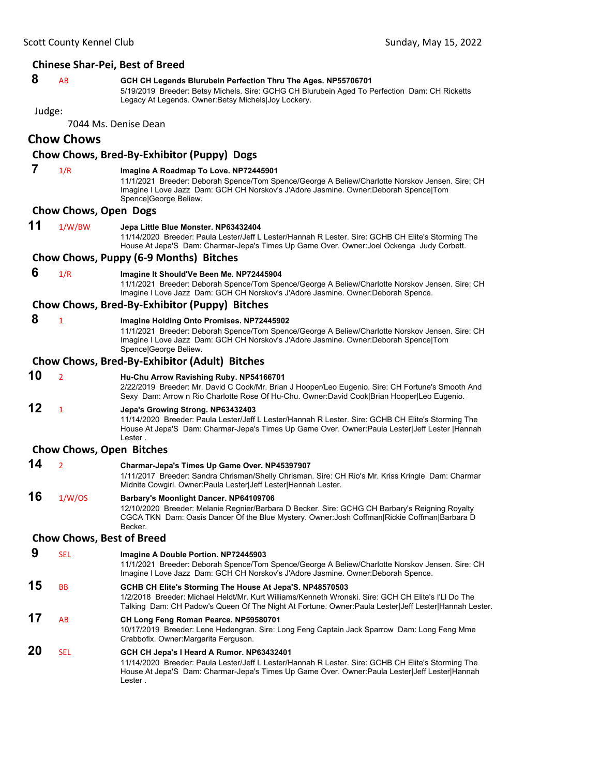#### **Chinese Shar‐Pei, Best of Breed**

### **8** AB **GCH CH Legends Blurubein Perfection Thru The Ages. NP55706701**

5/19/2019 Breeder: Betsy Michels. Sire: GCHG CH Blurubein Aged To Perfection Dam: CH Ricketts Legacy At Legends. Owner:Betsy Michels|Joy Lockery.

Judge:

7044 Ms. Denise Dean

### **Chow Chows**

### **Chow Chows, Bred‐By‐Exhibitor (Puppy) Dogs**

 **7** 1/R **Imagine A Roadmap To Love. NP72445901**

11/1/2021 Breeder: Deborah Spence/Tom Spence/George A Beliew/Charlotte Norskov Jensen. Sire: CH Imagine I Love Jazz Dam: GCH CH Norskov's J'Adore Jasmine. Owner:Deborah Spence|Tom Spence|George Beliew.

#### **Chow Chows, Open Dogs**

**11** 1/W/BW **Jepa Little Blue Monster. NP63432404**

11/14/2020 Breeder: Paula Lester/Jeff L Lester/Hannah R Lester. Sire: GCHB CH Elite's Storming The House At Jepa'S Dam: Charmar-Jepa's Times Up Game Over. Owner:Joel Ockenga Judy Corbett.

#### **Chow Chows, Puppy (6‐9 Months) Bitches**

 **6** 1/R **Imagine It Should'Ve Been Me. NP72445904**

11/1/2021 Breeder: Deborah Spence/Tom Spence/George A Beliew/Charlotte Norskov Jensen. Sire: CH Imagine I Love Jazz Dam: GCH CH Norskov's J'Adore Jasmine. Owner:Deborah Spence.

#### **Chow Chows, Bred‐By‐Exhibitor (Puppy) Bitches**

 **8** <sup>1</sup> **Imagine Holding Onto Promises. NP72445902**

11/1/2021 Breeder: Deborah Spence/Tom Spence/George A Beliew/Charlotte Norskov Jensen. Sire: CH Imagine I Love Jazz Dam: GCH CH Norskov's J'Adore Jasmine. Owner:Deborah Spence|Tom Spence|George Beliew.

#### **Chow Chows, Bred‐By‐Exhibitor (Adult) Bitches**

**10** <sup>2</sup> **Hu-Chu Arrow Ravishing Ruby. NP54166701**

2/22/2019 Breeder: Mr. David C Cook/Mr. Brian J Hooper/Leo Eugenio. Sire: CH Fortune's Smooth And Sexy Dam: Arrow n Rio Charlotte Rose Of Hu-Chu. Owner:David Cook|Brian Hooper|Leo Eugenio.

### **12** <sup>1</sup> **Jepa's Growing Strong. NP63432403**

11/14/2020 Breeder: Paula Lester/Jeff L Lester/Hannah R Lester. Sire: GCHB CH Elite's Storming The House At Jepa'S Dam: Charmar-Jepa's Times Up Game Over. Owner:Paula Lester|Jeff Lester |Hannah Lester .

#### **Chow Chows, Open Bitches**

**14** <sup>2</sup> **Charmar-Jepa's Times Up Game Over. NP45397907**

1/11/2017 Breeder: Sandra Chrisman/Shelly Chrisman. Sire: CH Rio's Mr. Kriss Kringle Dam: Charmar Midnite Cowgirl. Owner:Paula Lester|Jeff Lester|Hannah Lester.

## **16** 1/W/OS **Barbary's Moonlight Dancer. NP64109706**

Lester .

12/10/2020 Breeder: Melanie Regnier/Barbara D Becker. Sire: GCHG CH Barbary's Reigning Royalty CGCA TKN Dam: Oasis Dancer Of the Blue Mystery. Owner:Josh Coffman|Rickie Coffman|Barbara D Becker.

#### **Chow Chows, Best of Breed**

 **9** SEL **Imagine A Double Portion. NP72445903** 11/1/2021 Breeder: Deborah Spence/Tom Spence/George A Beliew/Charlotte Norskov Jensen. Sire: CH Imagine I Love Jazz Dam: GCH CH Norskov's J'Adore Jasmine. Owner:Deborah Spence. **15** BB **GCHB CH Elite's Storming The House At Jepa'S. NP48570503** 1/2/2018 Breeder: Michael Heldt/Mr. Kurt Williams/Kenneth Wronski. Sire: GCH CH Elite's I'Ll Do The Talking Dam: CH Padow's Queen Of The Night At Fortune. Owner:Paula Lester|Jeff Lester|Hannah Lester. **17** AB **CH Long Feng Roman Pearce. NP59580701** 10/17/2019 Breeder: Lene Hedengran. Sire: Long Feng Captain Jack Sparrow Dam: Long Feng Mme Crabbofix. Owner:Margarita Ferguson. **20** SEL **GCH CH Jepa's I Heard A Rumor. NP63432401** 11/14/2020 Breeder: Paula Lester/Jeff L Lester/Hannah R Lester. Sire: GCHB CH Elite's Storming The House At Jepa'S Dam: Charmar-Jepa's Times Up Game Over. Owner:Paula Lester|Jeff Lester|Hannah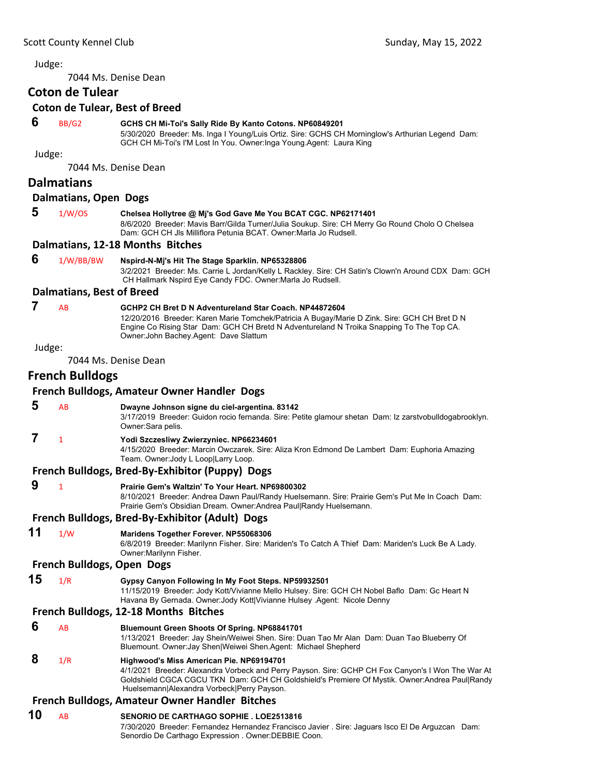7044 Ms. Denise Dean

#### **Coton de Tulear**

#### **Coton de Tulear, Best of Breed**

#### **6** BB/G2 **GCHS CH Mi-Toi's Sally Ride By Kanto Cotons. NP60849201**

5/30/2020 Breeder: Ms. Inga I Young/Luis Ortiz. Sire: GCHS CH Morninglow's Arthurian Legend Dam: GCH CH Mi-Toi's I'M Lost In You. Owner:Inga Young.Agent: Laura King

Judge:

7044 Ms. Denise Dean

#### **Dalmatians**

#### **Dalmatians, Open Dogs**

#### **5** 1/W/OS **Chelsea Hollytree @ Mj's God Gave Me You BCAT CGC. NP62171401**

8/6/2020 Breeder: Mavis Barr/Gilda Turner/Julia Soukup. Sire: CH Merry Go Round Cholo O Chelsea Dam: GCH CH Jls Milliflora Petunia BCAT. Owner:Marla Jo Rudsell.

#### **Dalmatians, 12‐18 Months Bitches**

#### **6** 1/W/BB/BW **Nspird-N-Mj's Hit The Stage Sparklin. NP65328806**

3/2/2021 Breeder: Ms. Carrie L Jordan/Kelly L Rackley. Sire: CH Satin's Clown'n Around CDX Dam: GCH CH Hallmark Nspird Eye Candy FDC. Owner:Marla Jo Rudsell.

#### **Dalmatians, Best of Breed**

### **7** AB **GCHP2 CH Bret D N Adventureland Star Coach. NP44872604**

12/20/2016 Breeder: Karen Marie Tomchek/Patricia A Bugay/Marie D Zink. Sire: GCH CH Bret D N Engine Co Rising Star Dam: GCH CH Bretd N Adventureland N Troika Snapping To The Top CA. Owner:John Bachey.Agent: Dave Slattum

#### Judge:

7044 Ms. Denise Dean

### **French Bulldogs**

#### **French Bulldogs, Amateur Owner Handler Dogs**

 **5** AB **Dwayne Johnson signe du ciel-argentina. 83142** 3/17/2019 Breeder: Guidon rocio fernanda. Sire: Petite glamour shetan Dam: Iz zarstvobulldogabrooklyn. Owner:Sara pelis.

### **7** <sup>1</sup> **Yodi Szczesliwy Zwierzyniec. NP66234601**

4/15/2020 Breeder: Marcin Owczarek. Sire: Aliza Kron Edmond De Lambert Dam: Euphoria Amazing Team. Owner:Jody L Loop|Larry Loop.

#### **French Bulldogs, Bred‐By‐Exhibitor (Puppy) Dogs**

### **9** <sup>1</sup> **Prairie Gem's Waltzin' To Your Heart. NP69800302**

8/10/2021 Breeder: Andrea Dawn Paul/Randy Huelsemann. Sire: Prairie Gem's Put Me In Coach Dam: Prairie Gem's Obsidian Dream. Owner:Andrea Paul|Randy Huelsemann.

#### **French Bulldogs, Bred‐By‐Exhibitor (Adult) Dogs**

**11** 1/W **Maridens Together Forever. NP55068306** 6/8/2019 Breeder: Marilynn Fisher. Sire: Mariden's To Catch A Thief Dam: Mariden's Luck Be A Lady.

Owner:Marilynn Fisher.

#### **French Bulldogs, Open Dogs**

### **15** 1/R **Gypsy Canyon Following In My Foot Steps. NP59932501**

11/15/2019 Breeder: Jody Kott/Vivianne Mello Hulsey. Sire: GCH CH Nobel Baflo Dam: Gc Heart N Havana By Gernada. Owner:Jody Kott|Vivianne Hulsey .Agent: Nicole Denny

#### **French Bulldogs, 12‐18 Months Bitches**

| 6 | AB  | <b>Bluemount Green Shoots Of Spring. NP68841701</b><br>1/13/2021 Breeder: Jay Shein/Weiwei Shen. Sire: Duan Tao Mr Alan Dam: Duan Tao Blueberry Of<br>Bluemount. Owner: Jay Shen Weiwei Shen. Agent: Michael Shepherd                                                                        |
|---|-----|----------------------------------------------------------------------------------------------------------------------------------------------------------------------------------------------------------------------------------------------------------------------------------------------|
| 8 | 1/R | Highwood's Miss American Pie. NP69194701<br>4/1/2021 Breeder: Alexandra Vorbeck and Perry Payson. Sire: GCHP CH Fox Canyon's I Won The War At<br>Goldshield CGCA CGCU TKN Dam: GCH CH Goldshield's Premiere Of Mystik. Owner:Andrea Paul Randy<br>Huelsemann Alexandra Vorbeck Perry Payson. |

#### **French Bulldogs, Amateur Owner Handler Bitches**

#### **10** AB **SENORIO DE CARTHAGO SOPHIE . LOE2513816**

7/30/2020 Breeder: Fernandez Hernandez Francisco Javier . Sire: Jaguars Isco El De Arguzcan Dam: Senordio De Carthago Expression . Owner:DEBBIE Coon.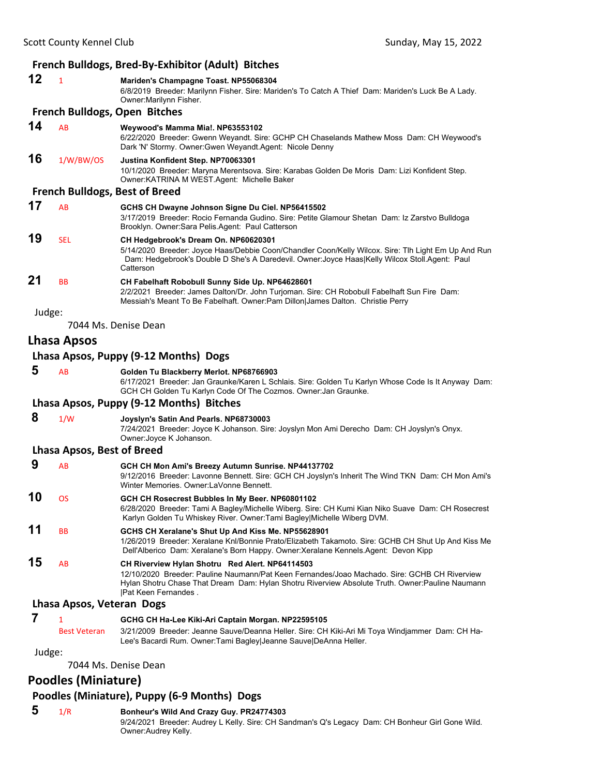### **French Bulldogs, Bred‐By‐Exhibitor (Adult) Bitches**

|        |                                   | <b>THERE'S DIRECT DESCRIPTION (AUGUST DIRECTES</b>                                                                                                                                                                                                                          |
|--------|-----------------------------------|-----------------------------------------------------------------------------------------------------------------------------------------------------------------------------------------------------------------------------------------------------------------------------|
| 12     | $\mathbf{1}$                      | Mariden's Champagne Toast. NP55068304<br>6/8/2019 Breeder: Marilynn Fisher. Sire: Mariden's To Catch A Thief Dam: Mariden's Luck Be A Lady.<br>Owner: Marilynn Fisher.                                                                                                      |
|        |                                   | <b>French Bulldogs, Open Bitches</b>                                                                                                                                                                                                                                        |
| 14     | AB                                | Weywood's Mamma Mia!. NP63553102<br>6/22/2020 Breeder: Gwenn Weyandt. Sire: GCHP CH Chaselands Mathew Moss Dam: CH Weywood's<br>Dark 'N' Stormy. Owner: Gwen Weyandt. Agent: Nicole Denny                                                                                   |
| 16     | 1/W/BW/OS                         | Justina Konfident Step. NP70063301<br>10/1/2020 Breeder: Maryna Merentsova. Sire: Karabas Golden De Moris Dam: Lizi Konfident Step.<br>Owner: KATRINA M WEST. Agent: Michelle Baker                                                                                         |
|        |                                   | <b>French Bulldogs, Best of Breed</b>                                                                                                                                                                                                                                       |
| 17     | AB                                | GCHS CH Dwayne Johnson Signe Du Ciel. NP56415502<br>3/17/2019 Breeder: Rocio Fernanda Gudino. Sire: Petite Glamour Shetan Dam: Iz Zarstvo Bulldoga<br>Brooklyn. Owner: Sara Pelis. Agent: Paul Catterson                                                                    |
| 19     | <b>SEL</b>                        | CH Hedgebrook's Dream On. NP60620301<br>5/14/2020 Breeder: Joyce Haas/Debbie Coon/Chandler Coon/Kelly Wilcox. Sire: Tlh Light Em Up And Run<br>Dam: Hedgebrook's Double D She's A Daredevil. Owner: Joyce Haas Kelly Wilcox Stoll.Agent: Paul<br>Catterson                  |
| 21     | BB                                | CH Fabelhaft Robobull Sunny Side Up. NP64628601<br>2/2/2021 Breeder: James Dalton/Dr. John Turjoman. Sire: CH Robobull Fabelhaft Sun Fire Dam:<br>Messiah's Meant To Be Fabelhaft. Owner: Pam Dillon James Dalton. Christie Perry                                           |
| Judge: |                                   |                                                                                                                                                                                                                                                                             |
|        |                                   | 7044 Ms. Denise Dean                                                                                                                                                                                                                                                        |
|        | Lhasa Apsos                       |                                                                                                                                                                                                                                                                             |
|        |                                   | Lhasa Apsos, Puppy (9-12 Months) Dogs                                                                                                                                                                                                                                       |
| 5      | AB                                | Golden Tu Blackberry Merlot. NP68766903<br>6/17/2021 Breeder: Jan Graunke/Karen L Schlais. Sire: Golden Tu Karlyn Whose Code Is It Anyway Dam:<br>GCH CH Golden Tu Karlyn Code Of The Cozmos. Owner: Jan Graunke.                                                           |
|        |                                   | Lhasa Apsos, Puppy (9-12 Months) Bitches                                                                                                                                                                                                                                    |
| 8      | 1/W                               | Joyslyn's Satin And Pearls. NP68730003<br>7/24/2021 Breeder: Joyce K Johanson. Sire: Joyslyn Mon Ami Derecho Dam: CH Joyslyn's Onyx.<br>Owner: Joyce K Johanson.                                                                                                            |
|        | <b>Lhasa Apsos, Best of Breed</b> |                                                                                                                                                                                                                                                                             |
| 9      | AB                                | GCH CH Mon Ami's Breezy Autumn Sunrise. NP44137702<br>9/12/2016 Breeder: Lavonne Bennett. Sire: GCH CH Joyslyn's Inherit The Wind TKN Dam: CH Mon Ami's<br>Winter Memories, Owner:LaVonne Bennett,                                                                          |
| 10     | OS                                | GCH CH Rosecrest Bubbles In My Beer. NP60801102<br>6/28/2020 Breeder: Tami A Bagley/Michelle Wiberg. Sire: CH Kumi Kian Niko Suave Dam: CH Rosecrest<br>Karlyn Golden Tu Whiskey River. Owner: Tami Bagley Michelle Wiberg DVM.                                             |
| 11     | ВB                                | GCHS CH Xeralane's Shut Up And Kiss Me. NP55628901<br>1/26/2019 Breeder: Xeralane Knl/Bonnie Prato/Elizabeth Takamoto. Sire: GCHB CH Shut Up And Kiss Me<br>Dell'Alberico Dam: Xeralane's Born Happy. Owner: Xeralane Kennels. Agent: Devon Kipp                            |
| 15     | AB                                | CH Riverview Hylan Shotru Red Alert. NP64114503<br>12/10/2020 Breeder: Pauline Naumann/Pat Keen Fernandes/Joao Machado, Sire: GCHB CH Riverview<br>Hylan Shotru Chase That Dream Dam: Hylan Shotru Riverview Absolute Truth. Owner: Pauline Naumann<br> Pat Keen Fernandes. |
|        | Lhasa Apsos, Veteran Dogs         |                                                                                                                                                                                                                                                                             |
| 7      | 1<br><b>Best Veteran</b>          | GCHG CH Ha-Lee Kiki-Ari Captain Morgan. NP22595105<br>3/21/2009 Breeder: Jeanne Sauve/Deanna Heller. Sire: CH Kiki-Ari Mi Toya Windjammer Dam: CH Ha-                                                                                                                       |
|        |                                   | Lee's Bacardi Rum. Owner: Tami Bagley Jeanne Sauve DeAnna Heller.                                                                                                                                                                                                           |
| Judge: |                                   |                                                                                                                                                                                                                                                                             |

7044 Ms. Denise Dean

## **Poodles (Miniature)**

### **Poodles (Miniature), Puppy (6‐9 Months) Dogs**

### **5** 1/R **Bonheur's Wild And Crazy Guy. PR24774303**

9/24/2021 Breeder: Audrey L Kelly. Sire: CH Sandman's Q's Legacy Dam: CH Bonheur Girl Gone Wild. Owner:Audrey Kelly.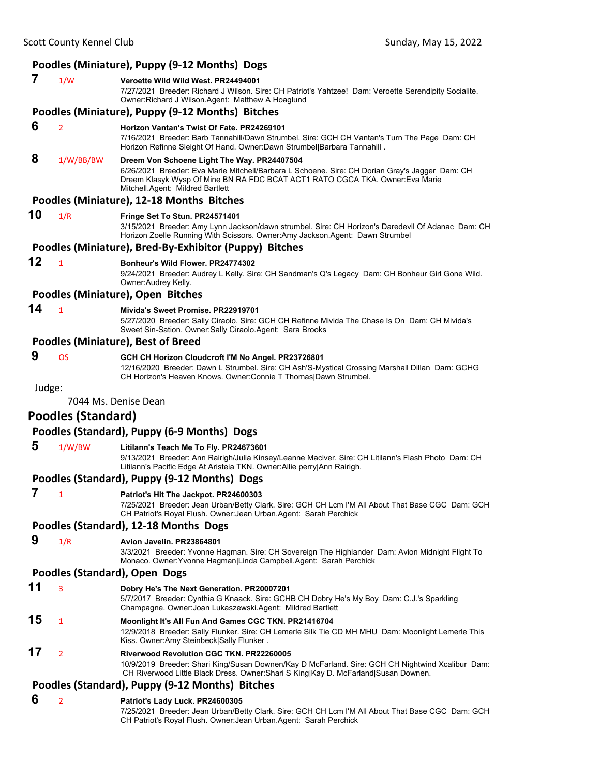### Scott County Kennel Club **County Accounts County County County Accounts** Sunday, May 15, 2022 **Poodles (Miniature), Puppy (9‐12 Months) Dogs 7** 1/W **Veroette Wild Wild West. PR24494001** 7/27/2021 Breeder: Richard J Wilson. Sire: CH Patriot's Yahtzee! Dam: Veroette Serendipity Socialite. Owner:Richard J Wilson.Agent: Matthew A Hoaglund **Poodles (Miniature), Puppy (9‐12 Months) Bitches 6** <sup>2</sup> **Horizon Vantan's Twist Of Fate. PR24269101** 7/16/2021 Breeder: Barb Tannahill/Dawn Strumbel. Sire: GCH CH Vantan's Turn The Page Dam: CH Horizon Refinne Sleight Of Hand. Owner:Dawn Strumbel|Barbara Tannahill .  **8** 1/W/BB/BW **Dreem Von Schoene Light The Way. PR24407504** 6/26/2021 Breeder: Eva Marie Mitchell/Barbara L Schoene. Sire: CH Dorian Gray's Jagger Dam: CH Dreem Klasyk Wysp Of Mine BN RA FDC BCAT ACT1 RATO CGCA TKA. Owner:Eva Marie Mitchell.Agent: Mildred Bartlett **Poodles (Miniature), 12‐18 Months Bitches 10** 1/R **Fringe Set To Stun. PR24571401** 3/15/2021 Breeder: Amy Lynn Jackson/dawn strumbel. Sire: CH Horizon's Daredevil Of Adanac Dam: CH Horizon Zoelle Running With Scissors. Owner:Amy Jackson.Agent: Dawn Strumbel **Poodles (Miniature), Bred‐By‐Exhibitor (Puppy) Bitches 12** <sup>1</sup> **Bonheur's Wild Flower. PR24774302** 9/24/2021 Breeder: Audrey L Kelly. Sire: CH Sandman's Q's Legacy Dam: CH Bonheur Girl Gone Wild. Owner:Audrey Kelly. **Poodles (Miniature), Open Bitches 14** <sup>1</sup> **Mivida's Sweet Promise. PR22919701** 5/27/2020 Breeder: Sally Ciraolo. Sire: GCH CH Refinne Mivida The Chase Is On Dam: CH Mivida's Sweet Sin-Sation. Owner:Sally Ciraolo.Agent: Sara Brooks **Poodles (Miniature), Best of Breed 9** OS **GCH CH Horizon Cloudcroft I'M No Angel. PR23726801** 12/16/2020 Breeder: Dawn L Strumbel. Sire: CH Ash'S-Mystical Crossing Marshall Dillan Dam: GCHG CH Horizon's Heaven Knows. Owner:Connie T Thomas|Dawn Strumbel. Judge: 7044 Ms. Denise Dean **Poodles (Standard) Poodles (Standard), Puppy (6‐9 Months) Dogs 5** 1/W/BW **Litilann's Teach Me To Fly. PR24673601** 9/13/2021 Breeder: Ann Rairigh/Julia Kinsey/Leanne Maciver. Sire: CH Litilann's Flash Photo Dam: CH Litilann's Pacific Edge At Aristeia TKN. Owner:Allie perry|Ann Rairigh. **Poodles (Standard), Puppy (9‐12 Months) Dogs 7** <sup>1</sup> **Patriot's Hit The Jackpot. PR24600303** 7/25/2021 Breeder: Jean Urban/Betty Clark. Sire: GCH CH Lcm I'M All About That Base CGC Dam: GCH CH Patriot's Royal Flush. Owner:Jean Urban.Agent: Sarah Perchick **Poodles (Standard), 12‐18 Months Dogs 9** 1/R **Avion Javelin. PR23864801** 3/3/2021 Breeder: Yvonne Hagman. Sire: CH Sovereign The Highlander Dam: Avion Midnight Flight To Monaco. Owner:Yvonne Hagman|Linda Campbell.Agent: Sarah Perchick **Poodles (Standard), Open Dogs 11** <sup>3</sup> **Dobry He's The Next Generation. PR20007201** 5/7/2017 Breeder: Cynthia G Knaack. Sire: GCHB CH Dobry He's My Boy Dam: C.J.'s Sparkling Champagne. Owner:Joan Lukaszewski.Agent: Mildred Bartlett **15** <sup>1</sup> **Moonlight It's All Fun And Games CGC TKN. PR21416704** 12/9/2018 Breeder: Sally Flunker. Sire: CH Lemerle Silk Tie CD MH MHU Dam: Moonlight Lemerle This Kiss. Owner:Amy Steinbeck|Sally Flunker . **17** <sup>2</sup> **Riverwood Revolution CGC TKN. PR22260005**

10/9/2019 Breeder: Shari King/Susan Downen/Kay D McFarland. Sire: GCH CH Nightwind Xcalibur Dam: CH Riverwood Little Black Dress. Owner:Shari S King|Kay D. McFarland|Susan Downen.

### **Poodles (Standard), Puppy (9‐12 Months) Bitches**

 **6** <sup>2</sup> **Patriot's Lady Luck. PR24600305**

7/25/2021 Breeder: Jean Urban/Betty Clark. Sire: GCH CH Lcm I'M All About That Base CGC Dam: GCH CH Patriot's Royal Flush. Owner:Jean Urban.Agent: Sarah Perchick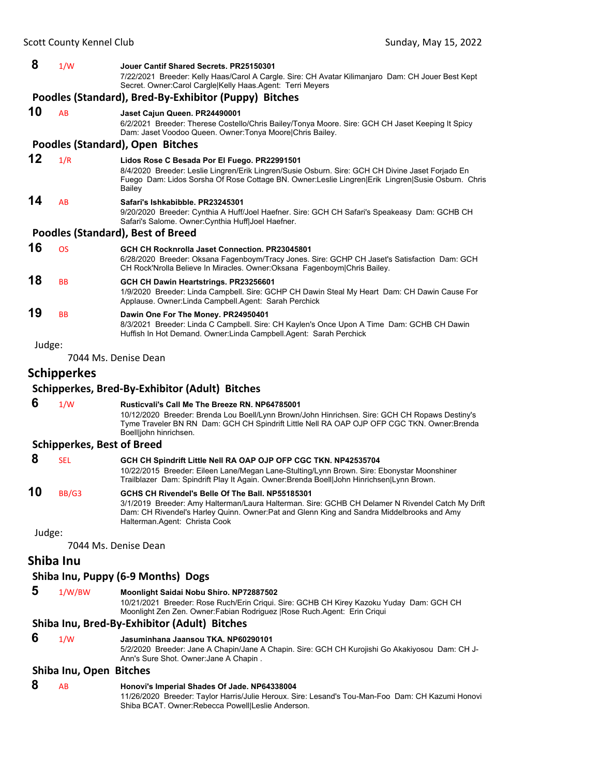### **8** 1/W **Jouer Cantif Shared Secrets. PR25150301**

7/22/2021 Breeder: Kelly Haas/Carol A Cargle. Sire: CH Avatar Kilimanjaro Dam: CH Jouer Best Kept Secret. Owner:Carol Cargle|Kelly Haas.Agent: Terri Meyers

#### **Poodles (Standard), Bred‐By‐Exhibitor (Puppy) Bitches**

#### **10** AB **Jaset Cajun Queen. PR24490001** 6/2/2021 Breeder: Therese Costello/Chris Bailey/Tonya Moore. Sire: GCH CH Jaset Keeping It Spicy Dam: Jaset Voodoo Queen. Owner:Tonya Moore|Chris Bailey.

#### **Poodles (Standard), Open Bitches**

**12** 1/R **Lidos Rose C Besada Por El Fuego. PR22991501** 8/4/2020 Breeder: Leslie Lingren/Erik Lingren/Susie Osburn. Sire: GCH CH Divine Jaset Forjado En Fuego Dam: Lidos Sorsha Of Rose Cottage BN. Owner:Leslie Lingren|Erik Lingren|Susie Osburn. Chris **Bailey 14** AB **Safari's Ishkabibble. PR23245301** 9/20/2020 Breeder: Cynthia A Huff/Joel Haefner. Sire: GCH CH Safari's Speakeasy Dam: GCHB CH Safari's Salome. Owner:Cynthia Huff|Joel Haefner.

#### **Poodles (Standard), Best of Breed**

| 16 | OS.       | <b>GCH CH Rocknrolla Jaset Connection, PR23045801</b><br>6/28/2020 Breeder: Oksana Fagenboym/Tracy Jones. Sire: GCHP CH Jaset's Satisfaction Dam: GCH<br>CH Rock'Nrolla Believe In Miracles. Owner: Oksana Fagenboym Chris Bailey. |
|----|-----------|------------------------------------------------------------------------------------------------------------------------------------------------------------------------------------------------------------------------------------|
| 18 | <b>BB</b> | GCH CH Dawin Heartstrings. PR23256601<br>1/9/2020 Breeder: Linda Campbell. Sire: GCHP CH Dawin Steal My Heart Dam: CH Dawin Cause For<br>Applause. Owner: Linda Campbell. Agent: Sarah Perchick                                    |
|    |           |                                                                                                                                                                                                                                    |

### **19** BB **Dawin One For The Money. PR24950401**

8/3/2021 Breeder: Linda C Campbell. Sire: CH Kaylen's Once Upon A Time Dam: GCHB CH Dawin Huffish In Hot Demand. Owner:Linda Campbell.Agent: Sarah Perchick

Judge:

7044 Ms. Denise Dean

### **Schipperkes**

#### **Schipperkes, Bred‐By‐Exhibitor (Adult) Bitches**

 **6** 1/W **Rusticvali's Call Me The Breeze RN. NP64785001** 10/12/2020 Breeder: Brenda Lou Boell/Lynn Brown/John Hinrichsen. Sire: GCH CH Ropaws Destiny's Tyme Traveler BN RN Dam: GCH CH Spindrift Little Nell RA OAP OJP OFP CGC TKN. Owner:Brenda Boell|john hinrichsen.

#### **Schipperkes, Best of Breed**

### **8** SEL **GCH CH Spindrift Little Nell RA OAP OJP OFP CGC TKN. NP42535704**

10/22/2015 Breeder: Eileen Lane/Megan Lane-Stulting/Lynn Brown. Sire: Ebonystar Moonshiner Trailblazer Dam: Spindrift Play It Again. Owner:Brenda Boell|John Hinrichsen|Lynn Brown.

### **10** BB/G3 **GCHS CH Rivendel's Belle Of The Ball. NP55185301** 3/1/2019 Breeder: Amy Halterman/Laura Halterman. Sire: GCHB CH Delamer N Rivendel Catch My Drift

Dam: CH Rivendel's Harley Quinn. Owner:Pat and Glenn King and Sandra Middelbrooks and Amy Halterman.Agent: Christa Cook

Judge:

7044 Ms. Denise Dean

### **Shiba Inu**

#### **Shiba Inu, Puppy (6‐9 Months) Dogs**

 **5** 1/W/BW **Moonlight Saidai Nobu Shiro. NP72887502** 10/21/2021 Breeder: Rose Ruch/Erin Criqui. Sire: GCHB CH Kirey Kazoku Yuday Dam: GCH CH Moonlight Zen Zen. Owner:Fabian Rodriguez |Rose Ruch.Agent: Erin Criqui

#### **Shiba Inu, Bred‐By‐Exhibitor (Adult) Bitches**

 **6** 1/W **Jasuminhana Jaansou TKA. NP60290101** 5/2/2020 Breeder: Jane A Chapin/Jane A Chapin. Sire: GCH CH Kurojishi Go Akakiyosou Dam: CH J-Ann's Sure Shot. Owner:Jane A Chapin .

#### **Shiba Inu, Open Bitches**

#### **8** AB **Honovi's Imperial Shades Of Jade. NP64338004**

11/26/2020 Breeder: Taylor Harris/Julie Heroux. Sire: Lesand's Tou-Man-Foo Dam: CH Kazumi Honovi Shiba BCAT. Owner:Rebecca Powell|Leslie Anderson.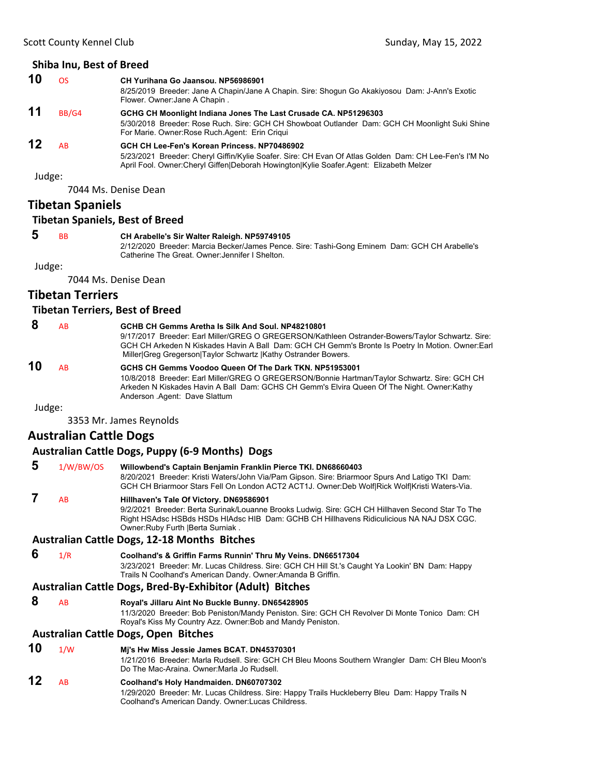<span id="page-45-0"></span>

| 10              | OS.   | CH Yurihana Go Jaansou. NP56986901                                                                                                                                                              |
|-----------------|-------|-------------------------------------------------------------------------------------------------------------------------------------------------------------------------------------------------|
|                 |       | 8/25/2019 Breeder: Jane A Chapin/Jane A Chapin. Sire: Shogun Go Akakiyosou Dam: J-Ann's Exotic<br>Flower. Owner: Jane A Chapin.                                                                 |
| 11              | BB/G4 | GCHG CH Moonlight Indiana Jones The Last Crusade CA. NP51296303                                                                                                                                 |
|                 |       | 5/30/2018 Breeder: Rose Ruch. Sire: GCH CH Showboat Outlander Dam: GCH CH Moonlight Suki Shine<br>For Marie. Owner: Rose Ruch. Agent: Erin Criqui                                               |
| $\overline{12}$ | AB    | GCH CH Lee-Fen's Korean Princess. NP70486902                                                                                                                                                    |
|                 |       | 5/23/2021 Breeder: Cheryl Giffin/Kylie Soafer. Sire: CH Evan Of Atlas Golden Dam: CH Lee-Fen's I'M No<br>April Fool. Owner:Cheryl Giffen Deborah Howington Kylie Soafer.Agent: Elizabeth Melzer |

7044 Ms. Denise Dean

### **Tibetan Spaniels**

#### **Tibetan Spaniels, Best of Breed**

### **5** BB **CH Arabelle's Sir Walter Raleigh. NP59749105**

2/12/2020 Breeder: Marcia Becker/James Pence. Sire: Tashi-Gong Eminem Dam: GCH CH Arabelle's Catherine The Great. Owner:Jennifer I Shelton.

Judge:

7044 Ms. Denise Dean

### **Tibetan Terriers**

#### **Tibetan Terriers, Best of Breed**

| 8      | AB | GCHB CH Gemms Aretha Is Silk And Soul, NP48210801<br>9/17/2017 Breeder: Earl Miller/GREG O GREGERSON/Kathleen Ostrander-Bowers/Taylor Schwartz. Sire:<br>GCH CH Arkeden N Kiskades Havin A Ball Dam: GCH CH Gemm's Bronte Is Poetry In Motion. Owner: Earl<br>Miller Greg Gregerson Taylor Schwartz  Kathy Ostrander Bowers. |
|--------|----|------------------------------------------------------------------------------------------------------------------------------------------------------------------------------------------------------------------------------------------------------------------------------------------------------------------------------|
| 10     | AB | GCHS CH Gemms Voodoo Queen Of The Dark TKN, NP51953001<br>10/8/2018 Breeder: Earl Miller/GREG O GREGERSON/Bonnie Hartman/Taylor Schwartz. Sire: GCH CH<br>Arkeden N Kiskades Havin A Ball Dam: GCHS CH Gemm's Elvira Queen Of The Night. Owner:Kathy<br>Anderson Agent: Dave Slattum                                         |
| Judge: |    |                                                                                                                                                                                                                                                                                                                              |

3353 Mr. James Reynolds

### **Australian Cattle Dogs**

#### **Australian Cattle Dogs, Puppy (6‐9 Months) Dogs**

### **5** 1/W/BW/OS **Willowbend's Captain Benjamin Franklin Pierce TKI. DN68660403**

8/20/2021 Breeder: Kristi Waters/John Via/Pam Gipson. Sire: Briarmoor Spurs And Latigo TKI Dam: GCH CH Briarmoor Stars Fell On London ACT2 ACT1J. Owner:Deb Wolf|Rick Wolf|Kristi Waters-Via.

### **7** AB **Hillhaven's Tale Of Victory. DN69586901**

9/2/2021 Breeder: Berta Surinak/Louanne Brooks Ludwig. Sire: GCH CH Hillhaven Second Star To The Right HSAdsc HSBds HSDs HIAdsc HIB Dam: GCHB CH Hillhavens Ridiculicious NA NAJ DSX CGC. Owner:Ruby Furth |Berta Surniak .

#### **Australian Cattle Dogs, 12‐18 Months Bitches**

 **6** 1/R **Coolhand's & Griffin Farms Runnin' Thru My Veins. DN66517304**

3/23/2021 Breeder: Mr. Lucas Childress. Sire: GCH CH Hill St.'s Caught Ya Lookin' BN Dam: Happy Trails N Coolhand's American Dandy. Owner:Amanda B Griffin.

### **Australian Cattle Dogs, Bred‐By‐Exhibitor (Adult) Bitches**

 **8** AB **Royal's Jillaru Aint No Buckle Bunny. DN65428905** 11/3/2020 Breeder: Bob Peniston/Mandy Peniston. Sire: GCH CH Revolver Di Monte Tonico Dam: CH Royal's Kiss My Country Azz. Owner:Bob and Mandy Peniston.

### **Australian Cattle Dogs, Open Bitches**

### **10** 1/W **Mj's Hw Miss Jessie James BCAT. DN45370301**

1/21/2016 Breeder: Marla Rudsell. Sire: GCH CH Bleu Moons Southern Wrangler Dam: CH Bleu Moon's Do The Mac-Araina. Owner:Marla Jo Rudsell.

### **12** AB **Coolhand's Holy Handmaiden. DN60707302**

1/29/2020 Breeder: Mr. Lucas Childress. Sire: Happy Trails Huckleberry Bleu Dam: Happy Trails N Coolhand's American Dandy. Owner:Lucas Childress.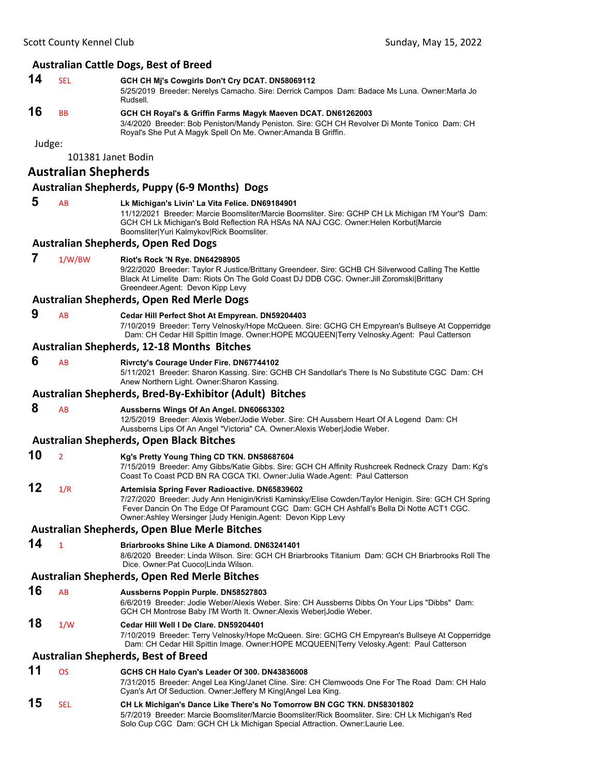|        | Scott County Kennel Club    | Sunday, May 15, 2022                                                                                                                                                                                                                                                                                                 |  |
|--------|-----------------------------|----------------------------------------------------------------------------------------------------------------------------------------------------------------------------------------------------------------------------------------------------------------------------------------------------------------------|--|
|        |                             | <b>Australian Cattle Dogs, Best of Breed</b>                                                                                                                                                                                                                                                                         |  |
| 14     | <b>SEL</b>                  | GCH CH Mj's Cowgirls Don't Cry DCAT. DN58069112<br>5/25/2019 Breeder: Nerelys Camacho. Sire: Derrick Campos Dam: Badace Ms Luna. Owner: Marla Jo<br>Rudsell.                                                                                                                                                         |  |
| 16     | <b>BB</b>                   | GCH CH Royal's & Griffin Farms Magyk Maeven DCAT. DN61262003<br>3/4/2020 Breeder: Bob Peniston/Mandy Peniston. Sire: GCH CH Revolver Di Monte Tonico Dam: CH<br>Royal's She Put A Magyk Spell On Me. Owner: Amanda B Griffin.                                                                                        |  |
| Judge: |                             |                                                                                                                                                                                                                                                                                                                      |  |
|        | 101381 Janet Bodin          |                                                                                                                                                                                                                                                                                                                      |  |
|        | <b>Australian Shepherds</b> |                                                                                                                                                                                                                                                                                                                      |  |
|        |                             | <b>Australian Shepherds, Puppy (6-9 Months) Dogs</b>                                                                                                                                                                                                                                                                 |  |
| 5      | AB                          | Lk Michigan's Livin' La Vita Felice. DN69184901<br>11/12/2021 Breeder: Marcie Boomsliter/Marcie Boomsliter. Sire: GCHP CH Lk Michigan I'M Your'S Dam:<br>GCH CH Lk Michigan's Bold Reflection RA HSAs NA NAJ CGC. Owner: Helen Korbut Marcie<br>Boomsliter Yuri Kalmykov Rick Boomsliter.                            |  |
|        |                             | <b>Australian Shepherds, Open Red Dogs</b>                                                                                                                                                                                                                                                                           |  |
| 7      | 1/W/BW                      | <b>Riot's Rock 'N Rye. DN64298905</b><br>9/22/2020 Breeder: Taylor R Justice/Brittany Greendeer. Sire: GCHB CH Silverwood Calling The Kettle<br>Black At Limelite Dam: Riots On The Gold Coast DJ DDB CGC. Owner: Jill Zoromski Brittany<br>Greendeer.Agent: Devon Kipp Levy                                         |  |
|        |                             | <b>Australian Shepherds, Open Red Merle Dogs</b>                                                                                                                                                                                                                                                                     |  |
| 9      | AB                          | Cedar Hill Perfect Shot At Empyrean. DN59204403<br>7/10/2019 Breeder: Terry Velnosky/Hope McQueen. Sire: GCHG CH Empyrean's Bullseye At Copperridge<br>Dam: CH Cedar Hill Spittin Image. Owner:HOPE MCQUEEN Terry Velnosky.Agent: Paul Catterson                                                                     |  |
|        |                             | <b>Australian Shepherds, 12-18 Months Bitches</b>                                                                                                                                                                                                                                                                    |  |
| 6      | AB                          | Rivrcty's Courage Under Fire. DN67744102<br>5/11/2021 Breeder: Sharon Kassing. Sire: GCHB CH Sandollar's There Is No Substitute CGC Dam: CH<br>Anew Northern Light. Owner: Sharon Kassing.                                                                                                                           |  |
|        |                             | Australian Shepherds, Bred-By-Exhibitor (Adult) Bitches                                                                                                                                                                                                                                                              |  |
| 8      | AB                          | Aussberns Wings Of An Angel. DN60663302<br>12/5/2019 Breeder: Alexis Weber/Jodie Weber. Sire: CH Aussbern Heart Of A Legend Dam: CH<br>Aussberns Lips Of An Angel "Victoria" CA. Owner: Alexis Weber Jodie Weber.                                                                                                    |  |
|        |                             | <b>Australian Shepherds, Open Black Bitches</b>                                                                                                                                                                                                                                                                      |  |
| 10     | $\overline{2}$              | Kg's Pretty Young Thing CD TKN. DN58687604<br>7/15/2019 Breeder: Amy Gibbs/Katie Gibbs. Sire: GCH CH Affinity Rushcreek Redneck Crazy Dam: Kg's<br>Coast To Coast PCD BN RA CGCA TKI. Owner: Julia Wade.Agent: Paul Catterson                                                                                        |  |
| 12     | 1/R                         | Artemisia Spring Fever Radioactive. DN65839602<br>7/27/2020 Breeder: Judy Ann Henigin/Kristi Kaminsky/Elise Cowden/Taylor Henigin. Sire: GCH CH Spring<br>Fever Dancin On The Edge Of Paramount CGC Dam: GCH CH Ashfall's Bella Di Notte ACT1 CGC.<br>Owner: Ashley Wersinger   Judy Henigin. Agent: Devon Kipp Levy |  |
|        |                             | <b>Australian Shepherds, Open Blue Merle Bitches</b>                                                                                                                                                                                                                                                                 |  |
| 14     | $\mathbf{1}$                | <b>Briarbrooks Shine Like A Diamond. DN63241401</b><br>8/6/2020 Breeder: Linda Wilson, Sire: GCH CH Briarbrooks Titanium Dam: GCH CH Briarbrooks Roll The<br>Dice. Owner: Pat CuocolLinda Wilson.                                                                                                                    |  |
|        |                             | Australian Shepherds, Open Red Merle Bitches                                                                                                                                                                                                                                                                         |  |
| 16     | <b>AB</b>                   | Aussberns Poppin Purple. DN58527803<br>6/6/2019 Breeder: Jodie Weber/Alexis Weber. Sire: CH Aussberns Dibbs On Your Lips "Dibbs" Dam:<br>GCH CH Montrose Baby I'M Worth It. Owner: Alexis Weber Jodie Weber.                                                                                                         |  |
| 18     | 1/W                         | Cedar Hill Well I De Clare, DN59204401<br>7/10/2019 Breeder: Terry Velnosky/Hope McQueen. Sire: GCHG CH Empyrean's Bullseye At Copperridge<br>Dam: CH Cedar Hill Spittin Image. Owner:HOPE MCQUEEN Terry Velosky.Agent: Paul Catterson                                                                               |  |
|        |                             | <b>Australian Shepherds, Best of Breed</b>                                                                                                                                                                                                                                                                           |  |
| 11     | <b>OS</b>                   | GCHS CH Halo Cyan's Leader Of 300. DN43836008<br>7/31/2015 Breeder: Angel Lea King/Janet Cline. Sire: CH Clemwoods One For The Road Dam: CH Halo<br>Cyan's Art Of Seduction. Owner: Jeffery M King Angel Lea King.                                                                                                   |  |
| 15     | SEL                         | CH Lk Michigan's Dance Like There's No Tomorrow BN CGC TKN. DN58301802<br>5/7/2019 Breeder: Marcie Boomsliter/Marcie Boomsliter/Rick Boomsliter. Sire: CH Lk Michigan's Red                                                                                                                                          |  |

Solo Cup CGC Dam: GCH CH Lk Michigan Special Attraction. Owner:Laurie Lee.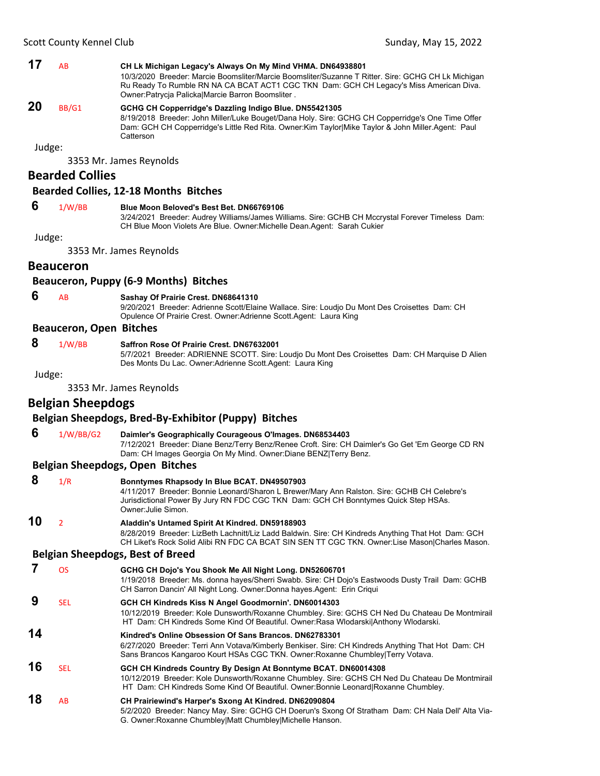### **17** AB **CH Lk Michigan Legacy's Always On My Mind VHMA. DN64938801**

10/3/2020 Breeder: Marcie Boomsliter/Marcie Boomsliter/Suzanne T Ritter. Sire: GCHG CH Lk Michigan Ru Ready To Rumble RN NA CA BCAT ACT1 CGC TKN Dam: GCH CH Legacy's Miss American Diva. Owner:Patrycja Palicka|Marcie Barron Boomsliter .

### **20** BB/G1 **GCHG CH Copperridge's Dazzling Indigo Blue. DN55421305**

8/19/2018 Breeder: John Miller/Luke Bouget/Dana Holy. Sire: GCHG CH Copperridge's One Time Offer Dam: GCH CH Copperridge's Little Red Rita. Owner:Kim Taylor|Mike Taylor & John Miller.Agent: Paul **Catterson** 

Judge:

3353 Mr. James Reynolds

#### **Bearded Collies**

#### **Bearded Collies, 12‐18 Months Bitches**

### **6** 1/W/BB **Blue Moon Beloved's Best Bet. DN66769106**

3/24/2021 Breeder: Audrey Williams/James Williams. Sire: GCHB CH Mccrystal Forever Timeless Dam: CH Blue Moon Violets Are Blue. Owner:Michelle Dean.Agent: Sarah Cukier

Judge:

3353 Mr. James Reynolds

#### **Beauceron**

#### **Beauceron, Puppy (6‐9 Months) Bitches**

 **6** AB **Sashay Of Prairie Crest. DN68641310**

9/20/2021 Breeder: Adrienne Scott/Elaine Wallace. Sire: Loudjo Du Mont Des Croisettes Dam: CH Opulence Of Prairie Crest. Owner:Adrienne Scott.Agent: Laura King

#### **Beauceron, Open Bitches**

### **8** 1/W/BB **Saffron Rose Of Prairie Crest. DN67632001**

5/7/2021 Breeder: ADRIENNE SCOTT. Sire: Loudjo Du Mont Des Croisettes Dam: CH Marquise D Alien Des Monts Du Lac. Owner:Adrienne Scott.Agent: Laura King

Judge:

3353 Mr. James Reynolds

### **Belgian Sheepdogs**

#### **Belgian Sheepdogs, Bred‐By‐Exhibitor (Puppy) Bitches**

 **6** 1/W/BB/G2 **Daimler's Geographically Courageous O'Images. DN68534403**

7/12/2021 Breeder: Diane Benz/Terry Benz/Renee Croft. Sire: CH Daimler's Go Get 'Em George CD RN Dam: CH Images Georgia On My Mind. Owner:Diane BENZ|Terry Benz.

#### **Belgian Sheepdogs, Open Bitches**

| 8  | 1/R                      | Bonntymes Rhapsody In Blue BCAT. DN49507903<br>4/11/2017 Breeder: Bonnie Leonard/Sharon L Brewer/Mary Ann Ralston. Sire: GCHB CH Celebre's<br>Jurisdictional Power By Jury RN FDC CGC TKN Dam: GCH CH Bonntymes Quick Step HSAs.<br>Owner: Julie Simon.  |
|----|--------------------------|----------------------------------------------------------------------------------------------------------------------------------------------------------------------------------------------------------------------------------------------------------|
| 10 | $\overline{\mathcal{L}}$ | Aladdin's Untamed Spirit At Kindred. DN59188903<br>8/28/2019 Breeder: LizBeth Lachnitt/Liz Ladd Baldwin. Sire: CH Kindreds Anything That Hot Dam: GCH<br>CH Liket's Rock Solid Alibi RN FDC CA BCAT SIN SEN TT CGC TKN. Owner:Lise Mason Charles Mason.  |
|    |                          | <b>Belgian Sheepdogs, Best of Breed</b>                                                                                                                                                                                                                  |
|    | <b>OS</b>                | GCHG CH Dojo's You Shook Me All Night Long. DN52606701<br>1/19/2018 Breeder: Ms. donna hayes/Sherri Swabb. Sire: CH Dojo's Eastwoods Dusty Trail Dam: GCHB<br>CH Sarron Dancin' All Night Long. Owner: Donna hayes. Agent: Erin Criqui                   |
| 9  | <b>SEL</b>               | GCH CH Kindreds Kiss N Angel Goodmornin'. DN60014303<br>10/12/2019 Breeder: Kole Dunsworth/Roxanne Chumbley. Sire: GCHS CH Ned Du Chateau De Montmirail<br>HT Dam: CH Kindreds Some Kind Of Beautiful. Owner: Rasa Wlodarski Anthony Wlodarski.          |
| 14 |                          | Kindred's Online Obsession Of Sans Brancos, DN62783301<br>6/27/2020 Breeder: Terri Ann Votava/Kimberly Benkiser. Sire: CH Kindreds Anything That Hot Dam: CH<br>Sans Brancos Kangaroo Kourt HSAs CGC TKN. Owner: Roxanne Chumbley Terry Votava.          |
| 16 | <b>SEL</b>               | GCH CH Kindreds Country By Design At Bonntyme BCAT. DN60014308<br>10/12/2019 Breeder: Kole Dunsworth/Roxanne Chumbley. Sire: GCHS CH Ned Du Chateau De Montmirail<br>HT Dam: CH Kindreds Some Kind Of Beautiful. Owner: Bonnie Leonard Roxanne Chumbley. |
| 18 | <b>AB</b>                | CH Prairiewind's Harper's Sxong At Kindred. DN62090804<br>5/2/2020 Breeder: Nancy May. Sire: GCHG CH Doerun's Sxong Of Stratham Dam: CH Nala Dell' Alta Via-<br>G. Owner: Roxanne Chumbley Matt Chumbley Michelle Hanson.                                |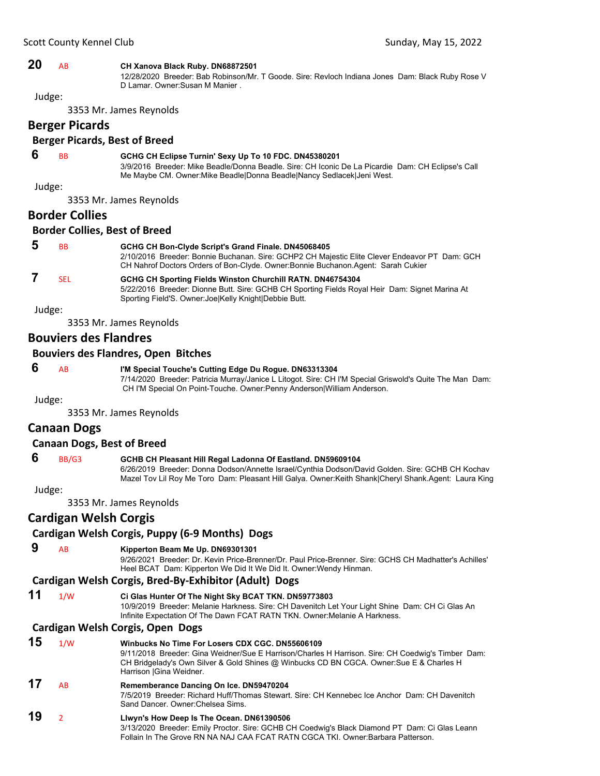#### **20** AB **CH Xanova Black Ruby. DN68872501**

12/28/2020 Breeder: Bab Robinson/Mr. T Goode. Sire: Revloch Indiana Jones Dam: Black Ruby Rose V D Lamar. Owner:Susan M Manier .

Judge:

3353 Mr. James Reynolds

## **Berger Picards**

### **Berger Picards, Best of Breed**

### **6** BB **GCHG CH Eclipse Turnin' Sexy Up To 10 FDC. DN45380201**

3/9/2016 Breeder: Mike Beadle/Donna Beadle. Sire: CH Iconic De La Picardie Dam: CH Eclipse's Call Me Maybe CM. Owner:Mike Beadle|Donna Beadle|Nancy Sedlacek|Jeni West.

Judge:

3353 Mr. James Reynolds

#### **Border Collies**

#### **Border Collies, Best of Breed**

| 5 | <b>BB</b> | GCHG CH Bon-Clyde Script's Grand Finale. DN45068405<br>2/10/2016 Breeder: Bonnie Buchanan. Sire: GCHP2 CH Majestic Elite Clever Endeavor PT Dam: GCH<br>CH Nahrof Doctors Orders of Bon-Clyde. Owner: Bonnie Buchanon. Agent: Sarah Cukier |
|---|-----------|--------------------------------------------------------------------------------------------------------------------------------------------------------------------------------------------------------------------------------------------|
|   | SFI.      | GCHG CH Sporting Fields Winston Churchill RATN. DN46754304<br>5/22/2016 Breeder: Dionne Butt. Sire: GCHB CH Sporting Fields Royal Heir Dam: Signet Marina At<br>Sporting Field'S. Owner: JoelKelly Knight Debbie Butt.                     |

Judge:

3353 Mr. James Reynolds

### **Bouviers des Flandres**

#### **Bouviers des Flandres, Open Bitches**

 **6** AB **I'M Special Touche's Cutting Edge Du Rogue. DN63313304** 7/14/2020 Breeder: Patricia Murray/Janice L Litogot. Sire: CH I'M Special Griswold's Quite The Man Dam: CH I'M Special On Point-Touche. Owner:Penny Anderson|William Anderson.

Judge:

3353 Mr. James Reynolds

### **Canaan Dogs**

#### **Canaan Dogs, Best of Breed**

### **6** BB/G3 **GCHB CH Pleasant Hill Regal Ladonna Of Eastland. DN59609104**

6/26/2019 Breeder: Donna Dodson/Annette Israel/Cynthia Dodson/David Golden. Sire: GCHB CH Kochav Mazel Tov Lil Roy Me Toro Dam: Pleasant Hill Galya. Owner:Keith Shank|Cheryl Shank.Agent: Laura King

Judge:

3353 Mr. James Reynolds

### **Cardigan Welsh Corgis**

### **Cardigan Welsh Corgis, Puppy (6‐9 Months) Dogs**

### **9** AB **Kipperton Beam Me Up. DN69301301**

9/26/2021 Breeder: Dr. Kevin Price-Brenner/Dr. Paul Price-Brenner. Sire: GCHS CH Madhatter's Achilles' Heel BCAT Dam: Kipperton We Did It We Did It. Owner:Wendy Hinman.

### **Cardigan Welsh Corgis, Bred‐By‐Exhibitor (Adult) Dogs**

**11** 1/W **Ci Glas Hunter Of The Night Sky BCAT TKN. DN59773803**

10/9/2019 Breeder: Melanie Harkness. Sire: CH Davenitch Let Your Light Shine Dam: CH Ci Glas An Infinite Expectation Of The Dawn FCAT RATN TKN. Owner:Melanie A Harkness.

### **Cardigan Welsh Corgis, Open Dogs**

| 15 | 1/W | Winbucks No Time For Losers CDX CGC, DN55606109<br>9/11/2018 Breeder: Gina Weidner/Sue E Harrison/Charles H Harrison. Sire: CH Coedwig's Timber Dam:<br>CH Bridgelady's Own Silver & Gold Shines @ Winbucks CD BN CGCA. Owner: Sue E & Charles H<br>Harrison   Gina Weidner. |
|----|-----|------------------------------------------------------------------------------------------------------------------------------------------------------------------------------------------------------------------------------------------------------------------------------|
| 17 | AB  | Rememberance Dancing On Ice. DN59470204<br>7/5/2019 Breeder: Richard Huff/Thomas Stewart, Sire: CH Kennebec Ice Anchor Dam: CH Davenitch<br>Sand Dancer, Owner: Chelsea Sims.                                                                                                |
| 19 |     | Liwyn's How Deep is The Ocean. DN61390506<br>3/13/2020 Breeder: Emily Proctor. Sire: GCHB CH Coedwig's Black Diamond PT Dam: Ci Glas Leann                                                                                                                                   |

Follain In The Grove RN NA NAJ CAA FCAT RATN CGCA TKI. Owner:Barbara Patterson.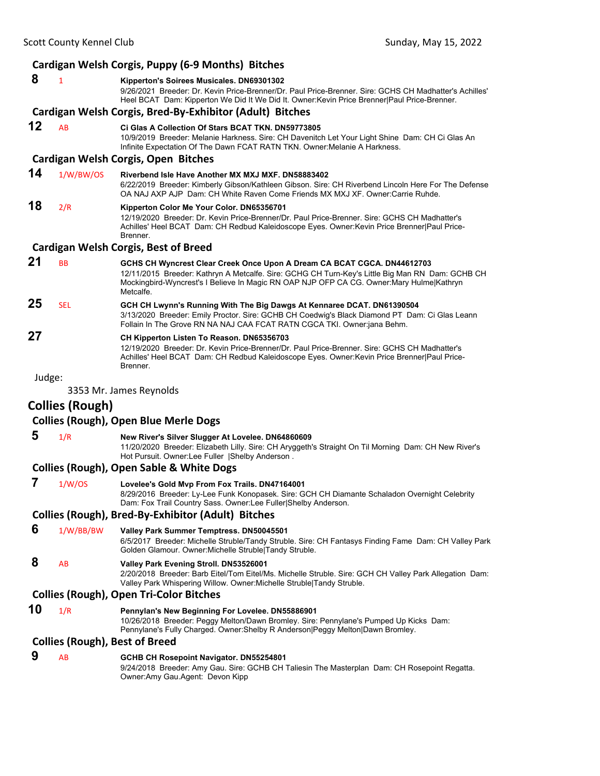|        |                        | Cardigan Welsh Corgis, Puppy (6-9 Months) Bitches                                                                                                                                                                                                                                                               |
|--------|------------------------|-----------------------------------------------------------------------------------------------------------------------------------------------------------------------------------------------------------------------------------------------------------------------------------------------------------------|
| 8      | $\mathbf{1}$           | Kipperton's Soirees Musicales. DN69301302<br>9/26/2021 Breeder: Dr. Kevin Price-Brenner/Dr. Paul Price-Brenner. Sire: GCHS CH Madhatter's Achilles'<br>Heel BCAT Dam: Kipperton We Did It We Did It. Owner: Kevin Price Brenner Paul Price-Brenner.<br>Cardigan Welsh Corgis, Bred-By-Exhibitor (Adult) Bitches |
|        |                        |                                                                                                                                                                                                                                                                                                                 |
| 12     | AB                     | Ci Glas A Collection Of Stars BCAT TKN. DN59773805<br>10/9/2019 Breeder: Melanie Harkness. Sire: CH Davenitch Let Your Light Shine Dam: CH Ci Glas An<br>Infinite Expectation Of The Dawn FCAT RATN TKN. Owner: Melanie A Harkness.                                                                             |
|        |                        | Cardigan Welsh Corgis, Open Bitches                                                                                                                                                                                                                                                                             |
| 14     | 1/W/BW/OS              | Riverbend Isle Have Another MX MXJ MXF, DN58883402<br>6/22/2019 Breeder: Kimberly Gibson/Kathleen Gibson. Sire: CH Riverbend Lincoln Here For The Defense<br>OA NAJ AXP AJP Dam: CH White Raven Come Friends MX MXJ XF. Owner: Carrie Ruhde.                                                                    |
| 18     | 2/R                    | Kipperton Color Me Your Color. DN65356701<br>12/19/2020 Breeder: Dr. Kevin Price-Brenner/Dr. Paul Price-Brenner. Sire: GCHS CH Madhatter's<br>Achilles' Heel BCAT Dam: CH Redbud Kaleidoscope Eyes. Owner: Kevin Price Brenner Paul Price-<br>Brenner.                                                          |
|        |                        | <b>Cardigan Welsh Corgis, Best of Breed</b>                                                                                                                                                                                                                                                                     |
| 21     | <b>BB</b>              | GCHS CH Wyncrest Clear Creek Once Upon A Dream CA BCAT CGCA. DN44612703<br>12/11/2015 Breeder: Kathryn A Metcalfe. Sire: GCHG CH Turn-Key's Little Big Man RN Dam: GCHB CH<br>Mockingbird-Wyncrest's I Believe In Magic RN OAP NJP OFP CA CG. Owner:Mary Hulme Kathryn<br>Metcalfe.                             |
| 25     | <b>SEL</b>             | GCH CH Lwynn's Running With The Big Dawgs At Kennaree DCAT. DN61390504<br>3/13/2020 Breeder: Emily Proctor. Sire: GCHB CH Coedwig's Black Diamond PT Dam: Ci Glas Leann<br>Follain In The Grove RN NA NAJ CAA FCAT RATN CGCA TKI. Owner:jana Behm.                                                              |
| 27     |                        | CH Kipperton Listen To Reason. DN65356703<br>12/19/2020 Breeder: Dr. Kevin Price-Brenner/Dr. Paul Price-Brenner. Sire: GCHS CH Madhatter's<br>Achilles' Heel BCAT Dam: CH Redbud Kaleidoscope Eyes. Owner: Kevin Price Brenner   Paul Price-<br>Brenner.                                                        |
| Judge: |                        |                                                                                                                                                                                                                                                                                                                 |
|        |                        | 3353 Mr. James Reynolds                                                                                                                                                                                                                                                                                         |
|        | <b>Collies (Rough)</b> |                                                                                                                                                                                                                                                                                                                 |
|        |                        | <b>Collies (Rough), Open Blue Merle Dogs</b>                                                                                                                                                                                                                                                                    |
| 5      | 1/R                    | New River's Silver Slugger At Lovelee. DN64860609<br>11/20/2020 Breeder: Elizabeth Lilly. Sire: CH Aryggeth's Straight On Til Morning Dam: CH New River's<br>Hot Pursuit. Owner:Lee Fuller  Shelby Anderson.                                                                                                    |
|        |                        | <b>Collies (Rough), Open Sable &amp; White Dogs</b>                                                                                                                                                                                                                                                             |
| 7      | 1/W/OS                 | Lovelee's Gold Mvp From Fox Trails. DN47164001<br>8/29/2016 Breeder: Ly-Lee Funk Konopasek. Sire: GCH CH Diamante Schaladon Overnight Celebrity<br>Dam: Fox Trail Country Sass. Owner:Lee Fuller Shelby Anderson.                                                                                               |
|        |                        | <b>Collies (Rough), Bred-By-Exhibitor (Adult) Bitches</b>                                                                                                                                                                                                                                                       |
| 6      | 1/W/BB/BW              | Valley Park Summer Temptress. DN50045501<br>6/5/2017 Breeder: Michelle Struble/Tandy Struble. Sire: CH Fantasys Finding Fame Dam: CH Valley Park<br>Golden Glamour. Owner: Michelle Struble Tandy Struble.                                                                                                      |
| 8      | AB                     | Valley Park Evening Stroll. DN53526001<br>2/20/2018 Breeder: Barb Eitel/Tom Eitel/Ms. Michelle Struble. Sire: GCH CH Valley Park Allegation Dam:<br>Valley Park Whispering Willow. Owner: Michelle Struble   Tandy Struble.                                                                                     |
|        |                        | <b>Collies (Rough), Open Tri-Color Bitches</b>                                                                                                                                                                                                                                                                  |
| 10     | 1/R                    | Pennylan's New Beginning For Lovelee. DN55886901<br>10/26/2018 Breeder: Peggy Melton/Dawn Bromley. Sire: Pennylane's Pumped Up Kicks Dam:<br>Pennylane's Fully Charged. Owner: Shelby R Anderson   Peggy Melton   Dawn Bromley.                                                                                 |
|        |                        | <b>Collies (Rough), Best of Breed</b>                                                                                                                                                                                                                                                                           |
| 9      | AB                     | GCHB CH Rosepoint Navigator. DN55254801<br>9/24/2018 Breeder: Amy Gau. Sire: GCHB CH Taliesin The Masterplan Dam: CH Rosepoint Regatta.<br>Owner:Amy Gau.Agent: Devon Kipp                                                                                                                                      |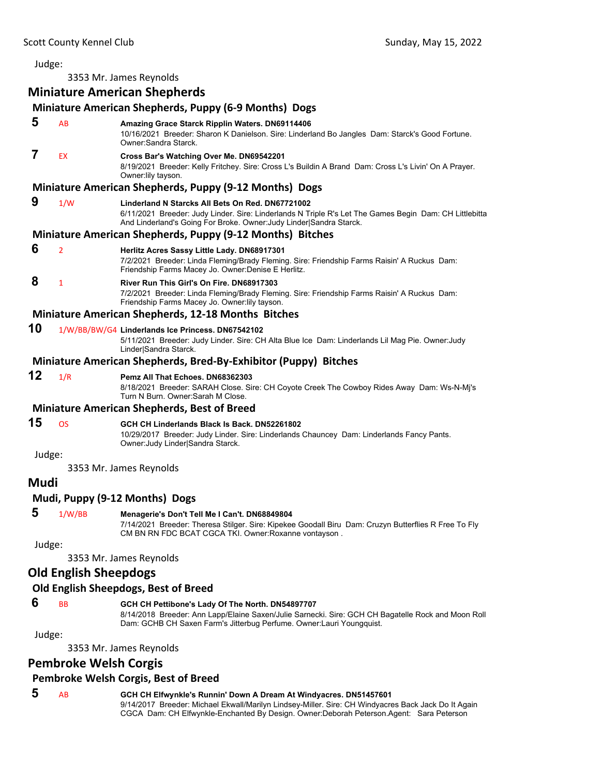3353 Mr. James Reynolds

### **Miniature American Shepherds**

### **Miniature American Shepherds, Puppy (6‐9 Months) Dogs**

| 5      | AB                           | Amazing Grace Starck Ripplin Waters. DN69114406<br>10/16/2021 Breeder: Sharon K Danielson. Sire: Linderland Bo Jangles Dam: Starck's Good Fortune.<br>Owner Sandra Starck.                                                        |
|--------|------------------------------|-----------------------------------------------------------------------------------------------------------------------------------------------------------------------------------------------------------------------------------|
| 7      | EX                           | Cross Bar's Watching Over Me. DN69542201<br>8/19/2021 Breeder: Kelly Fritchey. Sire: Cross L's Buildin A Brand Dam: Cross L's Livin' On A Prayer.<br>Owner: lily tayson.                                                          |
|        |                              | Miniature American Shepherds, Puppy (9-12 Months) Dogs                                                                                                                                                                            |
| 9      | 1/W                          | Linderland N Starcks All Bets On Red. DN67721002<br>6/11/2021 Breeder: Judy Linder. Sire: Linderlands N Triple R's Let The Games Begin Dam: CH Littlebitta<br>And Linderland's Going For Broke. Owner: Judy Linder Sandra Starck. |
|        |                              | Miniature American Shepherds, Puppy (9-12 Months) Bitches                                                                                                                                                                         |
| 6      | $\overline{2}$               | Herlitz Acres Sassy Little Lady. DN68917301<br>7/2/2021 Breeder: Linda Fleming/Brady Fleming. Sire: Friendship Farms Raisin' A Ruckus Dam:<br>Friendship Farms Macey Jo. Owner: Denise E Herlitz.                                 |
| 8      | $\mathbf{1}$                 | River Run This Girl's On Fire. DN68917303<br>7/2/2021 Breeder: Linda Fleming/Brady Fleming. Sire: Friendship Farms Raisin' A Ruckus Dam:<br>Friendship Farms Macey Jo. Owner: lily tayson.                                        |
|        |                              | Miniature American Shepherds, 12-18 Months Bitches                                                                                                                                                                                |
| 10     |                              | 1/W/BB/BW/G4 Linderlands Ice Princess. DN67542102<br>5/11/2021 Breeder: Judy Linder. Sire: CH Alta Blue Ice Dam: Linderlands Lil Mag Pie. Owner: Judy<br>Linder Sandra Starck.                                                    |
|        |                              | Miniature American Shepherds, Bred-By-Exhibitor (Puppy) Bitches                                                                                                                                                                   |
| 12     | 1/R                          | Pemz All That Echoes, DN68362303<br>8/18/2021 Breeder: SARAH Close. Sire: CH Coyote Creek The Cowboy Rides Away Dam: Ws-N-Mj's<br>Turn N Burn. Owner: Sarah M Close.                                                              |
|        |                              | <b>Miniature American Shepherds, Best of Breed</b>                                                                                                                                                                                |
| 15     | <b>OS</b>                    | GCH CH Linderlands Black Is Back. DN52261802<br>10/29/2017 Breeder: Judy Linder. Sire: Linderlands Chauncey Dam: Linderlands Fancy Pants.<br>Owner: Judy Linder Sandra Starck.                                                    |
| Judge: |                              |                                                                                                                                                                                                                                   |
|        |                              | 3353 Mr. James Reynolds                                                                                                                                                                                                           |
| Mudi   |                              |                                                                                                                                                                                                                                   |
|        |                              | Mudi, Puppy (9-12 Months) Dogs                                                                                                                                                                                                    |
| 5      | 1/W/BB                       | Menagerie's Don't Tell Me I Can't. DN68849804<br>7/14/2021 Breeder: Theresa Stilger. Sire: Kipekee Goodall Biru Dam: Cruzyn Butterflies R Free To Fly<br>CM BN RN FDC BCAT CGCA TKI. Owner: Roxanne vontayson.                    |
| Judge: |                              |                                                                                                                                                                                                                                   |
|        |                              | 3353 Mr. James Reynolds                                                                                                                                                                                                           |
|        | <b>Old English Sheepdogs</b> |                                                                                                                                                                                                                                   |
|        |                              | Old English Sheepdogs, Best of Breed                                                                                                                                                                                              |
| 6      | <b>BB</b>                    | GCH CH Pettibone's Lady Of The North. DN54897707<br>8/14/2018 Breeder: Ann Lapp/Elaine Saxen/Julie Sarnecki. Sire: GCH CH Bagatelle Rock and Moon Roll<br>Dam: GCHB CH Saxen Farm's Jitterbug Perfume. Owner: Lauri Youngquist.   |
| Judge: |                              |                                                                                                                                                                                                                                   |
|        |                              | 3353 Mr. James Reynolds                                                                                                                                                                                                           |

### **Pembroke Welsh Corgis**

### **Pembroke Welsh Corgis, Best of Breed**

### **5** AB **GCH CH Elfwynkle's Runnin' Down A Dream At Windyacres. DN51457601**

9/14/2017 Breeder: Michael Ekwall/Marilyn Lindsey-Miller. Sire: CH Windyacres Back Jack Do It Again CGCA Dam: CH Elfwynkle-Enchanted By Design. Owner:Deborah Peterson.Agent: Sara Peterson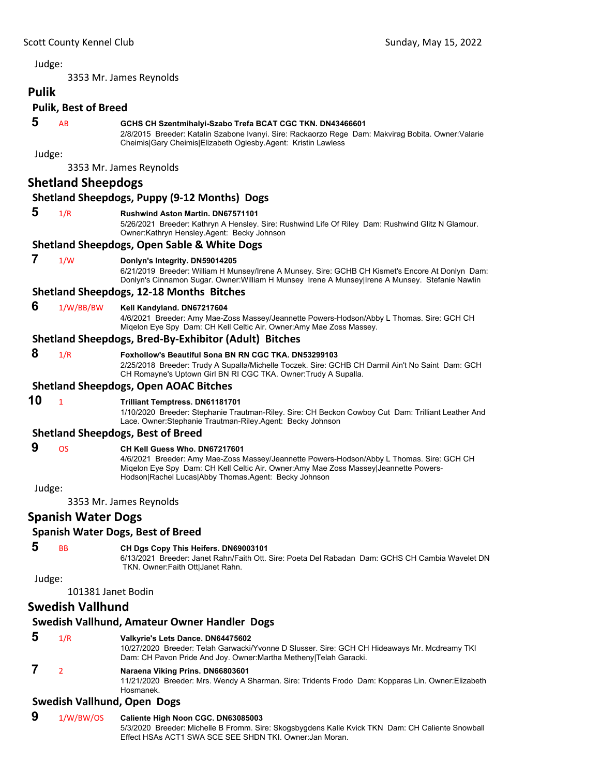3353 Mr. James Reynolds

### **Pulik Pulik, Best of Breed**

### **5** AB **GCHS CH Szentmihalyi-Szabo Trefa BCAT CGC TKN. DN43466601**

2/8/2015 Breeder: Katalin Szabone Ivanyi. Sire: Rackaorzo Rege Dam: Makvirag Bobita. Owner:Valarie Cheimis|Gary Cheimis|Elizabeth Oglesby.Agent: Kristin Lawless

Judge:

3353 Mr. James Reynolds

### **Shetland Sheepdogs**

#### **Shetland Sheepdogs, Puppy (9‐12 Months) Dogs**

#### **5** 1/R **Rushwind Aston Martin. DN67571101**

5/26/2021 Breeder: Kathryn A Hensley. Sire: Rushwind Life Of Riley Dam: Rushwind Glitz N Glamour. Owner:Kathryn Hensley.Agent: Becky Johnson

#### **Shetland Sheepdogs, Open Sable & White Dogs**

#### **7** 1/W **Donlyn's Integrity. DN59014205**

6/21/2019 Breeder: William H Munsey/Irene A Munsey. Sire: GCHB CH Kismet's Encore At Donlyn Dam: Donlyn's Cinnamon Sugar. Owner:William H Munsey Irene A Munsey|Irene A Munsey. Stefanie Nawlin

#### **Shetland Sheepdogs, 12‐18 Months Bitches**

#### **6** 1/W/BB/BW **Kell Kandyland. DN67217604**

4/6/2021 Breeder: Amy Mae-Zoss Massey/Jeannette Powers-Hodson/Abby L Thomas. Sire: GCH CH Miqelon Eye Spy Dam: CH Kell Celtic Air. Owner:Amy Mae Zoss Massey.

#### **Shetland Sheepdogs, Bred‐By‐Exhibitor (Adult) Bitches**

 **8** 1/R **Foxhollow's Beautiful Sona BN RN CGC TKA. DN53299103**

2/25/2018 Breeder: Trudy A Supalla/Michelle Toczek. Sire: GCHB CH Darmil Ain't No Saint Dam: GCH CH Romayne's Uptown Girl BN RI CGC TKA. Owner:Trudy A Supalla.

#### **Shetland Sheepdogs, Open AOAC Bitches**

### **10** <sup>1</sup> **Trilliant Temptress. DN61181701**

1/10/2020 Breeder: Stephanie Trautman-Riley. Sire: CH Beckon Cowboy Cut Dam: Trilliant Leather And Lace. Owner:Stephanie Trautman-Riley.Agent: Becky Johnson

#### **Shetland Sheepdogs, Best of Breed**

- **9** OS **CH Kell Guess Who. DN67217601**
	- 4/6/2021 Breeder: Amy Mae-Zoss Massey/Jeannette Powers-Hodson/Abby L Thomas. Sire: GCH CH Miqelon Eye Spy Dam: CH Kell Celtic Air. Owner:Amy Mae Zoss Massey|Jeannette Powers-Hodson|Rachel Lucas|Abby Thomas.Agent: Becky Johnson

Judge:

3353 Mr. James Reynolds

### **Spanish Water Dogs**

### **Spanish Water Dogs, Best of Breed**

### **5** BB **CH Dgs Copy This Heifers. DN69003101**

6/13/2021 Breeder: Janet Rahn/Faith Ott. Sire: Poeta Del Rabadan Dam: GCHS CH Cambia Wavelet DN TKN. Owner:Faith Ott|Janet Rahn.

Judge:

#### 101381 Janet Bodin

### **Swedish Vallhund**

#### **Swedish Vallhund, Amateur Owner Handler Dogs**

### **5** 1/R **Valkyrie's Lets Dance. DN64475602**

10/27/2020 Breeder: Telah Garwacki/Yvonne D Slusser. Sire: GCH CH Hideaways Mr. Mcdreamy TKI Dam: CH Pavon Pride And Joy. Owner:Martha Metheny|Telah Garacki.

### **7** <sup>2</sup> **Naraena Viking Prins. DN66803601**

11/21/2020 Breeder: Mrs. Wendy A Sharman. Sire: Tridents Frodo Dam: Kopparas Lin. Owner:Elizabeth Hosmanek.

### **Swedish Vallhund, Open Dogs**

 **9** 1/W/BW/OS **Caliente High Noon CGC. DN63085003** 5/3/2020 Breeder: Michelle B Fromm. Sire: Skogsbygdens Kalle Kvick TKN Dam: CH Caliente Snowball Effect HSAs ACT1 SWA SCE SEE SHDN TKI. Owner:Jan Moran.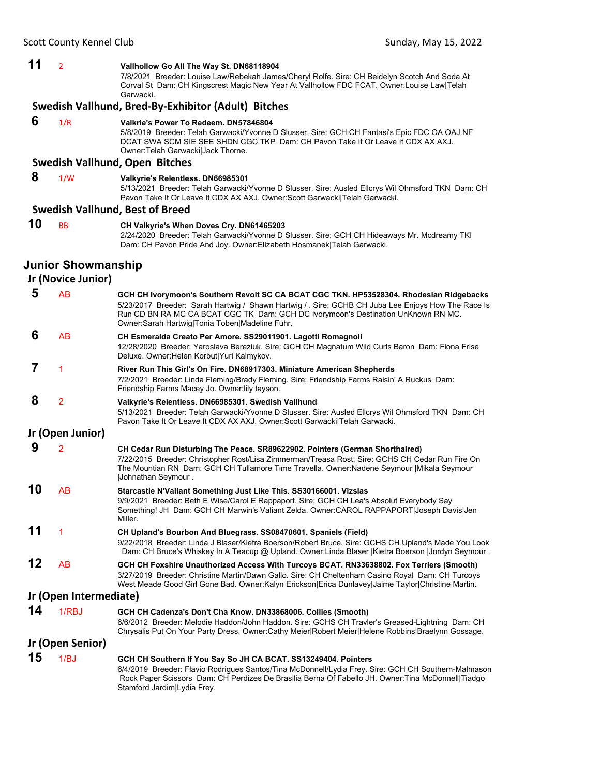#### **11** <sup>2</sup> **Vallhollow Go All The Way St. DN68118904**

7/8/2021 Breeder: Louise Law/Rebekah James/Cheryl Rolfe. Sire: CH Beidelyn Scotch And Soda At Corval St Dam: CH Kingscrest Magic New Year At Vallhollow FDC FCAT. Owner:Louise Law|Telah Garwacki.

#### **Swedish Vallhund, Bred‐By‐Exhibitor (Adult) Bitches**

| 6 | 1/R | Valkrie's Power To Redeem, DN57846804                                                        |
|---|-----|----------------------------------------------------------------------------------------------|
|   |     | 5/8/2019 Breeder: Telah Garwacki/Yvonne D Slusser. Sire: GCH CH Fantasi's Epic FDC OA OAJ NF |
|   |     | DCAT SWA SCM SIE SEE SHDN CGC TKP Dam: CH Pavon Take It Or Leave It CDX AX AXJ.              |
|   |     | Owner: Telah Garwackil Jack Thorne.                                                          |
|   |     | Suradich Vallbund, Onon, Bitchoc                                                             |

#### **Swedish Vallhund, Open Bitches**

#### **8** 1/W **Valkyrie's Relentless. DN66985301**

5/13/2021 Breeder: Telah Garwacki/Yvonne D Slusser. Sire: Ausled Ellcrys Wil Ohmsford TKN Dam: CH Pavon Take It Or Leave It CDX AX AXJ. Owner:Scott Garwacki|Telah Garwacki.

#### **Swedish Vallhund, Best of Breed**

**10** BB **CH Valkyrie's When Doves Cry. DN61465203** 2/24/2020 Breeder: Telah Garwacki/Yvonne D Slusser. Sire: GCH CH Hideaways Mr. Mcdreamy TKI Dam: CH Pavon Pride And Joy. Owner:Elizabeth Hosmanek|Telah Garwacki.

### **Junior Showmanship**

**Jr (Novice Junior)**

 **5** AB **GCH CH Ivorymoon's Southern Revolt SC CA BCAT CGC TKN. HP53528304. Rhodesian Ridgebacks** 5/23/2017 Breeder: Sarah Hartwig / Shawn Hartwig / . Sire: GCHB CH Juba Lee Enjoys How The Race Is Run CD BN RA MC CA BCAT CGC TK Dam: GCH DC Ivorymoon's Destination UnKnown RN MC. Owner:Sarah Hartwig|Tonia Toben|Madeline Fuhr.  **6** AB **CH Esmeralda Creato Per Amore. SS29011901. Lagotti Romagnoli** 12/28/2020 Breeder: Yaroslava Bereziuk. Sire: GCH CH Magnatum Wild Curls Baron Dam: Fiona Frise Deluxe. Owner:Helen Korbut|Yuri Kalmykov.  **7** <sup>1</sup> **River Run This Girl's On Fire. DN68917303. Miniature American Shepherds** 7/2/2021 Breeder: Linda Fleming/Brady Fleming. Sire: Friendship Farms Raisin' A Ruckus Dam: Friendship Farms Macey Jo. Owner:lily tayson.  **8** <sup>2</sup> **Valkyrie's Relentless. DN66985301. Swedish Vallhund** 5/13/2021 Breeder: Telah Garwacki/Yvonne D Slusser. Sire: Ausled Ellcrys Wil Ohmsford TKN Dam: CH Pavon Take It Or Leave It CDX AX AXJ. Owner:Scott Garwacki|Telah Garwacki. **Jr (Open Junior) 9** <sup>2</sup> **CH Cedar Run Disturbing The Peace. SR89622902. Pointers (German Shorthaired)** 7/22/2015 Breeder: Christopher Rost/Lisa Zimmerman/Treasa Rost. Sire: GCHS CH Cedar Run Fire On The Mountian RN Dam: GCH CH Tullamore Time Travella. Owner:Nadene Seymour |Mikala Seymour |Johnathan Seymour . **10** AB **Starcastle N'Valiant Something Just Like This. SS30166001. Vizslas** 9/9/2021 Breeder: Beth E Wise/Carol E Rappaport. Sire: GCH CH Lea's Absolut Everybody Say Something! JH Dam: GCH CH Marwin's Valiant Zelda. Owner:CAROL RAPPAPORT|Joseph Davis|Jen Miller. **11** <sup>1</sup> **CH Upland's Bourbon And Bluegrass. SS08470601. Spaniels (Field)** 9/22/2018 Breeder: Linda J Blaser/Kietra Boerson/Robert Bruce. Sire: GCHS CH Upland's Made You Look Dam: CH Bruce's Whiskey In A Teacup @ Upland. Owner:Linda Blaser |Kietra Boerson |Jordyn Seymour . **12** AB **GCH CH Foxshire Unauthorized Access With Turcoys BCAT. RN33638802. Fox Terriers (Smooth)** 3/27/2019 Breeder: Christine Martin/Dawn Gallo. Sire: CH Cheltenham Casino Royal Dam: CH Turcoys West Meade Good Girl Gone Bad. Owner:Kalyn Erickson|Erica Dunlavey|Jaime Taylor|Christine Martin. **Jr (Open Intermediate) 14** 1/RBJ **GCH CH Cadenza's Don't Cha Know. DN33868006. Collies (Smooth)** 6/6/2012 Breeder: Melodie Haddon/John Haddon. Sire: GCHS CH Travler's Greased-Lightning Dam: CH Chrysalis Put On Your Party Dress. Owner:Cathy Meier|Robert Meier|Helene Robbins|Braelynn Gossage. **Jr (Open Senior) 15** 1/BJ **GCH CH Southern If You Say So JH CA BCAT. SS13249404. Pointers** 6/4/2019 Breeder: Flavio Rodrigues Santos/Tina McDonnell/Lydia Frey. Sire: GCH CH Southern-Malmason Rock Paper Scissors Dam: CH Perdizes De Brasilia Berna Of Fabello JH. Owner:Tina McDonnell|Tiadgo

Stamford Jardim|Lydia Frey.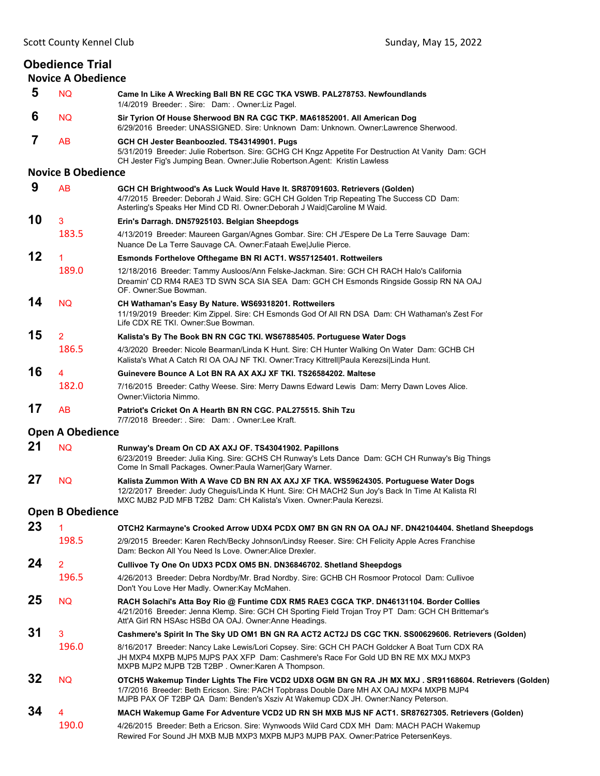#### **Obedience Trial Novice A Obedience 5** NQ **Came In Like A Wrecking Ball BN RE CGC TKA VSWB. PAL278753. Newfoundlands** 1/4/2019 Breeder: . Sire: Dam: . Owner:Liz Pagel.  **6** NQ **Sir Tyrion Of House Sherwood BN RA CGC TKP. MA61852001. All American Dog** 6/29/2016 Breeder: UNASSIGNED. Sire: Unknown Dam: Unknown. Owner:Lawrence Sherwood.  **7** AB **GCH CH Jester Beanboozled. TS43149901. Pugs** 5/31/2019 Breeder: Julie Robertson. Sire: GCHG CH Kngz Appetite For Destruction At Vanity Dam: GCH CH Jester Fig's Jumping Bean. Owner:Julie Robertson.Agent: Kristin Lawless **Novice B Obedience 9** AB **GCH CH Brightwood's As Luck Would Have It. SR87091603. Retrievers (Golden)** 4/7/2015 Breeder: Deborah J Waid. Sire: GCH CH Golden Trip Repeating The Success CD Dam: Asterling's Speaks Her Mind CD RI. Owner:Deborah J Waid|Caroline M Waid. **10** <sup>3</sup> **Erin's Darragh. DN57925103. Belgian Sheepdogs** 183.5 4/13/2019 Breeder: Maureen Gargan/Agnes Gombar. Sire: CH J'Espere De La Terre Sauvage Dam: Nuance De La Terre Sauvage CA. Owner:Fataah Ewe|Julie Pierce. **12** <sup>1</sup> **Esmonds Forthelove Ofthegame BN RI ACT1. WS57125401. Rottweilers** 189.0 12/18/2016 Breeder: Tammy Ausloos/Ann Felske-Jackman. Sire: GCH CH RACH Halo's California Dreamin' CD RM4 RAE3 TD SWN SCA SIA SEA Dam: GCH CH Esmonds Ringside Gossip RN NA OAJ OF. Owner:Sue Bowman. **14** NQ **CH Wathaman's Easy By Nature. WS69318201. Rottweilers** 11/19/2019 Breeder: Kim Zippel. Sire: CH Esmonds God Of All RN DSA Dam: CH Wathaman's Zest For Life CDX RE TKI. Owner:Sue Bowman. **15** <sup>2</sup> **Kalista's By The Book BN RN CGC TKI. WS67885405. Portuguese Water Dogs** 186.5 4/3/2020 Breeder: Nicole Bearman/Linda K Hunt. Sire: CH Hunter Walking On Water Dam: GCHB CH Kalista's What A Catch RI OA OAJ NF TKI. Owner:Tracy Kittrell|Paula Kerezsi|Linda Hunt. **16** <sup>4</sup> **Guinevere Bounce A Lot BN RA AX AXJ XF TKI. TS26584202. Maltese** 182.0 7/16/2015 Breeder: Cathy Weese. Sire: Merry Dawns Edward Lewis Dam: Merry Dawn Loves Alice. Owner:Viictoria Nimmo. **17** AB **Patriot's Cricket On A Hearth BN RN CGC. PAL275515. Shih Tzu** 7/7/2018 Breeder: . Sire: Dam: . Owner:Lee Kraft. **Open A Obedience 21** NQ **Runway's Dream On CD AX AXJ OF. TS43041902. Papillons** 6/23/2019 Breeder: Julia King. Sire: GCHS CH Runway's Lets Dance Dam: GCH CH Runway's Big Things Come In Small Packages. Owner:Paula Warner|Gary Warner. **27** NQ **Kalista Zummon With A Wave CD BN RN AX AXJ XF TKA. WS59624305. Portuguese Water Dogs** 12/2/2017 Breeder: Judy Cheguis/Linda K Hunt. Sire: CH MACH2 Sun Joy's Back In Time At Kalista RI MXC MJB2 PJD MFB T2B2 Dam: CH Kalista's Vixen. Owner:Paula Kerezsi. **Open B Obedience 23** <sup>1</sup> **OTCH2 Karmayne's Crooked Arrow UDX4 PCDX OM7 BN GN RN OA OAJ NF. DN42104404. Shetland Sheepdogs** 198.5 2/9/2015 Breeder: Karen Rech/Becky Johnson/Lindsy Reeser. Sire: CH Felicity Apple Acres Franchise Dam: Beckon All You Need Is Love. Owner:Alice Drexler. **24** <sup>2</sup> **Cullivoe Ty One On UDX3 PCDX OM5 BN. DN36846702. Shetland Sheepdogs** 196.5 4/26/2013 Breeder: Debra Nordby/Mr. Brad Nordby. Sire: GCHB CH Rosmoor Protocol Dam: Cullivoe Don't You Love Her Madly. Owner:Kay McMahen. **25** NQ **RACH Solachi's Atta Boy Rio @ Funtime CDX RM5 RAE3 CGCA TKP. DN46131104. Border Collies** 4/21/2016 Breeder: Jenna Klemp. Sire: GCH CH Sporting Field Trojan Troy PT Dam: GCH CH Brittemar's Att'A Girl RN HSAsc HSBd OA OAJ. Owner:Anne Headings. **31** <sup>3</sup> **Cashmere's Spirit In The Sky UD OM1 BN GN RA ACT2 ACT2J DS CGC TKN. SS00629606. Retrievers (Golden)** 196.0 8/16/2017 Breeder: Nancy Lake Lewis/Lori Copsey. Sire: GCH CH PACH Goldcker A Boat Turn CDX RA JH MXP4 MXPB MJP5 MJPS PAX XFP Dam: Cashmere's Race For Gold UD BN RE MX MXJ MXP3 MXPB MJP2 MJPB T2B T2BP . Owner:Karen A Thompson. **32** NQ **OTCH5 Wakemup Tinder Lights The Fire VCD2 UDX8 OGM BN GN RA JH MX MXJ . SR91168604. Retrievers (Golden)** 1/7/2016 Breeder: Beth Ericson. Sire: PACH Topbrass Double Dare MH AX OAJ MXP4 MXPB MJP4 MJPB PAX OF T2BP QA Dam: Benden's Xsziv At Wakemup CDX JH. Owner:Nancy Peterson. **34** <sup>4</sup> **MACH Wakemup Game For Adventure VCD2 UD RN SH MXB MJS NF ACT1. SR87627305. Retrievers (Golden)** 190.0 4/26/2015 Breeder: Beth a Ericson. Sire: Wynwoods Wild Card CDX MH Dam: MACH PACH Wakemup Rewired For Sound JH MXB MJB MXP3 MXPB MJP3 MJPB PAX. Owner:Patrice PetersenKeys.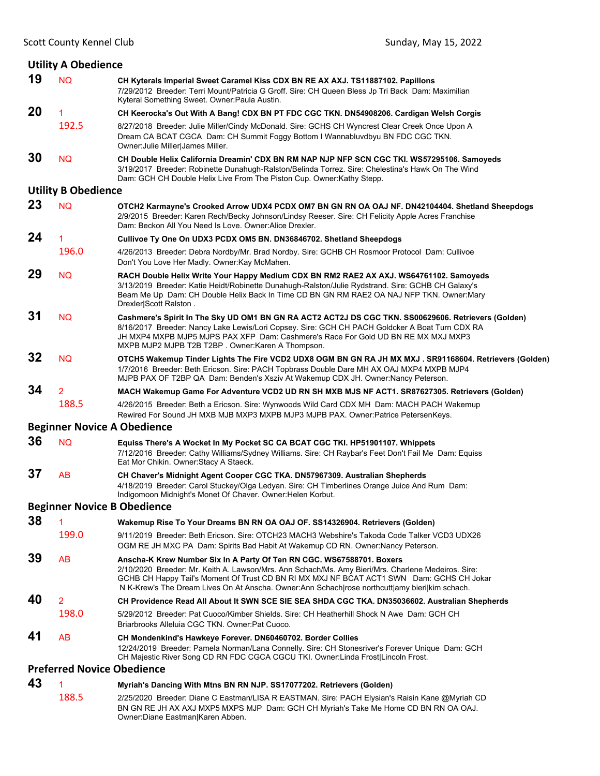|    | <b>Utility A Obedience</b>        |                                                                                                                                                                                                                                                                                                                                                                           |
|----|-----------------------------------|---------------------------------------------------------------------------------------------------------------------------------------------------------------------------------------------------------------------------------------------------------------------------------------------------------------------------------------------------------------------------|
| 19 | <b>NQ</b>                         | CH Kyterals Imperial Sweet Caramel Kiss CDX BN RE AX AXJ. TS11887102. Papillons<br>7/29/2012 Breeder: Terri Mount/Patricia G Groff. Sire: CH Queen Bless Jp Tri Back Dam: Maximilian<br>Kyteral Something Sweet. Owner: Paula Austin.                                                                                                                                     |
| 20 |                                   | CH Keerocka's Out With A Bang! CDX BN PT FDC CGC TKN. DN54908206. Cardigan Welsh Corgis                                                                                                                                                                                                                                                                                   |
|    | 192.5                             | 8/27/2018 Breeder: Julie Miller/Cindy McDonald. Sire: GCHS CH Wyncrest Clear Creek Once Upon A<br>Dream CA BCAT CGCA Dam: CH Summit Foggy Bottom I Wannabluvdbyu BN FDC CGC TKN.<br>Owner: Julie Miller James Miller.                                                                                                                                                     |
| 30 | <b>NQ</b>                         | CH Double Helix California Dreamin' CDX BN RM NAP NJP NFP SCN CGC TKI. WS57295106. Samoyeds<br>3/19/2017 Breeder: Robinette Dunahugh-Ralston/Belinda Torrez. Sire: Chelestina's Hawk On The Wind<br>Dam: GCH CH Double Helix Live From The Piston Cup. Owner: Kathy Stepp.                                                                                                |
|    | <b>Utility B Obedience</b>        |                                                                                                                                                                                                                                                                                                                                                                           |
| 23 | <b>NQ</b>                         | OTCH2 Karmayne's Crooked Arrow UDX4 PCDX OM7 BN GN RN OA OAJ NF. DN42104404. Shetland Sheepdogs<br>2/9/2015 Breeder: Karen Rech/Becky Johnson/Lindsy Reeser. Sire: CH Felicity Apple Acres Franchise<br>Dam: Beckon All You Need Is Love. Owner: Alice Drexler.                                                                                                           |
| 24 | 1                                 | Cullivoe Ty One On UDX3 PCDX OM5 BN. DN36846702. Shetland Sheepdogs                                                                                                                                                                                                                                                                                                       |
|    | 196.0                             | 4/26/2013 Breeder: Debra Nordby/Mr. Brad Nordby. Sire: GCHB CH Rosmoor Protocol Dam: Cullivoe<br>Don't You Love Her Madly. Owner: Kay McMahen.                                                                                                                                                                                                                            |
| 29 | <b>NQ</b>                         | RACH Double Helix Write Your Happy Medium CDX BN RM2 RAE2 AX AXJ. WS64761102. Samoyeds<br>3/13/2019 Breeder: Katie Heidt/Robinette Dunahugh-Ralston/Julie Rydstrand. Sire: GCHB CH Galaxy's<br>Beam Me Up Dam: CH Double Helix Back In Time CD BN GN RM RAE2 OA NAJ NFP TKN. Owner: Mary<br>Drexler Scott Ralston.                                                        |
| 31 | <b>NQ</b>                         | Cashmere's Spirit In The Sky UD OM1 BN GN RA ACT2 ACT2J DS CGC TKN. SS00629606. Retrievers (Golden)<br>8/16/2017 Breeder: Nancy Lake Lewis/Lori Copsey. Sire: GCH CH PACH Goldcker A Boat Turn CDX RA<br>JH MXP4 MXPB MJP5 MJPS PAX XFP Dam: Cashmere's Race For Gold UD BN RE MX MXJ MXP3<br>MXPB MJP2 MJPB T2B T2BP. Owner: Karen A Thompson.                           |
| 32 | <b>NQ</b>                         | OTCH5 Wakemup Tinder Lights The Fire VCD2 UDX8 OGM BN GN RA JH MX MXJ . SR91168604. Retrievers (Golden)<br>1/7/2016 Breeder: Beth Ericson. Sire: PACH Topbrass Double Dare MH AX OAJ MXP4 MXPB MJP4<br>MJPB PAX OF T2BP QA Dam: Benden's Xsziv At Wakemup CDX JH. Owner:Nancy Peterson.                                                                                   |
| 34 | $\overline{2}$                    |                                                                                                                                                                                                                                                                                                                                                                           |
|    |                                   | MACH Wakemup Game For Adventure VCD2 UD RN SH MXB MJS NF ACT1. SR87627305. Retrievers (Golden)                                                                                                                                                                                                                                                                            |
|    | 188.5                             | 4/26/2015 Breeder: Beth a Ericson. Sire: Wynwoods Wild Card CDX MH Dam: MACH PACH Wakemup<br>Rewired For Sound JH MXB MJB MXP3 MXPB MJP3 MJPB PAX. Owner:Patrice PetersenKeys.                                                                                                                                                                                            |
|    |                                   | <b>Beginner Novice A Obedience</b>                                                                                                                                                                                                                                                                                                                                        |
| 36 | <b>NQ</b>                         | Equiss There's A Wocket In My Pocket SC CA BCAT CGC TKI. HP51901107. Whippets<br>7/12/2016 Breeder: Cathy Williams/Sydney Williams. Sire: CH Raybar's Feet Don't Fail Me Dam: Equiss<br>Eat Mor Chikin. Owner: Stacy A Staeck.                                                                                                                                            |
| 37 | AB                                | CH Chaver's Midnight Agent Cooper CGC TKA. DN57967309. Australian Shepherds<br>4/18/2019 Breeder: Carol Stuckey/Olga Ledyan. Sire: CH Timberlines Orange Juice And Rum Dam:<br>Indigomoon Midnight's Monet Of Chaver. Owner: Helen Korbut.                                                                                                                                |
|    |                                   | <b>Beginner Novice B Obedience</b>                                                                                                                                                                                                                                                                                                                                        |
| 38 |                                   | Wakemup Rise To Your Dreams BN RN OA OAJ OF. SS14326904. Retrievers (Golden)                                                                                                                                                                                                                                                                                              |
|    | 199.0                             | 9/11/2019 Breeder: Beth Ericson, Sire: OTCH23 MACH3 Webshire's Takoda Code Talker VCD3 UDX26<br>OGM RE JH MXC PA Dam: Spirits Bad Habit At Wakemup CD RN. Owner:Nancy Peterson.                                                                                                                                                                                           |
| 39 | <b>AB</b>                         | Anscha-K Krew Number Six In A Party Of Ten RN CGC. WS67588701. Boxers<br>2/10/2020 Breeder: Mr. Keith A. Lawson/Mrs. Ann Schach/Ms. Amy Bieri/Mrs. Charlene Medeiros. Sire:<br>GCHB CH Happy Tail's Moment Of Trust CD BN RI MX MXJ NF BCAT ACT1 SWN Dam: GCHS CH Jokar<br>N K-Krew's The Dream Lives On At Anscha. Owner:Ann Schach rose northcutt amy bieri kim schach. |
| 40 | 2                                 | CH Providence Read All About It SWN SCE SIE SEA SHDA CGC TKA. DN35036602. Australian Shepherds                                                                                                                                                                                                                                                                            |
|    | 198.0                             | 5/29/2012 Breeder: Pat Cuoco/Kimber Shields. Sire: CH Heatherhill Shock N Awe Dam: GCH CH<br>Briarbrooks Alleluia CGC TKN. Owner:Pat Cuoco.                                                                                                                                                                                                                               |
| 41 | <b>AB</b>                         | CH Mondenkind's Hawkeye Forever. DN60460702. Border Collies<br>12/24/2019 Breeder: Pamela Norman/Lana Connelly. Sire: CH Stonesriver's Forever Unique Dam: GCH                                                                                                                                                                                                            |
|    | <b>Preferred Novice Obedience</b> | CH Majestic River Song CD RN FDC CGCA CGCU TKI. Owner:Linda Frost Lincoln Frost.                                                                                                                                                                                                                                                                                          |
| 43 |                                   | Myriah's Dancing With Mtns BN RN NJP. SS17077202. Retrievers (Golden)                                                                                                                                                                                                                                                                                                     |

Owner:Diane Eastman|Karen Abben.